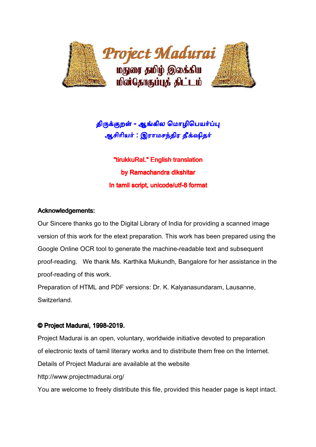

# திருக்குறள் - ஆங்கில மொழிபெ<mark>யர்ப்ப</mark>ு ஆசிரியர் : இராமசந்திர தீக்ஷிதர்

"tirukkuRaL" English translation by Ramachandra dikshitar In tamil script, unicode/utf-8 format

## Acknowledgements:

Our Sincere thanks go to the Digital Library of India for providing a scanned image version of this work for the etext preparation. This work has been prepared using the Google Online OCR tool to generate the machine-readable text and subsequent proof-reading. We thank Ms. Karthika Mukundh, Bangalore for her assistance in the proof-reading of this work.

Preparation of HTML and PDF versions: Dr. K. Kalyanasundaram, Lausanne, Switzerland.

## © Project Madurai, 1998-2019.

Project Madurai is an open, voluntary, worldwide initiative devoted to preparation of electronic texts of tamil literary works and to distribute them free on the Internet. Details of Project Madurai are available at the website http://www.projectmadurai.org/

You are welcome to freely distribute this file, provided this header page is kept intact.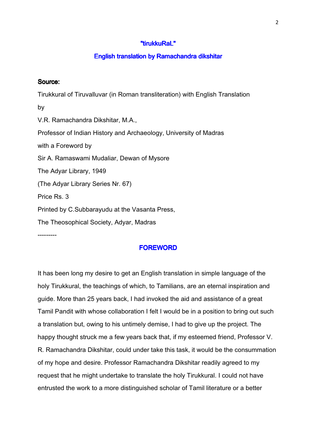#### "tirukkuRal"

#### English translation by Ramachandra dikshitar

#### Source:

Tirukkural of Tiruvalluvar (in Roman transliteration) with English Translation by V.R. Ramachandra Dikshitar, M.A., Professor of Indian History and Archaeology, University of Madras with a Foreword by Sir A. Ramaswami Mudaliar, Dewan of Mysore The Adyar Library, 1949 (The Adyar Library Series Nr. 67) Price Rs. 3 Printed by C.Subbarayudu at the Vasanta Press, The Theosophical Society, Adyar, Madras

---------

#### **FOREWORD**

It has been long my desire to get an English translation in simple language of the holy Tirukkural, the teachings of which, to Tamilians, are an eternal inspiration and guide. More than 25 years back, I had invoked the aid and assistance of a great Tamil Pandit with whose collaboration I felt I would be in a position to bring out such a translation but, owing to his untimely demise, I had to give up the project. The happy thought struck me a few years back that, if my esteemed friend, Professor V. R. Ramachandra Dikshitar, could under take this task, it would be the consummation of my hope and desire. Professor Ramachandra Dikshitar readily agreed to my request that he might undertake to translate the holy Tirukkural. I could not have entrusted the work to a more distinguished scholar of Tamil literature or a better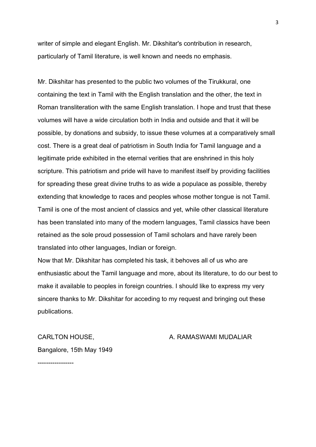writer of simple and elegant English. Mr. Dikshitar's contribution in research, particularly of Tamil literature, is well known and needs no emphasis.

Mr. Dikshitar has presented to the public two volumes of the Tirukkural, one containing the text in Tamil with the English translation and the other, the text in Roman transliteration with the same English translation. I hope and trust that these volumes will have a wide circulation both in India and outside and that it will be possible, by donations and subsidy, to issue these volumes at a comparatively small cost. There is a great deal of patriotism in South India for Tamil language and a legitimate pride exhibited in the eternal verities that are enshrined in this holy scripture. This patriotism and pride will have to manifest itself by providing facilities for spreading these great divine truths to as wide a populace as possible, thereby extending that knowledge to races and peoples whose mother tongue is not Tamil. Tamil is one of the most ancient of classics and yet, while other classical literature has been translated into many of the modern languages, Tamil classics have been retained as the sole proud possession of Tamil scholars and have rarely been translated into other languages, Indian or foreign.

Now that Mr. Dikshitar has completed his task, it behoves all of us who are enthusiastic about the Tamil language and more, about its literature, to do our best to make it available to peoples in foreign countries. I should like to express my very sincere thanks to Mr. Dikshitar for acceding to my request and bringing out these publications.

Bangalore, 15th May 1949

#### CARLTON HOUSE, A. RAMASWAMI MUDALIAR

-----------------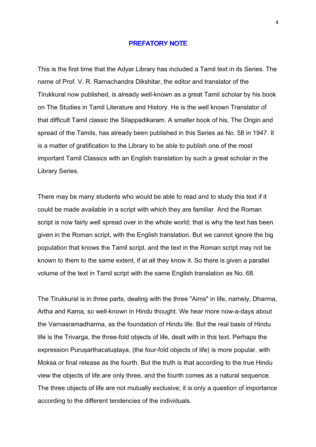#### **PREFATORY NOTE**

This is the first time that the Adyar Library has included a Tamil text in its Series. The name of Prof. V. R. Ramachandra Dikshitar, the editor and translator of the Tirukkural now published, is already well-known as a great Tamil scholar by his book on The Studies in Tamil Literature and History. He is the well known Translator of that difficult Tamil classic the Silappadikaram. A smaller book of his, The Origin and spread of the Tamils, has already been published in this Series as No. 58 in 1947. It is a matter of gratification to the Library to be able to publish one of the most important Tamil Classics with an English translation by such a great scholar in the Library Series.

There may be many students who would be able to read and to study this text if it could be made available in a script with which they are familiar. And the Roman script is now fairly well spread over in the whole world; that is why the text has been given in the Roman script, with the English translation. But we cannot ignore the big population that knows the Tamil script, and the text in the Roman script may not be known to them to the same extent, if at all they know it. So there is given a parallel volume of the text in Tamil script with the same English translation as No. 68.

The Tirukkural is in three parts, dealing with the three "Aims" in life, namely, Dharma, Artha and Kama, so well-known in Hindu thought. We hear more now-a-days about the Varnasramadharma, as the foundation of Hindu life. But the real basis of Hindu life is the Trivarga, the three-fold objects of life, dealt with in this text. Perhaps the expression Puruşarthacatuştaya, (the four-fold objects of life) is more popular, with Moksa or final release as the fourth. But the truth is that according to the true Hindu view the objects of life are only three, and the fourth comes as a natural sequence. The three objects of life are not mutually exclusive; it is only a question of importance according to the different tendencies of the individuals.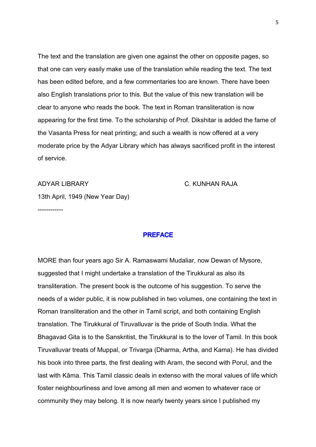The text and the translation are given one against the other on opposite pages, so that one can very easily make use of the translation while reading the text. The text has been edited before, and a few commentaries too are known. There have been also English translations prior to this. But the value of this new translation will be clear to anyone who reads the book. The text in Roman transliteration is now appearing for the first time. To the scholarship of Prof. Dikshitar is added the fame of the Vasanta Press for neat printing; and such a wealth is now offered at a very moderate price by the Adyar Library which has always sacrificed profit in the interest of service.

ADYAR LIBRARY C. KUNHAN RAJA

13th April, 1949 (New Year Day)

------------

#### **PREFACE**

MORE than four years ago Sir A. Ramaswami Mudaliar, now Dewan of Mysore, suggested that I might undertake a translation of the Tirukkural as also its transliteration. The present book is the outcome of his suggestion. To serve the needs of a wider public, it is now published in two volumes, one containing the text in Roman transliteration and the other in Tamil script, and both containing English translation. The Tirukkural of Tiruvalluvar is the pride of South India. What the Bhagavad Gita is to the Sanskritist, the Tirukkural is to the lover of Tamil. In this book Tiruvalluvar treats of Muppal, or Trivarga (Dharma, Artha, and Kama). He has divided his book into three parts, the first dealing with Aram, the second with Porul, and the last with Kāma. This Tamil classic deals in extenso with the moral values of life which foster neighbourliness and love among all men and women to whatever race or community they may belong. It is now nearly twenty years since I published my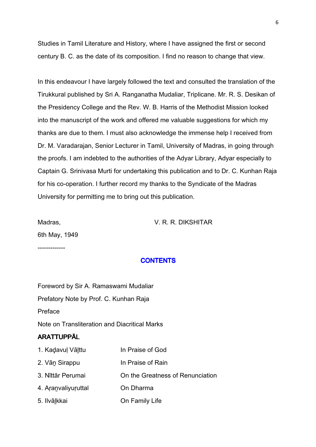Studies in Tamil Literature and History, where I have assigned the first or second century B. C. as the date of its composition. I find no reason to change that view.

In this endeavour I have largely followed the text and consulted the translation of the Tirukkural published by Sri A. Ranganatha Mudaliar, Triplicane. Mr. R. S. Desikan of the Presidency College and the Rev. W. B. Harris of the Methodist Mission looked into the manuscript of the work and offered me valuable suggestions for which my thanks are due to them. I must also acknowledge the immense help I received from Dr. M. Varadarajan, Senior Lecturer in Tamil, University of Madras, in going through the proofs. I am indebted to the authorities of the Adyar Library, Adyar especially to Captain G. Srinivasa Murti for undertaking this publication and to Dr. C. Kunhan Raja for his co-operation. I further record my thanks to the Syndicate of the Madras University for permitting me to bring out this publication.

Madras, V. R. R. DIKSHITAR

6th May, 1949

-------------

#### **CONTENTS**

Foreword by Sir A. Ramaswami Mudaliar Prefatory Note by Prof. C. Kunhan Raja Preface Note on Transliteration and Diacritical Marks ARATTUPPĀL 1. Kaḍavuḷ Vālttu In Praise of God

- 2. Vān Sirappu In Praise of Rain
- 3. Nīttār Perumai On the Greatness of Renunciation
- 4. Aŗaṉvaliyuŗuttal On Dharma
- 5. Ilvāḻkkai On Family Life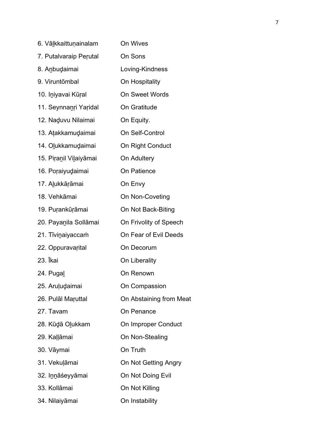| 6. Vālkkaittuņainalam  | On Wives                |
|------------------------|-------------------------|
| 7. Putalvaraip Perutal | On Sons                 |
| 8. Anbudaimai          | Loving-Kindness         |
| 9. Viruntõmbal         | On Hospitality          |
| 10. Iniyavai Kūral     | <b>On Sweet Words</b>   |
| 11. Seynnanri Yaridal  | On Gratitude            |
| 12. Naduvu Nilaimai    | On Equity.              |
| 13. Atakkamudaimai     | On Self-Control         |
| 14. Olukkamudaimai     | On Right Conduct        |
| 15. Piranil Vilaiyāmai | On Adultery             |
| 16. Poraiyudaimai      | On Patience             |
| 17. Alukkārāmai        | On Envy                 |
| 18. Vehkāmai           | On Non-Coveting         |
| 19. Purankūrāmai       | On Not Back-Biting      |
| 20. Payanila Sollāmai  | On Frivolity of Speech  |
| 21. Tīvinaiyaccam      | On Fear of Evil Deeds   |
| 22. Oppuravarital      | On Decorum              |
| 23. Ikai               | On Liberality           |
| 24. Pugal              | On Renown               |
| 25. Aruļudaimai        | On Compassion           |
| 26. Pulāl Maruttal     | On Abstaining from Meat |
| 27. Tavam              | <b>On Penance</b>       |
| 28. Kūdā Olukkam       | On Improper Conduct     |
| 29. Kaļļāmai           | On Non-Stealing         |
| 30. Vāymai             | On Truth                |
| 31. Vekuļāmai          | On Not Getting Angry    |
| 32. Innāśeyyāmai       | On Not Doing Evil       |
| 33. Kollāmai           | On Not Killing          |
| 34. Nilaiyāmai         | On Instability          |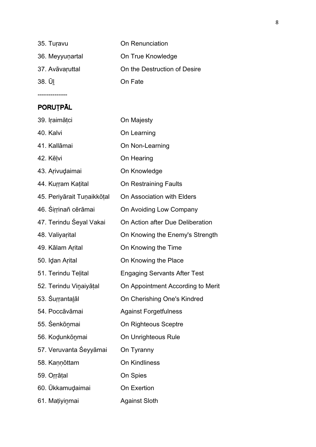| 35. Turavu      | On Renunciation              |  |
|-----------------|------------------------------|--|
| 36. Meyyunartal | On True Knowledge            |  |
| 37. Avāvaruttal | On the Destruction of Desire |  |
| 38. ŪI          | On Fate                      |  |

# PORUȚPĀL

--------------

| 39. Iraimāțci              | On Majesty                          |
|----------------------------|-------------------------------------|
| 40. Kalvi                  | On Learning                         |
| 41. Kallāmai               | On Non-Learning                     |
| 42. Kēļvi                  | On Hearing                          |
| 43. Arivudaimai            | On Knowledge                        |
| 44. Kurram Katital         | On Restraining Faults               |
| 45. Periyārait Tuņaikkõțal | On Association with Elders          |
| 46. Sirrinañ cērāmai       | On Avoiding Low Company             |
| 47. Terindu Śeyal Vakai    | On Action after Due Deliberation    |
| 48. Valiyarital            | On Knowing the Enemy's Strength     |
| 49. Kālam Arital           | On Knowing the Time                 |
| 50. Idan Arital            | On Knowing the Place                |
| 51. Terindu Telital        | <b>Engaging Servants After Test</b> |
| 52. Terindu Vinaiyāțal     | On Appointment According to Merit   |
| 53. Surrantalal            | On Cherishing One's Kindred         |
| 54. Poccāvāmai             | <b>Against Forgetfulness</b>        |
| 55. Senkōnmai              | On Righteous Sceptre                |
| 56. Kodunkōnmai            | On Unrighteous Rule                 |
| 57. Veruvanta Śeyyāmai     | On Tyranny                          |
| 58. Kannōttam              | <b>On Kindliness</b>                |
| 59. Orrāțal                | On Spies                            |
| 60. Ükkamudaimai           | On Exertion                         |
| 61. Mațiyinmai             | <b>Against Sloth</b>                |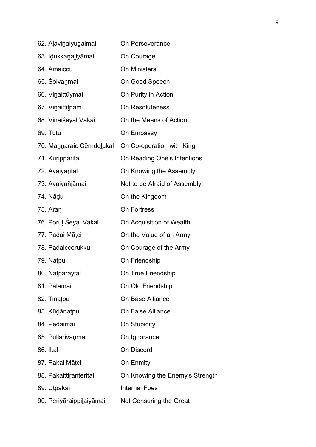| 62. Alavinaiyudaimai      | On Perseverance                 |
|---------------------------|---------------------------------|
| 63. Idukkanaliyāmai       | On Courage                      |
| 64. Amaiccu               | <b>On Ministers</b>             |
| 65. Solvanmai             | On Good Speech                  |
| 66. Vinaittūymai          | On Purity in Action             |
| 67. Vinaittitpam          | <b>On Resoluteness</b>          |
| 68. Vinaiśeyal Vakai      | On the Means of Action          |
| 69. Tūtu                  | On Embassy                      |
| 70. Mannaraic Cērndolukal | On Co-operation with King       |
| 71. Kuripparital          | On Reading One's Intentions     |
| 72. Avaiyarital           | On Knowing the Assembly         |
| 73. Avaiyañjāmai          | Not to be Afraid of Assembly    |
| 74. Nādu                  | On the Kingdom                  |
| 75. Aran                  | <b>On Fortress</b>              |
| 76. Poruļ Śeyal Vakai     | On Acquisition of Wealth        |
| 77. Padai Mātci           | On the Value of an Army         |
| 78. Padaiccerukku         | On Courage of the Army          |
| 79. Natpu                 | On Friendship                   |
| 80. Națpārāytal           | On True Friendship              |
| 81. Palamai               | On Old Friendship               |
| 82. Tinatpu               | On Base Alliance                |
| 83. Kūdānatpu             | On False Alliance               |
| 84. Pēdaimai              | <b>On Stupidity</b>             |
| 85. Pullarivāņmai         | On Ignorance                    |
| 86. Ikal                  | On Discord                      |
| 87. Pakai Mātci           | On Enmity                       |
| 88. Pakaittiranterital    | On Knowing the Enemy's Strength |
| 89. Utpakai               | <b>Internal Foes</b>            |
| 90. Periyāraippilaiyāmai  | Not Censuring the Great         |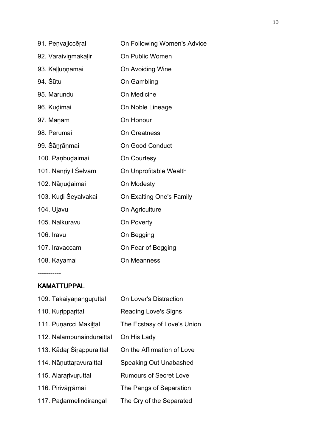| 91. Peņvaliccēral    | On Following Women's Advice |
|----------------------|-----------------------------|
| 92. Varaivinmakaļir  | On Public Women             |
| 93. Kaļļuņņāmai      | On Avoiding Wine            |
| 94. Śūtu             | On Gambling                 |
| 95. Marundu          | On Medicine                 |
| 96. Kudimai          | On Noble Lineage            |
| 97. Mānam            | On Honour                   |
| 98. Perumai          | <b>On Greatness</b>         |
| 99. Sānrāņmai        | <b>On Good Conduct</b>      |
| 100. Paņbudaimai     | On Courtesy                 |
| 101. Nanriyil Selvam | On Unprofitable Wealth      |
| 102. Nāņudaimai      | On Modesty                  |
| 103. Kudi Śeyalvakai | On Exalting One's Family    |
| 104. Ulavu           | On Agriculture              |
| 105. Nalkuravu       | On Poverty                  |
| 106. Iravu           | On Begging                  |
| 107. Iravaccam       | On Fear of Begging          |
| 108. Kayamai         | <b>On Meanness</b>          |

# KĀMATTUPPĀL

-----------

| 109. Takaiyananguruttal   | On Lover's Distraction        |
|---------------------------|-------------------------------|
| 110. Kuripparital         | <b>Reading Love's Signs</b>   |
| 111. Punarcci Makiltal    | The Ecstasy of Love's Union   |
| 112. Nalampunainduraittal | On His Lady                   |
| 113. Kādar Śirappuraittal | On the Affirmation of Love    |
| 114. Nāņuttaravuraittal   | <b>Speaking Out Unabashed</b> |
| 115. Alararivuruttal      | <b>Rumours of Secret Love</b> |
| 116. Pirivārrāmai         | The Pangs of Separation       |
| 117. Padarmelindirangal   | The Cry of the Separated      |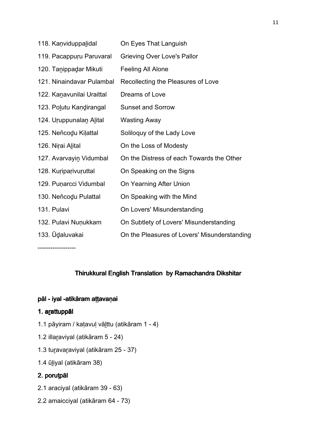| 118. Kanviduppalidal      | On Eyes That Languish                        |
|---------------------------|----------------------------------------------|
| 119. Pacappuru Paruvaral  | <b>Grieving Over Love's Pallor</b>           |
| 120. Tanippadar Mikuti    | Feeling All Alone                            |
| 121. Ninaindavar Pulambal | Recollecting the Pleasures of Love           |
| 122. Kanavunilai Uraittal | Dreams of Love                               |
| 123. Polutu Kandirangal   | <b>Sunset and Sorrow</b>                     |
| 124. Uruppunalan Alital   | Wasting Away                                 |
| 125. Neñcodu Kilattal     | Soliloquy of the Lady Love                   |
| 126. Nirai Alital         | On the Loss of Modesty                       |
| 127. Avarvayin Vidumbal   | On the Distress of each Towards the Other    |
| 128. Kuriparivuruttal     | On Speaking on the Signs                     |
| 129. Puņarcci Vidumbal    | On Yearning After Union                      |
| 130. Neñcodu Pulattal     | On Speaking with the Mind                    |
| 131. Pulavi               | On Lovers' Misunderstanding                  |
| 132. Pulavi Nuņukkam      | On Subtlety of Lovers' Misunderstanding      |
| 133. Ūdaluvakai           | On the Pleasures of Lovers' Misunderstanding |

------------------

## Thirukkural English Translation by Ramachandra Dikshitar

#### pāl - iyal -atikāram attavaṇai

# 1. arattuppāl

- 1.1 pāyiram / kaṭavuḷ vāḻttu (atikāram 1 4)
- 1.2 illaṟaviyal (atikāram 5 24)
- 1.3 tuṟavaṟaviyal (atikāram 25 37)
- 1.4 ūḻiyal (atikāram 38)

# 2. poruțpāl

- 2.1 araciyal (atikāram 39 63)
- 2.2 amaicciyal (atikāram 64 73)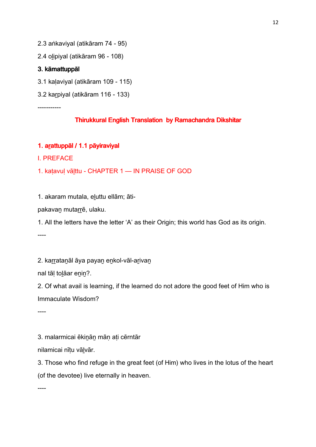2.3 aṅkaviyal (atikāram 74 - 95)

2.4 oḻipiyal (atikāram 96 - 108)

#### 3. kāmattuppāl 3. kāmattuppāl

- 3.1 kaḷaviyal (atikāram 109 115)
- 3.2 kaṟpiyal (atikāram 116 133)

-----------

## Thirukkural English Translation by Ramachandra Dikshitar

## 1. arattuppāl / 1.1 pāyiraviyal

I. PREFACE

1. kaṭavuḷ vāḻttu - CHAPTER 1 — IN PRAISE OF GOD

1. akaram mutala, eḻuttu ellām; āti-

pakavan mutarrē, ulaku.

1. All the letters have the letter 'A' as their Origin; this world has God as its origin.

----

2. karratanāl āya payan enkol-vāl-arivan

nal tāḷ toḻāar eṉiṉ?.

2. Of what avail is learning, if the learned do not adore the good feet of Him who is Immaculate Wisdom?

----

3. malarmicai ēkiṉāṉ māṇ aṭi cērntār

nilamicai nīṭu vāḻvār.

3. Those who find refuge in the great feet (of Him) who lives in the lotus of the heart (of the devotee) live eternally in heaven.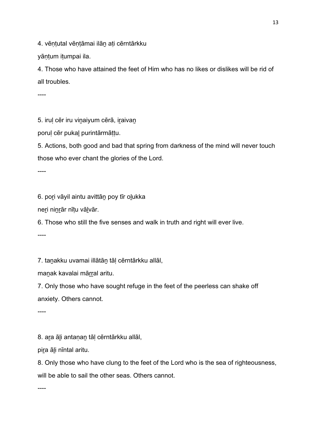4. vēntutal vēntāmai ilān ati cērntārkku

yāntum itumpai ila.

4. Those who have attained the feet of Him who has no likes or dislikes will be rid of all troubles.

----

5. irul cēr iru vinaiyum cērā, iraivan

poruḷ cēr pukaḻ purintārmāṭṭu.

5. Actions, both good and bad that spring from darkness of the mind will never touch those who ever chant the glories of the Lord.

----

6. poṟi vāyil aintu avittāṉ poy tīr oḻukka

neṟi niṉṟār nīṭu vāḻvār.

6. Those who still the five senses and walk in truth and right will ever live.

----

7. taṉakku uvamai illātāṉ tāḷ cērntārkku allāl,

manak kavalai mārral aritu.

7. Only those who have sought refuge in the feet of the peerless can shake off anxiety. Others cannot.

----

8. aṟa āḻi antaṇaṉ tāḷ cērntārkku allāl,

pira āli nīntal aritu.

8. Only those who have clung to the feet of the Lord who is the sea of righteousness, will be able to sail the other seas. Others cannot.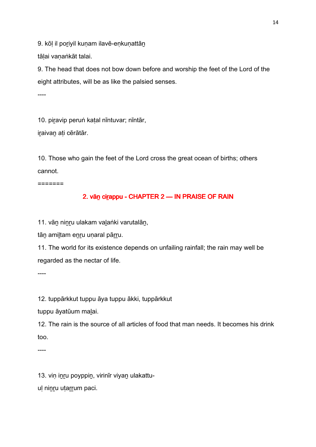9. kōl il poriyil kunam ilavē-enkunattān

tālai vanaṅkāt talai.

9. The head that does not bow down before and worship the feet of the Lord of the eight attributes, will be as like the palsied senses.

----

10. piravip peruṅ katal nīntuvar; nīntār,

iraivan ati cērātār.

10. Those who gain the feet of the Lord cross the great ocean of births; others cannot.

=======

# 2. vān cirappu - CHAPTER 2 — IN PRAISE OF RAIN

11. vāṉ niṉṟu ulakam vaḻaṅki varutalāṉ,

tān amiltam enru unaral pārru.

11. The world for its existence depends on unfailing rainfall; the rain may well be regarded as the nectar of life.

----

12. tuppārkkut tuppu āya tuppu ākki, tuppārkkut

tuppu āyatūum maḻai.

12. The rain is the source of all articles of food that man needs. It becomes his drink too.

----

13. viņ inru poyppin, virinīr viyan ulakattuul ninru utarrum paci.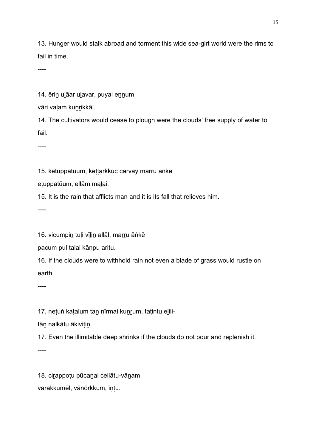13. Hunger would stalk abroad and torment this wide sea-girt world were the rims to fail in time.

----

14. ērin ulāar ulavar, puyal ennum

vāri valam kunrikkāl.

14. The cultivators would cease to plough were the clouds' free supply of water to fail.

----

15. ketuppatūum, kettārkkuc cārvāy marru āṅkē

eṭuppatūum, ellām maḻai.

15. It is the rain that afflicts man and it is its fall that relieves him.

----

16. vicumpin tuli vīlin allāl, marru ānkē

pacum pul talai kāṇpu aritu.

16. If the clouds were to withhold rain not even a blade of grass would rustle on earth.

----

17. netuṅ katalum tan nīrmai kunrum, tatintu elili-

tān nalkātu ākivitin.

17. Even the illimitable deep shrinks if the clouds do not pour and replenish it.

----

18. ciṟappoṭu pūcaṉai cellātu-vāṉam vaṟakkumēl, vāṉōrkkum, īṇṭu.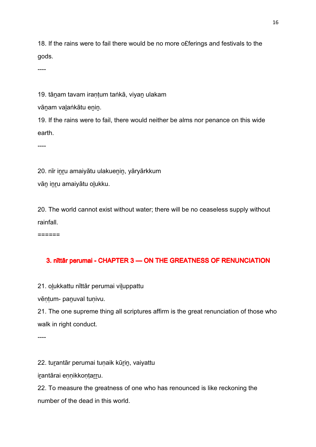18. If the rains were to fail there would be no more o£ferings and festivals to the gods.

----

19. tānam tavam irantum taṅkā, viyan ulakam

vānam valaṅkātu enin.

19. If the rains were to fail, there would neither be alms nor penance on this wide earth.

----

20. nīr inru amaiyātu ulakuenin, yāryārkkum

vān inru amaiyātu olukku.

20. The world cannot exist without water; there will be no ceaseless supply without rainfall.

======

# 3. nīttār perumai - CHAPTER 3 — ON THE GREATNESS OF RENUNCIATION

21. oḻukkattu nīttār perumai viḻuppattu

vēntum- panuval tunivu.

21. The one supreme thing all scriptures affirm is the great renunciation of those who walk in right conduct.

----

22. turantār perumai tuṇaik kūrin, vaiyattu

iṟantārai eṇṇikkoṇṭaṟṟu.

22. To measure the greatness of one who has renounced is like reckoning the number of the dead in this world.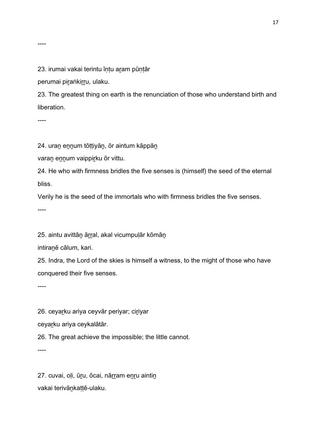----

#### 23. irumai vakai terintu īntu aram pūntār

perumai piraṅkirru, ulaku.

23. The greatest thing on earth is the renunciation of those who understand birth and liberation.

----

24. uran ennum tōṭṭiyān, ōr aintum kāppāṇ

varan ennum vaippirku ōr vittu.

24. He who with firmness bridles the five senses is (himself) the seed of the eternal bliss.

Verily he is the seed of the immortals who with firmness bridles the five senses.

----

25. aintu avittān ārral, akal vicumpulār kōmān

intiraṉē cālum, kari.

25. Indra, the Lord of the skies is himself a witness, to the might of those who have conquered their five senses.

----

26. ceyarku ariya ceyvār periyar; ciriyar

ceyarku ariya ceykalātār.

26. The great achieve the impossible; the little cannot.

----

27. cuvai, oļi, ūr̯u, ōcai, nārram enru aintin vakai terivāṉkaṭṭē-ulaku.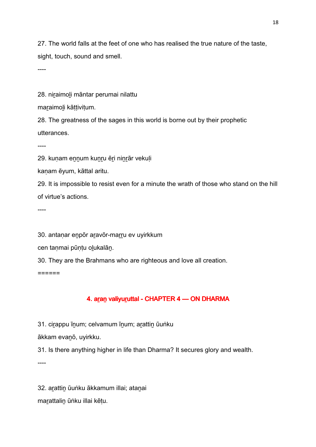27. The world falls at the feet of one who has realised the true nature of the taste, sight, touch, sound and smell.

----

28. niraimoli māntar perumai nilattu

maraimoli kāttivitum.

28. The greatness of the sages in this world is borne out by their prophetic utterances.

----

29. kuṇam ennum kuṇru ēri niṇrār vekuļi

kanam ēyum, kāttal aritu.

29. It is impossible to resist even for a minute the wrath of those who stand on the hill of virtue's actions.

----

30. antanar enpōr aravōr-marru ev uyirkkum

cen tanmai pūntu olukalān.

30. They are the Brahmans who are righteous and love all creation.

======

# 4. aran valiyuruttal - CHAPTER 4 - ON DHARMA

31. cirappu īnum; celvamum īnum; arattin ūuṅku

ākkam evaṉō, uyirkku.

31. Is there anything higher in life than Dharma? It secures glory and wealth.

----

32. aṟattiṉ ūuṅku ākkamum illai; ataṉai marattalin ūṅku illai kētu.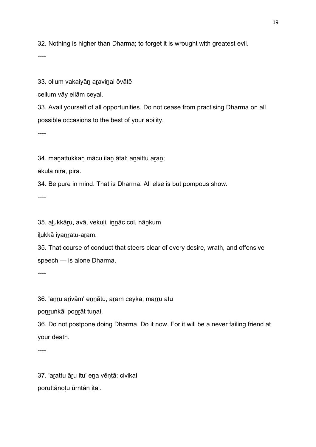32. Nothing is higher than Dharma; to forget it is wrought with greatest evil.

----

33. ollum vakaiyān aravinai ōvātē

cellum vāy ellām ceyal.

33. Avail yourself of all opportunities. Do not cease from practising Dharma on all possible occasions to the best of your ability.

----

34. maṉattukkaṇ mācu ilaṉ ātal; aṉaittu aṟaṉ;

ākula nīra, pira.

34. Be pure in mind. That is Dharma. All else is but pompous show.

----

35. aḻukkāṟu, avā, vekuḷi, iṉṉāc col, nāṉkum

ilukkā iyanratu-aram.

35. That course of conduct that steers clear of every desire, wrath, and offensive speech — is alone Dharma.

----

36. 'anru arivām' ennātu, aram ceyka; marru atu

ponruṅkāl ponrāt tunai.

36. Do not postpone doing Dharma. Do it now. For it will be a never failing friend at your death.

----

37. 'aṟattu āṟu itu' eṉa vēṇṭā; civikai poṟuttāṉoṭu ūrntāṉ iṭai.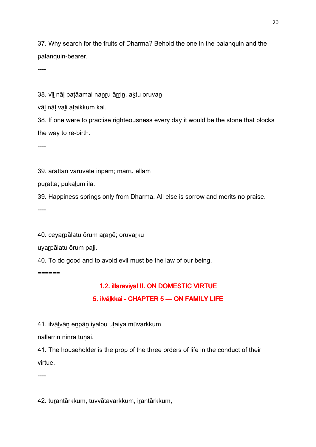37. Why search for the fruits of Dharma? Behold the one in the palanquin and the palanquin-bearer.

----

38. vīl nāl patāamai nanru ārrin, aktu oruvan

vāḻ nāḷ vaḻi aṭaikkum kal.

38. If one were to practise righteousness every day it would be the stone that blocks the way to re-birth.

----

39. arattān varuvatē inpam; marru ellām

puratta; pukalum ila.

39. Happiness springs only from Dharma. All else is sorrow and merits no praise.

----

40. ceyarpālatu ōrum aranē; oruvarku

uyaṟpālatu ōrum paḻi.

40. To do good and to avoid evil must be the law of our being.

======

# 1.2. illaraviyal II. ON DOMESTIC VIRTUE

# 5. ilvālkkai - CHAPTER 5 - ON FAMILY LIFE

41. ilvālvān enpān iyalpu utaiya mūvarkkum

nallārrin ninra tunai.

41. The householder is the prop of the three orders of life in the conduct of their virtue.

----

42. turantārkkum, tuvvātavarkkum, irantārkkum,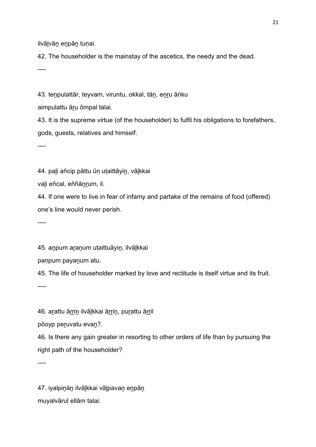ilvālvān enpān tunai.

42. The householder is the mainstay of the ascetics, the needy and the dead.

----

43. teṉpulattār, teyvam, viruntu, okkal, tāṉ, eṉṟu āṅku

aimpulattu āru ōmpal talai.

43. It is the supreme virtue (of the householder) to fulfil his obligations to forefathers, gods, guests, relatives and himself.

----

44. pali añcip pāttu ūn utaittāyin, vālkkai

vaḻi eñcal, eññāṉṟum, il.

44. If one were to live in fear of infamy and partake of the remains of food (offered) one's line would never perish.

----

45. anpum aranum utaittuāyin, ilvālkkai

paṇpum payaṉum atu.

45. The life of householder marked by love and rectitude is itself virtue and its fruit. ----

46. arattu ārrin ilvālkkai ārrin, purattu ārril

pōoyp peruvatu evan?.

46. Is there any gain greater in resorting to other orders of life than by pursuing the right path of the householder?

----

47. iyalpinān ilvālkkai vālpavan enpān muyalvāruḷ ellām talai.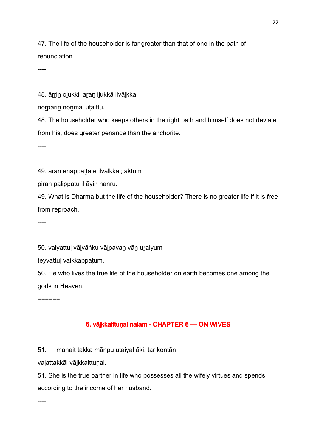47. The life of the householder is far greater than that of one in the path of renunciation.

----

48. ārrin olukki, aran ilukkā ilvālkkai

nōṟpāriṉ nōṉmai uṭaittu.

48. The householder who keeps others in the right path and himself does not deviate from his, does greater penance than the anchorite.

----

49. aran enappattatē ilvālkkai; aktum

piran palippatu il āyin nanru.

49. What is Dharma but the life of the householder? There is no greater life if it is free from reproach.

----

50. vaiyattul vālvāṅku vālpavan vān uraiyum

teyvattuḷ vaikkappaṭum.

50. He who lives the true life of the householder on earth becomes one among the gods in Heaven.

======

## 6. vālkkaittuṇai nalam - CHAPTER 6 — ON WIVES

51. maṉait takka māṇpu uṭaiyaḷ āki, taṟ koṇṭāṉ

vaḷattakkāḷ vāḻkkaittuṇai.

51. She is the true partner in life who possesses all the wifely virtues and spends according to the income of her husband.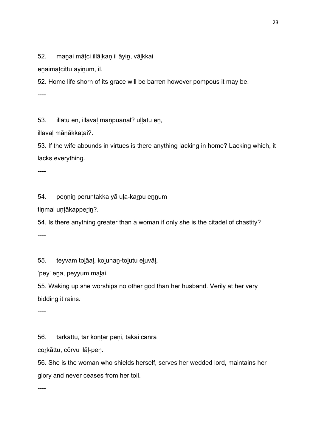52. manai mātci illālkan il āyin, vālkkai

enaimātcittu āyinum, il.

52. Home life shorn of its grace will be barren however pompous it may be.

----

53. illatu en, illaval mānpuānāl? ullatu en,

illavaḷ māṇākkaṭai?.

53. If the wife abounds in virtues is there anything lacking in home? Lacking which, it lacks everything.

----

54. peṇṇiṉ peruntakka yā uḷa-kaṟpu eṉṉum

tiṇmai uṇṭākappeṟiṉ?.

54. Is there anything greater than a woman if only she is the citadel of chastity? ----

55. teyvam toḻāaḷ, koḻunaṉ-toḻutu eḻuvāḷ,

'pey' eṉa, peyyum maḻai.

55. Waking up she worships no other god than her husband. Verily at her very bidding it rains.

----

56. taṟkāttu, taṟ koṇṭāṟ pēṇi, takai cāṉṟa

corkāttu, cōrvu ilāļ-peņ.

56. She is the woman who shields herself, serves her wedded lord, maintains her glory and never ceases from her toil.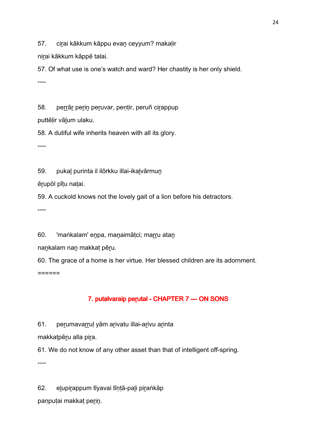57. cirai kākkum kāppu evan ceyyum? makalir

nirai kākkum kāppē talai.

57. Of what use is one's watch and ward? Her chastity is her only shield. ----

58. perrār perin peruvar, pentir, peruñ cirappup

puttēlir vālum ulaku.

58. A dutiful wife inherits heaven with all its glory.

----

59. pukal purinta il ilōrkku illai-ikalvārmun

ēṟupōl pīṭu naṭai.

59. A cuckold knows not the lovely gait of a lion before his detractors.

----

60. 'maṅkalam' enpa, manaimāṭci; marru atan

nankalam nan makkat pēru.

60. The grace of a home is her virtue. Her blessed children are its adornment. ======

# 7. putalvaraip perutal - CHAPTER 7 - ON SONS

61. perumavarrul yām arivatu illai-arivu arinta

makkatpēru alla pira.

61. We do not know of any other asset than that of intelligent off-spring.

----

62. eḻupiṟappum tīyavai tīṇṭā-paḻi piṟaṅkāp

paṇpuṭai makkaṭ perin.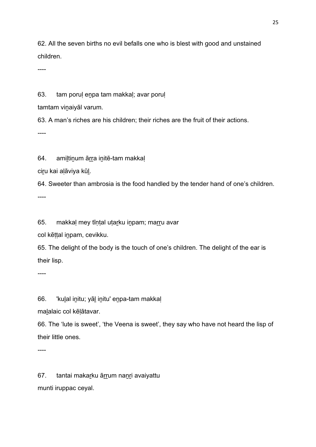62. All the seven births no evil befalls one who is blest with good and unstained children.

----

63. tam poruḷ eṉpa tam makkaḷ; avar poruḷ

tamtam vinaiyāl varum.

63. A man's riches are his children; their riches are the fruit of their actions.

----

64. amiltinum ārra initē-tam makkaļ

ciru kai alāviya kūl.

64. Sweeter than ambrosia is the food handled by the tender hand of one's children. ----

65. makkaļ mey tīņṭal uṭar̪ku in̪pam; marr̪u avar

col kēttal inpam, cevikku.

65. The delight of the body is the touch of one's children. The delight of the ear is their lisp.

----

66. 'kulal initu; yāl initu' enpa-tam makkal

maḻalaic col kēḷātavar.

66. The 'lute is sweet', 'the Veena is sweet', they say who have not heard the lisp of their little ones.

----

67. tantai makarku ārrum nanri avaiyattu munti iruppac ceyal.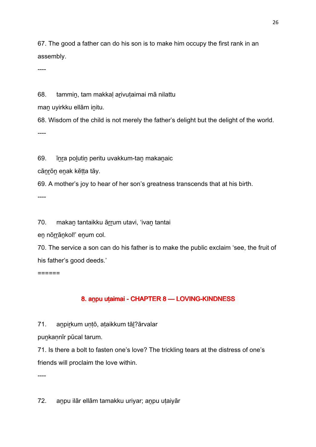67. The good a father can do his son is to make him occupy the first rank in an assembly.

----

68. tammin, tam makkal arivutaimai mā nilattu

man uyirkku ellām initu.

68. Wisdom of the child is not merely the father's delight but the delight of the world. ----

69. īṉṟa poḻutiṉ peritu uvakkum-taṉ makaṉaic

cānrōn enak kētta tāy.

69. A mother's joy to hear of her son's greatness transcends that at his birth.

----

70. makan tantaikku ārrum utavi, 'ivan tantai

en nōrrānkol!' enum col.

70. The service a son can do his father is to make the public exclaim 'see, the fruit of his father's good deeds.'

======

# 8. anpu uṭaimai - CHAPTER 8 — LOVING-KINDNESS

71. anpirkum untō, ataikkum tāl?ārvalar

punkannīr pūcal tarum.

71. Is there a bolt to fasten one's love? The trickling tears at the distress of one's friends will proclaim the love within.

----

72. anpu ilār ellām tamakku uriyar; anpu utaiyār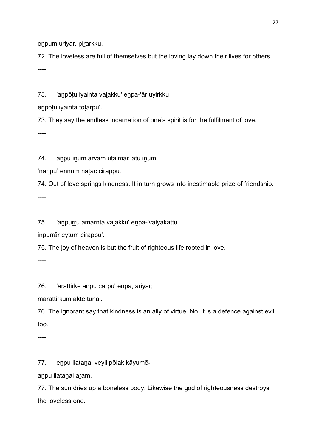enpum uriyar, pirarkku.

72. The loveless are full of themselves but the loving lay down their lives for others. ----

73. 'anpōtu iyainta valakku' enpa-'ār uyirkku

enpōtu iyainta totarpu'.

73. They say the endless incarnation of one's spirit is for the fulfilment of love.

----

74. anpu īnum ārvam uṭaimai; atu īnum,

'nanpu' ennum nātāc cirappu.

74. Out of love springs kindness. It in turn grows into inestimable prize of friendship. ----

75. 'anpurru amarnta valakku' enpa-'vaiyakattu

inpurrār eytum cirappu'.

75. The joy of heaven is but the fruit of righteous life rooted in love.

----

76. 'arattirkē anpu cārpu' enpa, ariyār;

marattirkum aktē tunai.

76. The ignorant say that kindness is an ally of virtue. No, it is a defence against evil too.

----

77. eṉpu ilataṉai veyil pōlak kāyumē-

aṉpu ilataṉai aṟam.

77. The sun dries up a boneless body. Likewise the god of righteousness destroys the loveless one.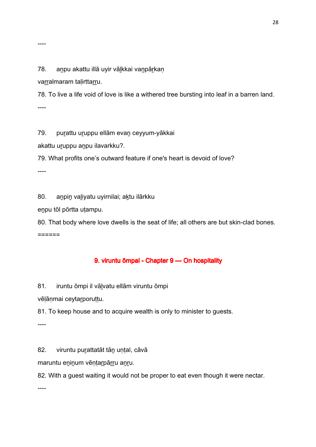#### 78. anpu akattu illā uyir vālkkai vanpārkan

varralmaram talirttarru.

78. To live a life void of love is like a withered tree bursting into leaf in a barren land. ----

79. purattu uruppu ellām evan ceyyum-yākkai

akattu uruppu anpu ilavarkku?.

79. What profits one's outward feature if one's heart is devoid of love?

----

80. anpin valiyatu uyirnilai; aktu ilārkku

eṉpu tōl pōrtta uṭampu.

80. That body where love dwells is the seat of life; all others are but skin-clad bones. ======

#### 9. viruntu ōmpal - Chapter 9 — On hospitality

81. iruntu ōmpi il vāḻvatu ellām viruntu ōmpi

vēlānmai ceytarporuttu.

81. To keep house and to acquire wealth is only to minister to guests.

----

82. viruntu purattatāt tān unțal, cāvā

maruntu eninum vēņtarpārru anru.

82. With a guest waiting it would not be proper to eat even though it were nectar.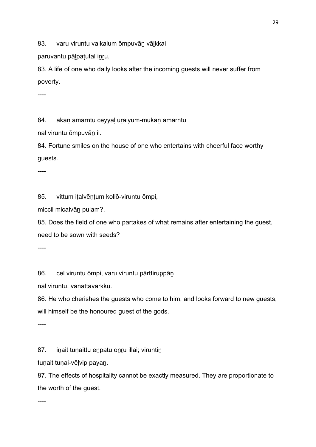83. varu viruntu vaikalum ōmpuvān vālkkai

paruvantu pālpatutal inru.

83. A life of one who daily looks after the incoming guests will never suffer from poverty.

----

84. akan amarntu ceyyāl uraiyum-mukan amarntu

nal viruntu ōmpuvāṉ il.

84. Fortune smiles on the house of one who entertains with cheerful face worthy guests.

----

85. vittum iṭalvēṇṭum kollō-viruntu ōmpi,

miccil micaivāṉ pulam?.

85. Does the field of one who partakes of what remains after entertaining the guest, need to be sown with seeds?

----

86. cel viruntu ōmpi, varu viruntu pārttiruppān

nal viruntu, vāṉattavarkku.

86. He who cherishes the guests who come to him, and looks forward to new guests, will himself be the honoured guest of the gods.

----

87. inait tunaittu enpatu onru illai; viruntin

tuṇait tuṇai-vēḷvip payan.

87. The effects of hospitality cannot be exactly measured. They are proportionate to the worth of the guest.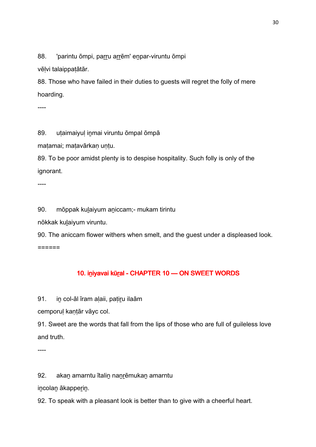88. 'parintu ōmpi, parru arrēm' enpar-viruntu ōmpi

vēḷvi talaippaṭātār.

88. Those who have failed in their duties to guests will regret the folly of mere hoarding.

----

89. utaimaiyul inmai viruntu ōmpal ōmpā

maṭamai; maṭavārkaṇ uṇṭu.

89. To be poor amidst plenty is to despise hospitality. Such folly is only of the ignorant.

----

90. mōppak kuḻaiyum aṉiccam;- mukam tirintu

nōkkak kuḻaiyum viruntu.

90. The aniccam flower withers when smelt, and the guest under a displeased look. ======

## 10. iniyavai kūral - CHAPTER 10 - ON SWEET WORDS

91. in col-āl īram alaii, patiru ilaām

cemporul kantār vāyc col.

91. Sweet are the words that fall from the lips of those who are full of guileless love and truth.

----

92. akan amarntu ītalin nanrēmukan amarntu

iṉcolaṉ ākappeṟiṉ.

92. To speak with a pleasant look is better than to give with a cheerful heart.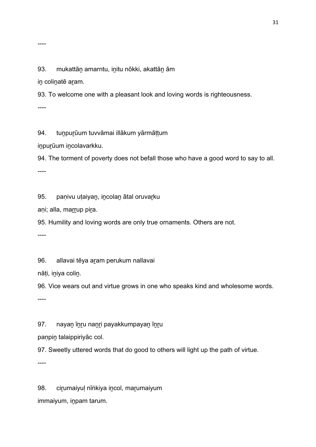#### 93. mukattān amarntu, initu nōkki, akattān ām

in colinatē aram.

93. To welcome one with a pleasant look and loving words is righteousness.

----

94. tunpurūum tuvvāmai illākum yārmāttum

inpurūum incolavarkku.

94. The torment of poverty does not befall those who have a good word to say to all.

----

95. paṇivu uṭaiyan, incolan ātal oruvarku

aṇi; alla, marrup pira.

95. Humility and loving words are only true ornaments. Others are not.

----

96. allavai tēya aram perukum nallavai

nāṭi, iṉiya coliṉ.

96. Vice wears out and virtue grows in one who speaks kind and wholesome words.

----

97. nayan īnru nanri payakkumpayan īnru

paṇpiṉ talaippiriyāc col.

97. Sweetly uttered words that do good to others will light up the path of virtue.

----

98. cirumaiyul nīṅkiya incol, marumaiyum

immaiyum, iṉpam tarum.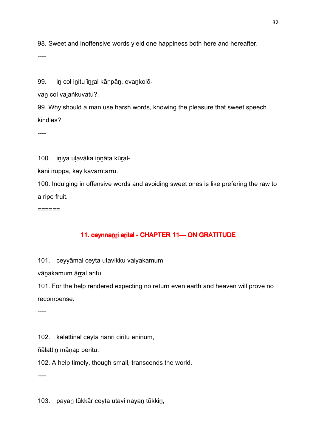98. Sweet and inoffensive words yield one happiness both here and hereafter.

----

99. in col initu īnral kānpān, evankolō-

van col valaṅkuvatu?.

99. Why should a man use harsh words, knowing the pleasure that sweet speech kindles?

----

100. iniya uļavāka innāta kūral-

kani iruppa, kāy kavarntarru.

100. Indulging in offensive words and avoiding sweet ones is like prefering the raw to a ripe fruit.

 $=$ 

## 11. ceynnanr arital - CHAPTER 11-ON GRATITUDE

101. ceyyāmal ceyta utavikku vaiyakamum

vānakamum ārral aritu.

101. For the help rendered expecting no return even earth and heaven will prove no recompense.

----

102. kālattināl ceyta nanri ciritu eninum,

ñālattiṉ māṇap peritu.

102. A help timely, though small, transcends the world.

----

103. payaṉ tūkkār ceyta utavi nayaṉ tūkkiṉ,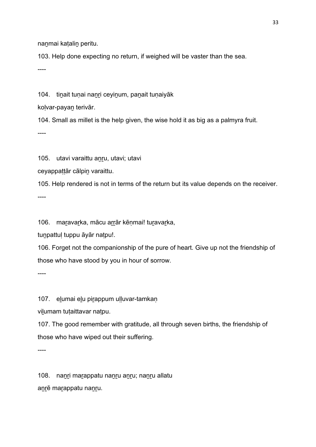nanmai katalin peritu.

103. Help done expecting no return, if weighed will be vaster than the sea.

----

104. tinait tunai nanri ceyinum, panait tunaiyāk

koḷvar-payaṉ terivār.

104. Small as millet is the help given, the wise hold it as big as a palmyra fruit.

----

105. utavi varaittu anru, utavi; utavi

ceyappattār cālpin varaittu.

105. Help rendered is not in terms of the return but its value depends on the receiver. ----

106. maṟavaṟka, mācu aṟṟār kēṇmai! tuṟavaṟka,

tunpattul tuppu āyār natpu!.

106. Forget not the companionship of the pure of heart. Give up not the friendship of those who have stood by you in hour of sorrow.

----

107. elumai elu pirappum ulluvar-tamkan

vilumam tutaittavar natpu.

107. The good remember with gratitude, all through seven births, the friendship of those who have wiped out their suffering.

----

108. nanֲr marappatu nanูru anูru; nanุru allatu aṉṟē maṟappatu naṉṟu.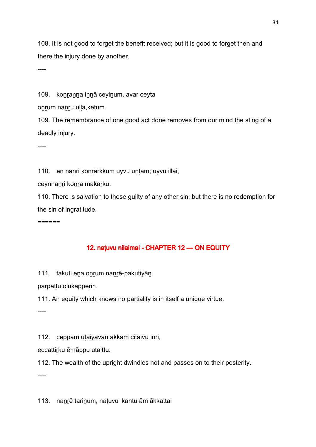108. It is not good to forget the benefit received; but it is good to forget then and there the injury done by another.

----

109. konranna innā ceyinum, avar ceyta

onrum nanru ulla,ketum.

109. The remembrance of one good act done removes from our mind the sting of a deadly injury.

----

110. en nanri konrārkkum uyvu untām; uyvu illai,

ceynnanri konra makarku.

110. There is salvation to those guilty of any other sin; but there is no redemption for the sin of ingratitude.

 $=$ 

## 12. natuvu nilaimai - CHAPTER 12 — ON EQUITY

111. takuti ena onrum nanrē-pakutiyān

pārpattu olukapperin.

111. An equity which knows no partiality is in itself a unique virtue.

----

112. ceppam uṭaiyavaṉ ākkam citaivu iṉṟi,

eccattirku ēmāppu utaittu.

112. The wealth of the upright dwindles not and passes on to their posterity.

----

113. nanrē tarinum, natuvu ikantu ām ākkattai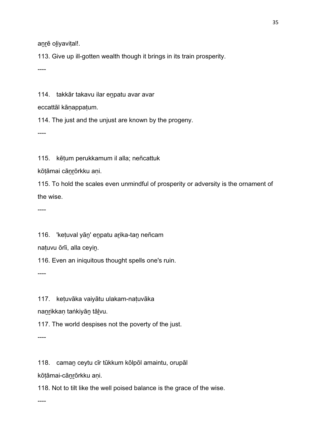anrē oliyavital!.

113. Give up ill-gotten wealth though it brings in its train prosperity.

----

114. takkār takavu ilar enpatu avar avar

eccattāl kāṇappaṭum.

114. The just and the unjust are known by the progeny.

----

115. kēṭum perukkamum il alla; neñcattuk

kōtāmai cānrōrkku ani.

115. To hold the scales even unmindful of prosperity or adversity is the ornament of the wise.

----

116. 'ketuval yān' enpatu arika-tan neñcam

naṭuvu ōrīi, alla ceyiṉ.

116. Even an iniquitous thought spells one's ruin.

----

117. keṭuvāka vaiyātu ulakam-naṭuvāka

nanrikkan taṅkiyān tālvu.

117. The world despises not the poverty of the just.

----

118. camaṉ ceytu cīr tūkkum kōlpōl amaintu, orupāl

kōṭāmai-cāṉṟōrkku aṇi.

118. Not to tilt like the well poised balance is the grace of the wise.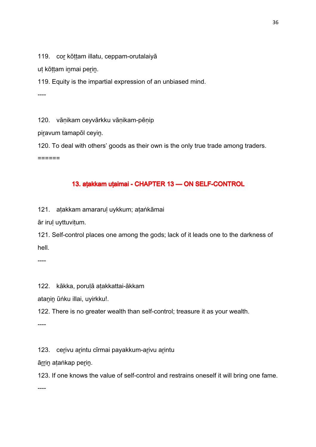119. cor kōttam illatu, ceppam-orutalaiyā

ut kōttam inmai perin.

119. Equity is the impartial expression of an unbiased mind.

----

120. vāṇikam ceyvārkku vāṇikam-pēṇip

piravum tamapōl ceyin.

120. To deal with others' goods as their own is the only true trade among traders.

 $=$ 

# 13. aṭakkam uṭaimai - CHAPTER 13 — ON SELF-CONTROL

121. aṭakkam amararuḷ uykkum; aṭaṅkāmai

ār iruḷ uyttuviṭum.

121. Self-control places one among the gods; lack of it leads one to the darkness of hell.

----

122. kākka, poruḷā aṭakkattai-ākkam

atanin ūṅku illai, uyirkku!.

122. There is no greater wealth than self-control; treasure it as your wealth.

----

123. cerivu arintu cīrmai payakkum-arivu arintu

ārrin atankap perin.

123. If one knows the value of self-control and restrains oneself it will bring one fame.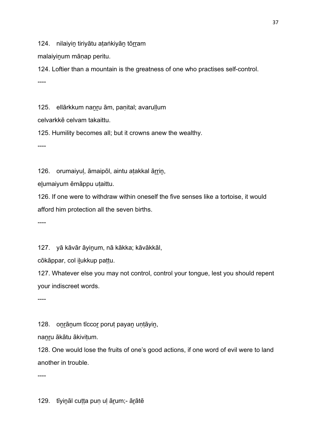124. nilaiyin tiriyātu ataṅkiyān tōrram

malaiyinum mānap peritu.

124. Loftier than a mountain is the greatness of one who practises self-control. ----

125. ellārkkum nanru ām, panital; avarullum

celvarkkē celvam takaittu.

125. Humility becomes all; but it crowns anew the wealthy.

----

126. orumaiyul, āmaipōl, aintu atakkal ārrin,

eḻumaiyum ēmāppu uṭaittu.

126. If one were to withdraw within oneself the five senses like a tortoise, it would afford him protection all the seven births.

----

127. yā kāvār āyinum, nā kākka; kāvākkāl,

cōkāppar, col iḻukkup paṭṭu.

127. Whatever else you may not control, control your tongue, lest you should repent your indiscreet words.

----

128. onrānum tīccor porut payan untāyin,

nanru ākātu ākivitum.

128. One would lose the fruits of one's good actions, if one word of evil were to land another in trouble.

----

129. tīyiṉāl cuṭṭa puṇ uḷ āṟum;- āṟātē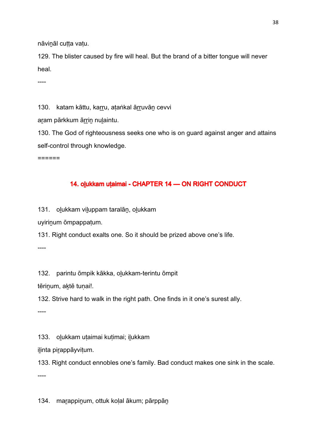nāvināl cutta vatu.

129. The blister caused by fire will heal. But the brand of a bitter tongue will never heal.

----

130. katam kāttu, karru, ataṅkal ārruvān cevvi

aram pārkkum ārrin nulaintu.

130. The God of righteousness seeks one who is on guard against anger and attains self-control through knowledge.

======

#### 14. olukkam uṭaimai - CHAPTER 14 — ON RIGHT CONDUCT

131. oḻukkam viḻuppam taralāṉ, oḻukkam

uyiriṉum ōmpappaṭum.

131. Right conduct exalts one. So it should be prized above one's life.

----

132. parintu ōmpik kākka, oḻukkam-terintu ōmpit

tēriṉum, aḵtē tuṇai!.

132. Strive hard to walk in the right path. One finds in it one's surest ally.

----

133. oḻukkam uṭaimai kuṭimai; iḻukkam

ilinta pirappāyvițum.

133. Right conduct ennobles one's family. Bad conduct makes one sink in the scale.

----

134. maṟappiṉum, ottuk koḷal ākum; pārppāṉ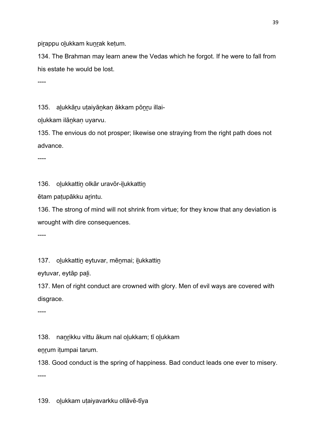pirappu olukkam kunrak ketum.

134. The Brahman may learn anew the Vedas which he forgot. If he were to fall from his estate he would be lost.

----

135. alukkāru utaiyānkan ākkam pōnru illai-

olukkam ilānkan uyarvu.

135. The envious do not prosper; likewise one straying from the right path does not advance.

----

136. olukkattin olkār uravōr-ilukkattin

ētam paṭupākku aṟintu.

136. The strong of mind will not shrink from virtue; for they know that any deviation is wrought with dire consequences.

----

137. olukkattin eytuvar, mēnmai; ilukkattin

eytuvar, eytāp paḻi.

137. Men of right conduct are crowned with glory. Men of evil ways are covered with disgrace.

----

138. nanrikku vittu ākum nal olukkam; tī olukkam

enrum itumpai tarum.

138. Good conduct is the spring of happiness. Bad conduct leads one ever to misery.

----

139. olukkam utaiyavarkku ollāvē-tīya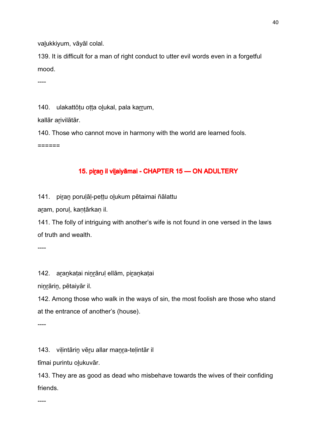valukkiyum, vāyāl colal.

139. It is difficult for a man of right conduct to utter evil words even in a forgetful mood.

----

140. ulakattōtu otta olukal, pala karrum,

kallār arivilātār.

140. Those who cannot move in harmony with the world are learned fools. ======

# 15. piran il vilaiyāmai - CHAPTER 15 — ON ADULTERY

141. piṟaṉ poruḷāḷ-peṭṭu oḻukum pētaimai ñālattu

aṟam, poruḷ, kaṇṭārkaṇ il.

141. The folly of intriguing with another's wife is not found in one versed in the laws of truth and wealth.

----

142. arankatai ninrārul ellām, pirankatai

niṉṟāriṉ, pētaiyār il.

142. Among those who walk in the ways of sin, the most foolish are those who stand at the entrance of another's (house).

----

143. viḷintāriṉ vēṟu allar maṉṟa-teḷintār il

tīmai purintu oḻukuvār.

143. They are as good as dead who misbehave towards the wives of their confiding friends.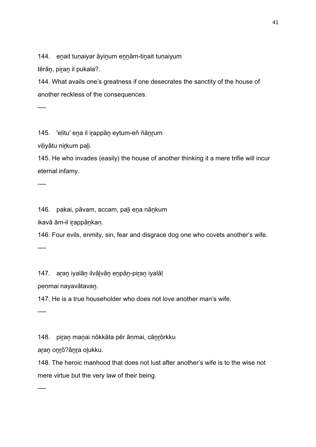144. eṉait tuṇaiyar āyiṉum eṉṉām-tiṉait tuṇaiyum

tērān, piran il pukala?.

144. What avails one's greatness if one desecrates the sanctity of the house of another reckless of the consequences.

----

145. 'elitu' ena il irappān eytum-eñ ñānrum

viliyātu nirkum pali.

145. He who invades (easily) the house of another thinking it a mere trifie will incur eternal infamy.

----

146. pakai, pāvam, accam, paḻi eṉa nāṉkum

ikavā ām-il iṟappāṉkaṇ.

146. Four evils, enmity, sin, fear and disgrace dog one who covets another's wife.

----

147. aṟaṉ iyalāṉ ilvāḻvāṉ eṉpāṉ-piṟaṉ iyalāḷ

peṇmai nayavātavaṉ.

147. He is a true householder who does not love another man's wife.

----

148. piṟaṉ maṉai nōkkāta pēr āṇmai, cāṉṟōrkku

aran onrō?ānra olukku.

148. The heroic manhood that does not lust after another's wife is to the wise not mere virtue but the very law of their being.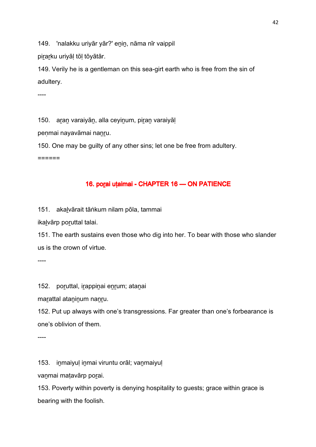149. 'nalakku uriyār yār?' enin, nāma nīr vaippil

pirarku uriyāl tōl tōyātār.

149. Verily he is a gentleman on this sea-girt earth who is free from the sin of adultery.

----

150. aran varaiyān, alla ceyinum, piran varaiyāl

penmai nayavāmai nanru.

150. One may be guilty of any other sins; let one be free from adultery.

======

# 16. porai utaimai - CHAPTER 16 - ON PATIENCE

151. akaḻvārait tāṅkum nilam pōla, tammai

ikalvārp poruttal talai.

151. The earth sustains even those who dig into her. To bear with those who slander us is the crown of virtue.

----

152. poruttal, irappinai enrum; atanai

marattal ataninum nanru.

152. Put up always with one's transgressions. Far greater than one's forbearance is one's oblivion of them.

----

153. inmaiyuļ inmai viruntu orāl; vanmaiyuļ

vaṉmai maṭavārp poṟai.

153. Poverty within poverty is denying hospitality to guests; grace within grace is bearing with the foolish.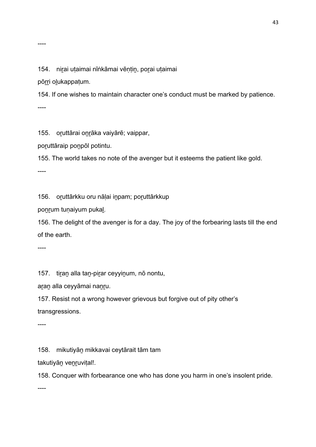154. niṟai uṭaimai nīṅkāmai vēṇṭiṉ, poṟai uṭaimai

pōrri olukappaṭum.

154. If one wishes to maintain character one's conduct must be marked by patience. ----

155. oruttārai onrāka vaiyārē; vaippar,

poruttāraip ponpōl potintu.

155. The world takes no note of the avenger but it esteems the patient like gold.

----

156. oṟuttārkku oru nāḷai iṉpam; poṟuttārkkup

ponrum tuṇaiyum pukal.

156. The delight of the avenger is for a day. The joy of the forbearing lasts till the end of the earth.

----

157. tiran alla tan-pirar ceyyinum, nō nontu,

aran alla ceyyāmai nanru.

157. Resist not a wrong however grievous but forgive out of pity other's transgressions.

----

158. mikutiyāṉ mikkavai ceytārait tām tam

takutiyāṉ veṉṟuviṭal!.

158. Conquer with forbearance one who has done you harm in one's insolent pride.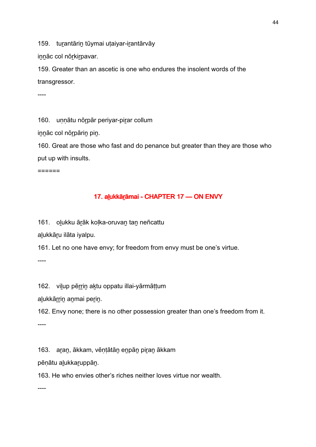159. turantārin tūymai utaiyar-irantārvāy

innāc col nōrkirpavar.

159. Greater than an ascetic is one who endures the insolent words of the transgressor.

----

160. unnātu nōrpār periyar-pirar collum

iṉṉāc col nōṟpāriṉ piṉ.

160. Great are those who fast and do penance but greater than they are those who put up with insults.

======

# 17. alukkārāmai - CHAPTER 17 — ON ENVY

161. oḻukku āṟāk koḷka-oruvaṉ taṉ neñcattu

alukkāru ilāta iyalpu.

161. Let no one have envy; for freedom from envy must be one's virtue.

----

162. viḻup pēṟṟiṉ aḵtu oppatu illai-yārmāṭṭum

alukkārrin anmai perin.

162. Envy none; there is no other possession greater than one's freedom from it.

----

163. aṟaṉ, ākkam, vēṇṭātāṉ eṉpāṉ piṟaṉ ākkam

pēṇātu aḻukkaṟuppāṉ.

163. He who envies other's riches neither loves virtue nor wealth.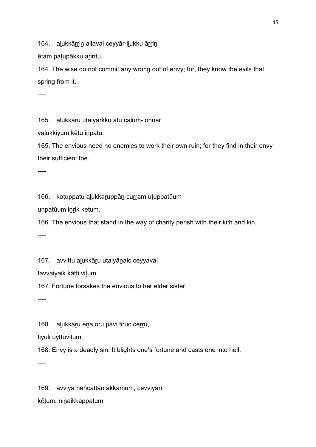164. alukkārrin allavai ceyyār-ilukku ārrin

ētam patupākku arintu.

164. The wise do not commit any wrong out of envy; for, they know the evils that spring from it.

----

165. alukkāru utaiyārkku atu cālum- onnār

valukkiyum kētu īnpatu.

165. The envious need no enemies to work their own ruin; for they find in their envy their sufficient foe.

----

166. koṭuppatu aḷukkar̪uppān curram uṭuppatūum

uṇpatūum iṉṟik keṭum.

166. The envious that stand in the way of charity perish with their kith and kin.

----

167. avvittu alukkāru utaiyānaic ceyyaval

tavvaiyaik kāṭṭi viṭum.

167. Fortune forsakes the envious to her elder sister.

----

168. alukkāru ena oru pāvi tiruc cerru,

tīyuḻi uyttuviṭum.

168. Envy is a deadly sin. It blights one's fortune and casts one into hell.

----

169. avviya neñcattāṉ ākkamum, cevviyāṉ kēṭum, niṉaikkappaṭum.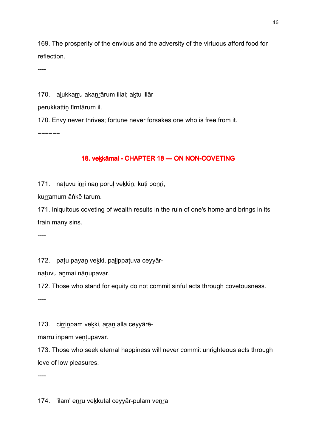169. The prosperity of the envious and the adversity of the virtuous afford food for reflection.

----

170. alukkarru akanrārum illai; aktu illār

perukkattin tīrntārum il.

170. Envy never thrives; fortune never forsakes one who is free from it. ======

## 18. vekkāmai - CHAPTER 18 — ON NON-COVETING

171. natuvu inri nan porul vekkin, kuti ponri,

kurramum āṅkē tarum.

171. Iniquitous coveting of wealth results in the ruin of one's home and brings in its train many sins.

----

172. patu payan vekki, palippatuva ceyyār-

naṭuvu aṉmai nāṇupavar.

172. Those who stand for equity do not commit sinful acts through covetousness.

----

173. cirrinpam vekki, aran alla ceyyārē-

marru inpam vēntupavar.

173. Those who seek eternal happiness will never commit unrighteous acts through love of low pleasures.

----

174. 'ilam' enru vekkutal ceyyār-pulam venra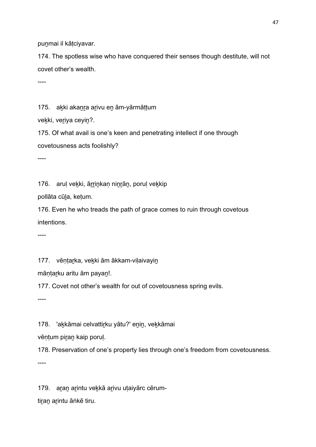punmai il kātciyavar.

174. The spotless wise who have conquered their senses though destitute, will not covet other's wealth.

----

175. akki akanra arivu en ām-yārmāttum

vekki, veriya ceyin?.

175. Of what avail is one's keen and penetrating intellect if one through covetousness acts foolishly?

----

176. aruļ vekki, ārrinkaņ ninrān, poruļ vekkip

pollāta cūḻa, keṭum.

176. Even he who treads the path of grace comes to ruin through covetous intentions.

----

177. vēntarka, vekki ām ākkam-vilaivayin

māṇṭaṟku aritu ām payaṉ!.

177. Covet not other's wealth for out of covetousness spring evils.

----

178. 'akkāmai celvattirku yātu?' enin, vekkāmai

vēṇṭum piṟaṉ kaip poruḷ.

178. Preservation of one's property lies through one's freedom from covetousness. ----

179. aran arintu vekkā arivu utaiyārc cērum-

tiran arintu āṅkē tiru.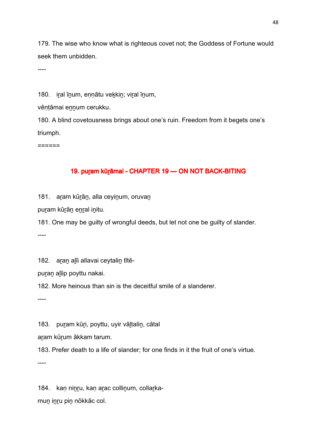179. The wise who know what is righteous covet not; the Goddess of Fortune would seek them unbidden.

----

180. iral īnum, ennātu vekkin; viral īnum,

vēntāmai ennum cerukku.

180. A blind covetousness brings about one's ruin. Freedom from it begets one's triumph.

======

#### 19. puram kūrāmai - CHAPTER 19 — ON NOT BACK-BITING

181. aram kūrān, alla ceyinum, oruvan

puṟam kūṟāṉ eṉṟal iṉitu.

181. One may be guilty of wrongful deeds, but let not one be guilty of slander.

----

182. aran alīi allavai ceytalin tītē-

puran alīip poyttu nakai.

182. More heinous than sin is the deceitful smile of a slanderer.

----

183. puram kūri, poyttu, uyir vāltalin, cātal

aram kūrum ākkam tarum.

183. Prefer death to a life of slander; for one finds in it the fruit of one's virtue.

----

184. kan ninru, kan arac collinum, collarkamuṉ iṉṟu piṉ nōkkāc col.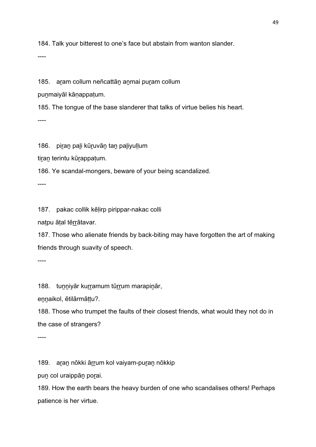184. Talk your bitterest to one's face but abstain from wanton slander.

----

185. aram collum neñcattān anmai puram collum

puṉmaiyāl kāṇappaṭum.

185. The tongue of the base slanderer that talks of virtue belies his heart. ----

186. piran pali kūruvān tan paliyullum

tiran terintu kūrappaṭum.

186. Ye scandal-mongers, beware of your being scandalized.

----

187. pakac collik kēḷirp pirippar-nakac colli

naṭpu āṭal tēṟṟātavar.

187. Those who alienate friends by back-biting may have forgotten the art of making friends through suavity of speech.

----

188. tunniyār kurramum tūrrum marapinār,

ennaikol, ētilārmāttu?.

188. Those who trumpet the faults of their closest friends, what would they not do in the case of strangers?

----

189. aran nōkki ārrum kol vaiyam-puran nōkkip

puṉ col uraippāṉ poṟai.

189. How the earth bears the heavy burden of one who scandalises others! Perhaps patience is her virtue.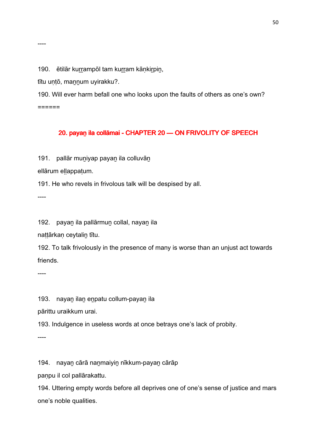190. ētilār kurrampōl tam kurram kānkirpin,

tītu untō, mannum uyirakku?.

190. Will ever harm befall one who looks upon the faults of others as one's own? ======

# 20. payan ila collāmai - CHAPTER 20 - ON FRIVOLITY OF SPEECH

191. pallār muṉiyap payaṉ ila colluvāṉ

ellārum ellappatum.

191. He who revels in frivolous talk will be despised by all.

----

----

192. payaṉ ila pallārmuṉ collal, nayaṉ ila

nattārkan ceytalin tītu.

192. To talk frivolously in the presence of many is worse than an unjust act towards friends.

----

193. nayan ilan enpatu collum-payan ila

pārittu uraikkum urai.

193. Indulgence in useless words at once betrays one's lack of probity.

----

194. nayaṉ cārā naṉmaiyiṉ nīkkum-payaṉ cārāp

paṇpu il col pallārakattu.

194. Uttering empty words before all deprives one of one's sense of justice and mars one's noble qualities.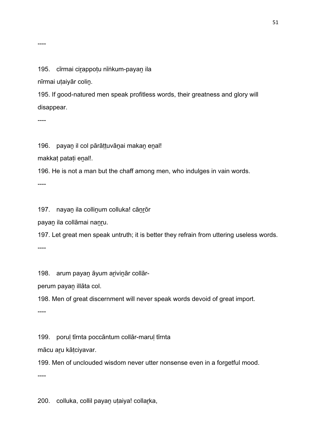#### 195. cīrmai cirappotu nīṅkum-payan ila

nīrmai uṭaiyār coliṉ.

195. If good-natured men speak profitless words, their greatness and glory will disappear.

----

196. payan il col pārāṭṭuvānai makan eṇal!

makkaṭ pataṭi eṉal!.

196. He is not a man but the chaff among men, who indulges in vain words.

----

197. nayan ila collinum colluka! cānrōr

payaṉ ila collāmai naṉṟu.

197. Let great men speak untruth; it is better they refrain from uttering useless words.

----

198. arum payan āyum arivinār collār-

perum payaṉ illāta col.

198. Men of great discernment will never speak words devoid of great import.

----

199. poruḷ tīrnta poccāntum collār-maruḷ tīrnta

mācu aṟu kāṭciyavar.

199. Men of unclouded wisdom never utter nonsense even in a forgetful mood.

----

200. colluka, collil payaṉ uṭaiya! collaṟka,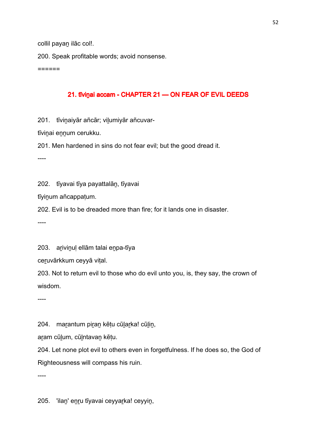collil payan ilāc col!.

200. Speak profitable words; avoid nonsense.

======

#### 21. tīvinai accam - CHAPTER 21 — ON FEAR OF EVIL DEEDS

201. tīvinaiyār añcār; vilumiyār añcuvar-

tīviṉai eṉṉum cerukku.

201. Men hardened in sins do not fear evil; but the good dread it.

----

202. tīyavai tīya payattalāṉ, tīyavai

tīyiṉum añcappaṭum.

202. Evil is to be dreaded more than fire; for it lands one in disaster.

----

203. arivinul ellām talai enpa-tīya

ceruvārkkum ceyyā vital.

203. Not to return evil to those who do evil unto you, is, they say, the crown of wisdom.

----

204. marantum piran kētu cūlarka! cūlin,

aṟam cūḻum, cūḻntavaṉ kēṭu.

204. Let none plot evil to others even in forgetfulness. If he does so, the God of Righteousness will compass his ruin.

----

205. 'ilaṉ' eṉṟu tīyavai ceyyaṟka! ceyyiṉ,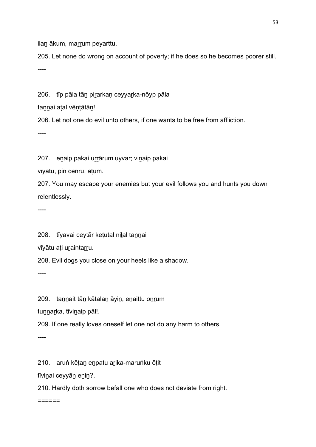ilan ākum, marrum peyarttu.

205. Let none do wrong on account of poverty; if he does so he becomes poorer still. ----

206. tīp pāla tāṉ piṟarkaṇ ceyyaṟka-nōyp pāla

tannai atal vēntātān!.

206. Let not one do evil unto others, if one wants to be free from affliction.

----

207. enaip pakai urrārum uyvar; vinaip pakai

vīyātu, pin cenru, atum.

207. You may escape your enemies but your evil follows you and hunts you down relentlessly.

----

208. tīyavai ceytār ketutal nilal tannai

vīyātu ati uraintarru.

208. Evil dogs you close on your heels like a shadow.

----

209. tannait tān kātalan āyin, enaittu onrum

tunnarka, tīvinaip pāl!.

209. If one really loves oneself let one not do any harm to others.

----

210. aruṅ kēṭaṉ eṉpatu aṟika-maruṅku ōṭit

tīviṉai ceyyāṉ eṉiṉ?.

210. Hardly doth sorrow befall one who does not deviate from right.

======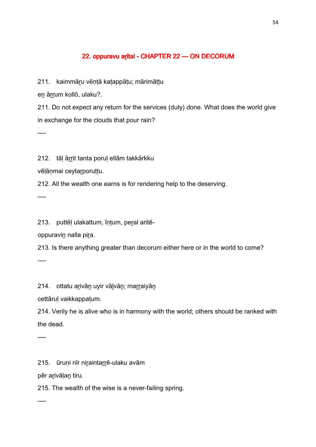## 22. oppuravu arital - CHAPTER 22 - ON DECORUM

211. kaimmāru vēntā katappātu; mārimāttu

eṉ āṟṟum kollō, ulaku?.

211. Do not expect any return for the services (duty) done. What does the world give in exchange for the clouds that pour rain?

----

212. tāļ ārrit tanta poruļ ellām takkārkku

vēlānmai ceytarporuttu.

212. All the wealth one earns is for rendering help to the deserving.

----

213. puttēḷ ulakattum, īṇṭum, peṟal aritē-

oppuravin nalla pira.

213. Is there anything greater than decorum either here or in the world to come? ----

214. ottatu arīvān uyir vālvān; marraiyān

cettāruḷ vaikkappaṭum.

214. Verily he is alive who is in harmony with the world; others should be ranked with the dead.

----

215. ūruņi nīr niraintarrē-ulaku avām

pēr aṟivāḷaṉ tiru.

215. The wealth of the wise is a never-failing spring.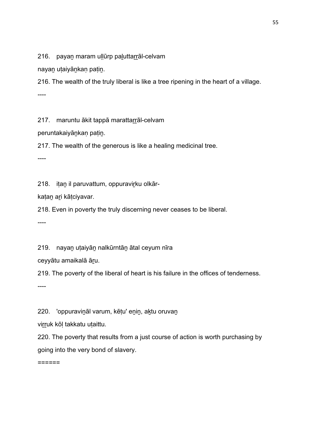216. payan maram ullūrp paluttarrāl-celvam

nayaṉ uṭaiyāṉkaṇ paṭiṉ.

216. The wealth of the truly liberal is like a tree ripening in the heart of a village. ----

217. maruntu ākit tappā marattarrāl-celvam

peruntakaiyāṉkaṇ paṭiṉ.

217. The wealth of the generous is like a healing medicinal tree.

----

218. itan il paruvattum, oppuravirku olkār-

kaṭaṉ aṟi kāṭciyavar.

218. Even in poverty the truly discerning never ceases to be liberal.

----

219. nayan utaiyān nalkūrntān ātal ceyum nīra

ceyyātu amaikalā āṟu.

219. The poverty of the liberal of heart is his failure in the offices of tenderness.

----

220. 'oppuravināl varum, kētu' enin, aktu oruvan

virruk kōl takkatu utaittu.

220. The poverty that results from a just course of action is worth purchasing by going into the very bond of slavery.

======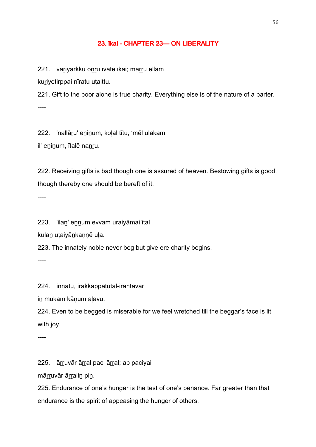#### 23. īkai - CHAPTER 23 CHAPTER 24 CHAPTER 24 CHAPTER 23

221. variyārkku onru īvatē īkai; marru ellām

kuriyetirppai nīratu utaittu.

221. Gift to the poor alone is true charity. Everything else is of the nature of a barter. ----

222. 'nallāru' eninum, kolal tītu; 'mēl ulakam

il' eninum, ītalē nanru.

222. Receiving gifts is bad though one is assured of heaven. Bestowing gifts is good, though thereby one should be bereft of it.

----

223. 'ilaṉ' eṉṉum evvam uraiyāmai ītal

kulan utaiyānkannē ula.

223. The innately noble never beg but give ere charity begins.

----

224. iṉṉātu, irakkappaṭutal-irantavar

in mukam kānum alavu.

224. Even to be begged is miserable for we feel wretched till the beggar's face is lit with joy.

----

225. ārruvār ārral paci ārral; ap paciyai

mārruvār ārralin pin.

225. Endurance of one's hunger is the test of one's penance. Far greater than that endurance is the spirit of appeasing the hunger of others.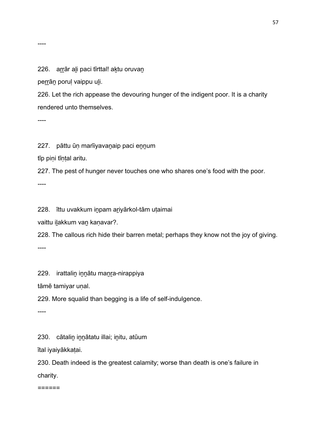#### 226. arrār ali paci tīrttal! aktu oruvan

perrān poruļ vaippu uli.

226. Let the rich appease the devouring hunger of the indigent poor. It is a charity rendered unto themselves.

----

----

227. pāttu ūṇ marīiyavaṉaip paci eṉṉum

tīp piṇi tīṇṭal aritu.

227. The pest of hunger never touches one who shares one's food with the poor.

----

228. īttu uvakkum iṉpam aṟiyārkol-tām uṭaimai

vaittu iḻakkum vaṉ kaṇavar?.

228. The callous rich hide their barren metal; perhaps they know not the joy of giving.

----

229. irattalin innātu manra-nirappiya

tāmē tamiyar uṇal.

229. More squalid than begging is a life of self-indulgence.

----

230. cātaliṉ iṉṉātatu illai; iṉitu, atūum

ītal iyaiyākkaṭai.

230. Death indeed is the greatest calamity; worse than death is one's failure in charity.

======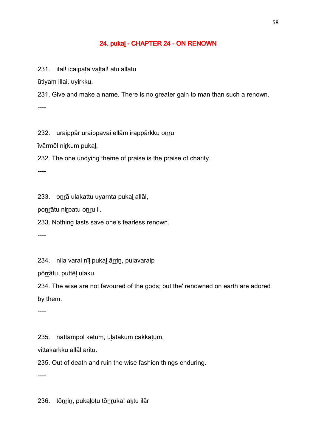#### 24. pukal - CHAPTER 24 - ON RENOWN

231. ītal! icaipata vāltal! atu allatu

ūtiyam illai, uyirkku.

231. Give and make a name. There is no greater gain to man than such a renown. ----

232. uraippār uraippavai ellām irappārkku onru

īvārmēl niṟkum pukaḻ.

232. The one undying theme of praise is the praise of charity.

----

233. oṉṟā ulakattu uyarnta pukaḻ allāl,

poṉṟātu niṟpatu oṉṟu il.

233. Nothing lasts save one's fearless renown.

----

234. nila varai nīl pukal ārrin, pulavaraip

pōṟṟātu, puttēḷ ulaku.

234. The wise are not favoured of the gods; but the' renowned on earth are adored by them.

----

235. nattampōl kēṭum, uḷatākum cākkāṭum,

vittakarkku allāl aritu.

235. Out of death and ruin the wise fashion things enduring.

----

236. tōṉṟiṉ, pukaḻoṭu tōṉṟuka! aḵtu ilār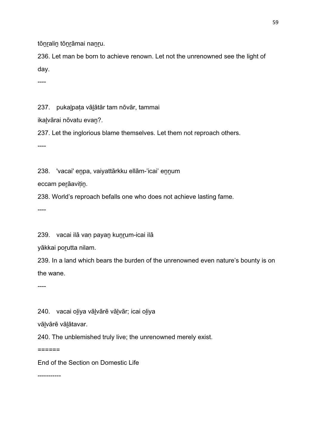tōnralin tōnrāmai nanru.

236. Let man be born to achieve renown. Let not the unrenowned see the light of day.

----

237. pukaḻpaṭa vāḻātār tam nōvār, tammai

ikalvārai nōvatu evan?.

237. Let the inglorious blame themselves. Let them not reproach others.

----

238. 'vacai' enpa, vaiyattārkku ellām-'icai' ennum

eccam peṟāaviṭiṉ.

238. World's reproach befalls one who does not achieve lasting fame.

----

239. vacai ilā van payan kunrum-icai ilā

yākkai poṟutta nilam.

239. In a land which bears the burden of the unrenowned even nature's bounty is on the wane.

----

240. vacai oḻiya vāḻvārē vāḻvār; icai oḻiya

vālvārē vālātavar.

240. The unblemished truly live; the unrenowned merely exist.

 $=$ 

End of the Section on Domestic Life

-----------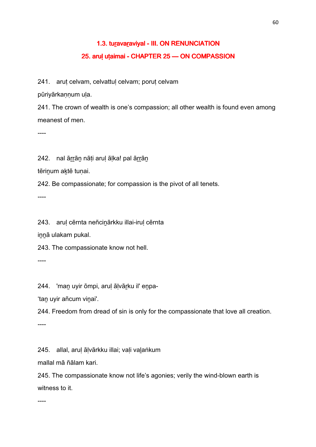# 1.3. turavaraviyal - III. ON RENUNCIATION 25. arul utaimai - CHAPTER 25 - ON COMPASSION

241. arut celvam, celvattul celvam; porut celvam

pūriyārkaṇṇum uḷa.

241. The crown of wealth is one's compassion; all other wealth is found even among meanest of men.

----

242. nal ārrāṇ nāṭi aruḷ āḷka! pal ārrāṇ

tērinum aktē tunai.

242. Be compassionate; for compassion is the pivot of all tenets.

----

243. aruḷ cērnta neñciṉārkku illai-iruḷ cērnta

innā ulakam pukal.

243. The compassionate know not hell.

----

244. 'maṉ uyir ōmpi, aruḷ āḷvāṟku il' eṉpa-

'tan uyir añcum vinai'.

244. Freedom from dread of sin is only for the compassionate that love all creation.

----

245. allal, arul ālvārkku illai; vali valaṅkum

mallal mā ñālam kari.

245. The compassionate know not life's agonies; verily the wind-blown earth is witness to it.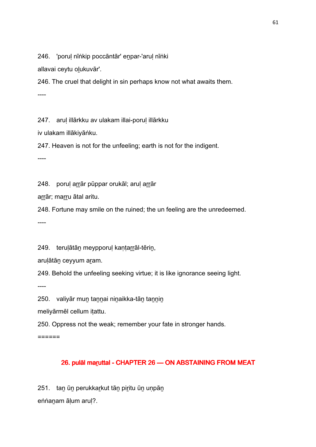246. 'porul nīṅkip poccāntār' enpar-'arul nīṅki

allavai ceytu oḻukuvār'.

246. The cruel that delight in sin perhaps know not what awaits them.

----

247. arul illārkku av ulakam illai-porul illārkku

iv ulakam illākiyāṅku.

247. Heaven is not for the unfeeling; earth is not for the indigent.

----

248. poruļ arrār pūppar orukāl; aruļ arrār

arrār; marru ātal aritu.

248. Fortune may smile on the ruined; the un feeling are the unredeemed.

----

249. terulātān meypporul kantarrāl-tērin,

aruḷātāṉ ceyyum aṟam.

249. Behold the unfeeling seeking virtue; it is like ignorance seeing light.

----

250. valiyār mun tannai ninaikka-tān tannin

meliyārmēl cellum iṭattu.

250. Oppress not the weak; remember your fate in stronger hands.

======

## 26. pulāl maruttal - CHAPTER 26 - ON ABSTAINING FROM MEAT

251. tan ūn perukkarkut tān piritu ūn unpān eṅṅaṉam āḷum aruḷ?.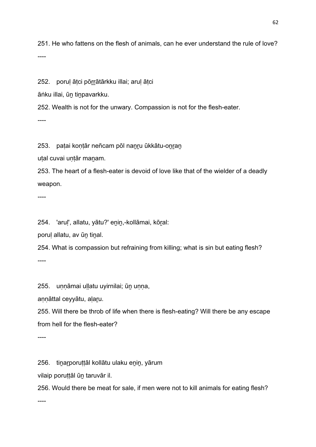251. He who fattens on the flesh of animals, can he ever understand the rule of love? ----

252. porul ātci pōrrātārkku illai; arul ātci

āṅku illai, ūṉ tiṉpavarkku.

252. Wealth is not for the unwary. Compassion is not for the flesh-eater.

----

253. patai kontār neñcam pōl nanru ūkkātu-onran

uṭal cuvai uṇṭār maṉam.

253. The heart of a flesh-eater is devoid of love like that of the wielder of a deadly weapon.

----

254. 'aruḷ', allatu, yātu?' eṉiṉ,-kollāmai, kōṟal:

porul allatu, av ūn tinal.

254. What is compassion but refraining from killing; what is sin but eating flesh? ----

255. uṇṇāmai uḷḷatu uyirnilai; ūṉ uṇṇa,

annāttal ceyyātu, alaru.

255. Will there be throb of life when there is flesh-eating? Will there be any escape from hell for the flesh-eater?

----

256. tinarporuttāl kollātu ulaku enin, yārum

vilaip poruṭṭāl ūṉ taruvār il.

256. Would there be meat for sale, if men were not to kill animals for eating flesh?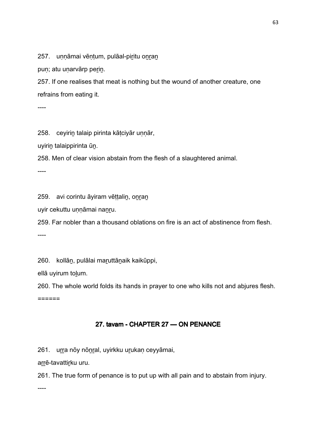257. unnāmai vēntum, pulāal-piritu onran

puṇ; atu uṇarvārp perin.

257. If one realises that meat is nothing but the wound of another creature, one refrains from eating it.

----

258. ceyirin talaip pirinta kātciyār unnār,

uyiriṉ talaippirinta ūṉ.

258. Men of clear vision abstain from the flesh of a slaughtered animal.

----

259. avi corintu āyiram vēttalin, onran

uyir cekuttu uṇṇāmai naṉṟu.

259. Far nobler than a thousand oblations on fire is an act of abstinence from flesh. ----

260. kollān, pulālai maruttānaik kaikūppi,

ellā uyirum toḻum.

260. The whole world folds its hands in prayer to one who kills not and abjures flesh.  $=$ 

# 27. tavam - CHAPTER 27 - ON PENANCE

261. urra nōy nōnral, uyirkku urukan ceyyāmai,

arrē-tavattirku uru.

261. The true form of penance is to put up with all pain and to abstain from injury.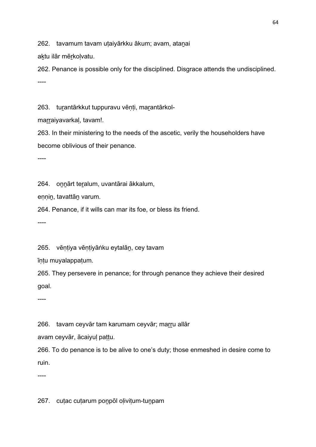262. tavamum tavam utaiyārkku ākum; avam, atanai

aktu ilār mērkolvatu.

262. Penance is possible only for the disciplined. Disgrace attends the undisciplined. ----

263. turantārkkut tuppuravu vēnti, marantārkol-

marraiyavarkal, tavam!.

263. In their ministering to the needs of the ascetic, verily the householders have become oblivious of their penance.

----

264. oṉṉārt teṟalum, uvantārai ākkalum,

eṇṇiṉ, tavattāṉ varum.

264. Penance, if it wills can mar its foe, or bless its friend.

----

265. vēntiya vēntiyāṅku eytalān, cey tavam

īṇṭu muyalappaṭum.

265. They persevere in penance; for through penance they achieve their desired goal.

----

266. tavam ceyvār tam karumam ceyvār; marru allār

avam ceyvār, ācaiyuḷ paṭṭu.

266. To do penance is to be alive to one's duty; those enmeshed in desire come to ruin.

----

267. cuṭac cuṭarum poṉpōl oḷiviṭum-tuṉpam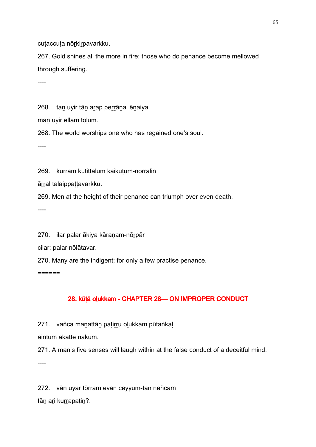cutaccuta nōrkirpavarkku.

267. Gold shines all the more in fire; those who do penance become mellowed through suffering.

----

268. tan uyir tān arap perrānai ēnaiya

man uyir ellām tolum.

268. The world worships one who has regained one's soul.

----

269. kūrram kutittalum kaikūtum-nōrralin

ārral talaippattavarkku.

269. Men at the height of their penance can triumph over even death.

----

270. ilar palar ākiya kāranam-nōrpār

cilar; palar nōlātavar.

270. Many are the indigent; for only a few practise penance.

======

# 28. kūṭā oḷukkam - CHAPTER 28- ON IMPROPER CONDUCT

271. vañca manattān patirru olukkam pūtaṅkal

aintum akattē nakum.

271. A man's five senses will laugh within at the false conduct of a deceitful mind. ----

272. vān uyar tōrram evan ceyyum-tan neñcam

tān ari kurrapatin?.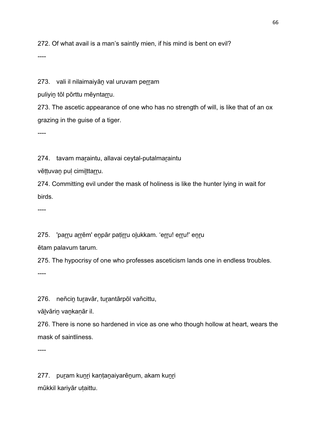272. Of what avail is a man's saintly mien, if his mind is bent on evil?

----

273. vali il nilaimaiyān val uruvam perram

puliyin tōl pōrttu mēyntarru.

273. The ascetic appearance of one who has no strength of will, is like that of an ox grazing in the guise of a tiger.

----

274. tavam maraintu, allavai ceytal-putalmaraintu

vēttuvan pul cimilttarru.

274. Committing evil under the mask of holiness is like the hunter lying in wait for birds.

----

275. 'parru arrēm' enpār patirru olukkam. 'erru! erru!' enru

ētam palavum tarum.

275. The hypocrisy of one who professes asceticism lands one in endless troubles. ----

276. neñcin turavār, turantārpōl vañcittu,

vāḻvāriṉ vaṉkaṇār il.

276. There is none so hardened in vice as one who though hollow at heart, wears the mask of saintliness.

----

277. puram kunri kaṇṭanaiyarēnum, akam kuṇri mūkkil kariyār uṭaittu.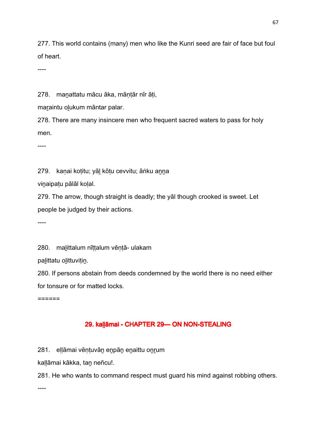277. This world contains (many) men who like the Kunri seed are fair of face but foul of heart.

----

278. manattatu mācu āka, māntār nīr āti,

maraintu olukum māntar palar.

278. There are many insincere men who frequent sacred waters to pass for holy men.

----

279. kanai kotitu; yāl kōtu cevvitu; āṅku anna

viṉaipaṭu pālāl koḷal.

279. The arrow, though straight is deadly; the yāl though crooked is sweet. Let people be judged by their actions.

----

280. malittalum nīttalum vēntā- ulakam

palittatu olittuvitin.

280. If persons abstain from deeds condemned by the world there is no need either for tonsure or for matted locks.

======

## 29. kallāmai - CHAPTER 29-ON NON-STEALING

281. eḷḷāmai vēṇṭuvāṉ eṉpāṉ eṉaittu oṉṟum

kaḷḷāmai kākka, taṉ neñcu!.

281. He who wants to command respect must guard his mind against robbing others.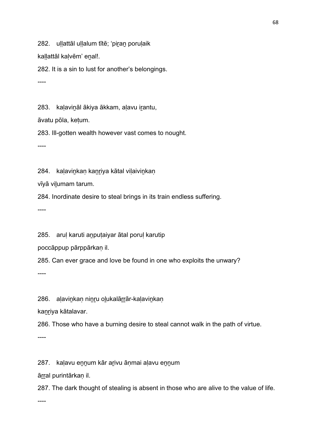282. ullattāl ullalum tītē; 'piran porulaik

kallattāl kalvēm' enal!.

282. It is a sin to lust for another's belongings.

----

283. kalavināl ākiya ākkam, alavu irantu,

āvatu pōla, keṭum.

283. Ill-gotten wealth however vast comes to nought.

----

284. kalavinkan kanriya kātal vilaivinkan

vīyā viḻumam tarum.

284. Inordinate desire to steal brings in its train endless suffering.

----

285. arul karuti anputaiyar ātal porul karutip

poccāppup pārppārkaṇ il.

285. Can ever grace and love be found in one who exploits the unwary?

----

286. alavinkan ninru olukalārrār-kalavinkan

kanriya kātalavar.

286. Those who have a burning desire to steal cannot walk in the path of virtue.

----

287. kaḷavu eṉṉum kār aṟivu āṇmai aḷavu eṉṉum

āṟṟal purintārkaṇ il.

287. The dark thought of stealing is absent in those who are alive to the value of life.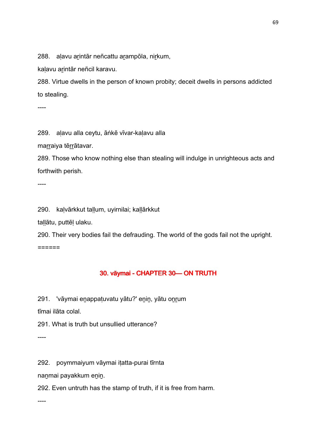288. alavu arintār neñcattu arampōla, nirkum,

kalavu arintār neñcil karavu.

288. Virtue dwells in the person of known probity; deceit dwells in persons addicted to stealing.

----

289. aḷavu alla ceytu, āṅkē vīvar-kaḷavu alla

marraiya tērrātavar.

289. Those who know nothing else than stealing will indulge in unrighteous acts and forthwith perish.

----

290. kaḷvārkkut taḷḷum, uyirnilai; kaḷḷārkkut

taḷḷātu, puttēḷ ulaku.

290. Their very bodies fail the defrauding. The world of the gods fail not the upright. ======

## 30. vāymai - CHAPTER 30 — ON TRUTH

291. 'vāymai eṉappaṭuvatu yātu?' eṉiṉ, yātu oṉṟum

tīmai ilāta colal.

291. What is truth but unsullied utterance?

----

292. poymmaiyum vāymai iṭatta-purai tīrnta

naṉmai payakkum eṉiṉ.

292. Even untruth has the stamp of truth, if it is free from harm.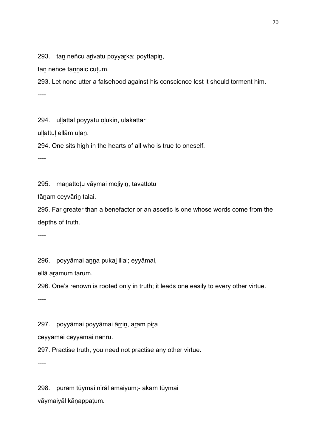293. tan neñcu arivatu poyyarka; poyttapin,

tan neñcē tannaic cutum.

293. Let none utter a falsehood against his conscience lest it should torment him. ----

294. ullattāl poyyātu olukin, ulakattār

ullattul ellām ulan.

294. One sits high in the hearts of all who is true to oneself.

----

295. maṉattoṭu vāymai moḻiyiṉ, tavattoṭu

tāṉam ceyvāriṉ talai.

295. Far greater than a benefactor or an ascetic is one whose words come from the depths of truth.

----

296. poyyāmai aṉṉa pukaḻ illai; eyyāmai,

ellā aramum tarum.

296. One's renown is rooted only in truth; it leads one easily to every other virtue.

----

297. poyyāmai poyyāmai ārrin, aram pira

ceyyāmai ceyyāmai naṉṟu.

297. Practise truth, you need not practise any other virtue.

----

298. puṟam tūymai nīrāl amaiyum;- akam tūymai vāymaiyāl kāṇappaṭum.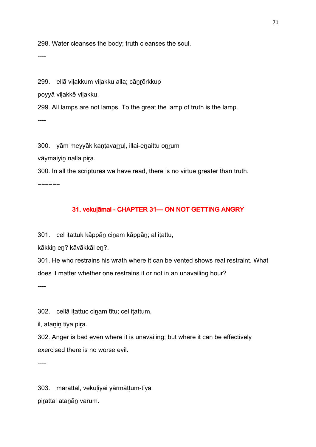298. Water cleanses the body; truth cleanses the soul.

----

299. ellā vilakkum vilakku alla; cānrōrkkup

poyyā viḷakkē viḷakku.

299. All lamps are not lamps. To the great the lamp of truth is the lamp.  $---$ 

300. yām meyyāk kantavarrul, illai-enaittu onrum

vāymaiyin nalla pira.

300. In all the scriptures we have read, there is no virtue greater than truth. ======

# 31. vekuļāmai - CHAPTER 31— ON NOT GETTING ANGRY

301. cel itattuk kāppān cinam kāppān; al itattu,

kākkin en? kāvākkāl en?.

301. He who restrains his wrath where it can be vented shows real restraint. What does it matter whether one restrains it or not in an unavailing hour?

----

302. cellā itattuc cinam tītu; cel itattum,

il, atanin tīya pira.

302. Anger is bad even where it is unavailing; but where it can be effectively exercised there is no worse evil.

----

303. maṟattal, vekuḷiyai yārmāṭṭum-tīya pirattal atanān varum.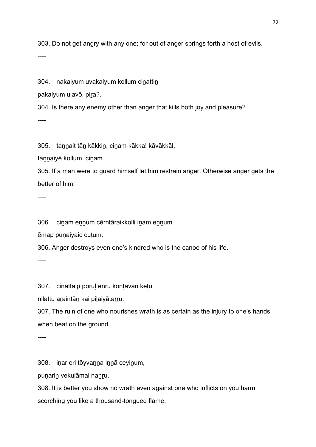303. Do not get angry with any one; for out of anger springs forth a host of evils.

----

304. nakaiyum uvakaiyum kollum cinattin

pakaiyum ulavō, pira?.

304. Is there any enemy other than anger that kills both joy and pleasure?  $---$ 

305. tannait tān kākkin, cinam kākka! kāvākkāl,

tannaiyē kollum, cinam.

305. If a man were to guard himself let him restrain anger. Otherwise anger gets the better of him.

----

306. cinam ennum cērntāraikkolli inam ennum

ēmap puṇaiyaic cuṭum.

306. Anger destroys even one's kindred who is the canoe of his life.

----

307. ciṉattaip poruḷ eṉṟu koṇṭavaṉ kēṭu

nilattu araintān kai pilaiyātarru.

307. The ruin of one who nourishes wrath is as certain as the injury to one's hands when beat on the ground.

----

308. iṇar eri tōyvaṉṉa iṉṉā ceyiṉum,

puṇariṉ vekuḷāmai naṉṟu.

308. It is better you show no wrath even against one who inflicts on you harm scorching you like a thousand-tongued flame.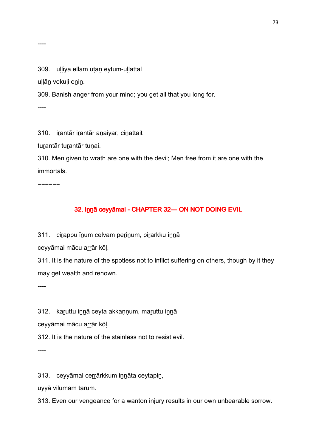----

309. ulliya ellām utan eytum-ullattāl

uḷḷāṉ vekuḷi eṉiṉ.

309. Banish anger from your mind; you get all that you long for.

----

310. irantār irantār anaiyar; cinattait

turantār turantār tunai.

310. Men given to wrath are one with the devil; Men free from it are one with the immortals.

======

## 32. inna ceyyamai - CHAPTER 32 — ON NOT DOING EVIL

311. cirappu īnum celvam perinum, pirarkku innā

ceyyāmai mācu arrār kōl.

311. It is the nature of the spotless not to inflict suffering on others, though by it they may get wealth and renown.

----

312. karuttu innā ceyta akkannum, maruttu innā

ceyyāmai mācu arrār kōl.

312. It is the nature of the stainless not to resist evil.

----

313. ceyyāmal cerrārkkum innāta ceytapin,

uyyā viḻumam tarum.

313. Even our vengeance for a wanton injury results in our own unbearable sorrow.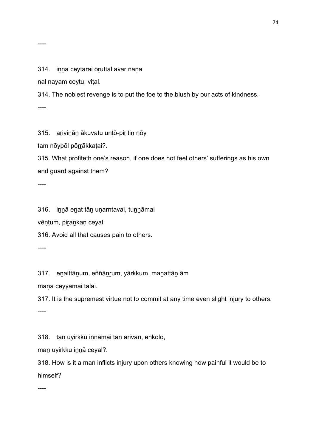### 314. innā ceytārai oruttal avar nāna

nal nayam ceytu, viṭal.

314. The noblest revenge is to put the foe to the blush by our acts of kindness.

----

315. aṟiviṉāṉ ākuvatu uṇṭō-piṟitiṉ nōy

tam nōypōl pōrrākkaṭai?.

315. What profiteth one's reason, if one does not feel others' sufferings as his own and guard against them?

----

316. iṉṉā eṉat tāṉ uṇarntavai, tuṉṉāmai

vēņṭum, pirankaņ ceyal.

316. Avoid all that causes pain to others.

----

317. eṉaittāṉum, eññāṉṟum, yārkkum, maṉattāṉ ām

māṇā ceyyāmai talai.

317. It is the supremest virtue not to commit at any time even slight injury to others.

----

318. taṉ uyirkku iṉṉāmai tāṉ aṟivāṉ, eṉkolō,

man uyirkku innā ceyal?.

318. How is it a man inflicts injury upon others knowing how painful it would be to himself?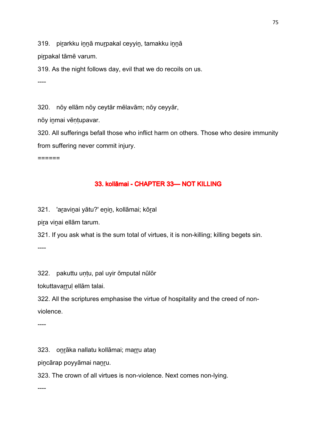319. pirarkku innā murpakal ceyyin, tamakku innā

pirpakal tāmē varum.

319. As the night follows day, evil that we do recoils on us.

----

320. nōy ellām nōy ceytār mēlavām; nōy ceyyār,

nōy inmai vēntupavar.

320. All sufferings befall those who inflict harm on others. Those who desire immunity from suffering never commit injury.

======

## 33. kollāmai - CHAPTER 33- NOT KILLING

321. 'aṟaviṉai yātu?' eṉiṉ, kollāmai; kōṟal

pira vinai ellām tarum.

321. If you ask what is the sum total of virtues, it is non-killing; killing begets sin.

----

322. pakuttu untu, pal uyir ōmputal nūlōr

tokuttavarruļ ellām talai.

322. All the scriptures emphasise the virtue of hospitality and the creed of nonviolence.

----

323. onrāka nallatu kollāmai; marru atan

pincārap poyyāmai nanru.

323. The crown of all virtues is non-violence. Next comes non-lying.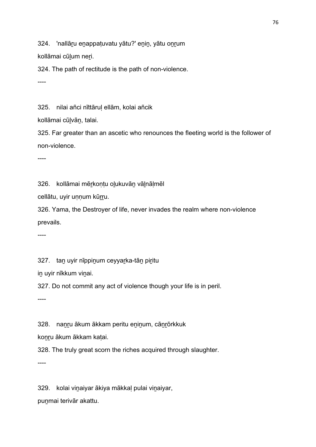324. 'nallāru enappatuvatu yātu?' enin, yātu onrum

kollāmai cūlum neri.

324. The path of rectitude is the path of non-violence.

----

325. nilai añci nīttāruḷ ellām, kolai añcik

kollāmai cūḻvāṉ, talai.

325. Far greater than an ascetic who renounces the fleeting world is the follower of non-violence.

----

326. kollāmai mēṟkoṇṭu oḻukuvāṉ vāḻnāḷmēl

cellātu, uyir uṇṇum kūrru.

326. Yama, the Destroyer of life, never invades the realm where non-violence prevails.

----

327. tan uyir nīppinum ceyyarka-tān piritu

iṉ uyir nīkkum viṉai.

327. Do not commit any act of violence though your life is in peril.

----

328. nanru ākum ākkam peritu eninum, cānrōrkkuk

koṉṟu ākum ākkam kaṭai.

328. The truly great scorn the riches acquired through slaughter.

----

329. kolai viṉaiyar ākiya mākkaḷ pulai viṉaiyar, puṉmai terivār akattu.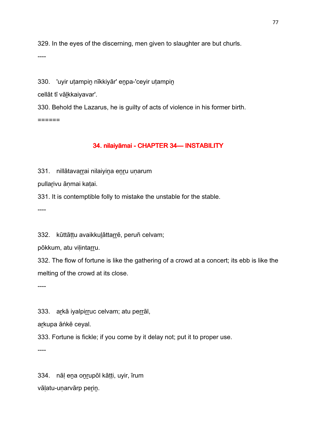329. In the eyes of the discerning, men given to slaughter are but churls.

----

330. 'uyir utampin nīkkiyār' enpa-'ceyir utampin

cellāt tī vāḻkkaiyavar'.

330. Behold the Lazarus, he is guilty of acts of violence in his former birth. ======

## 34. nilaiyāmai - CHAPTER 34 — INSTABILITY

331. nillātavarrai nilaiyina enru unarum

pullarivu āṇmai kaṭai.

331. It is contemptible folly to mistake the unstable for the stable.

----

332. kūttāttu avaikkulāttarrē, peruñ celvam;

pōkkum, atu vilintarru.

332. The flow of fortune is like the gathering of a crowd at a concert; its ebb is like the melting of the crowd at its close.

----

333. arkā iyalpirruc celvam; atu perrāl,

arkupa āṅkē ceyal.

333. Fortune is fickle; if you come by it delay not; put it to proper use.

----

334. nāḷ eṉa oṉṟupōl kāṭṭi, uyir, īrum vāļatu-uṇarvārp perin.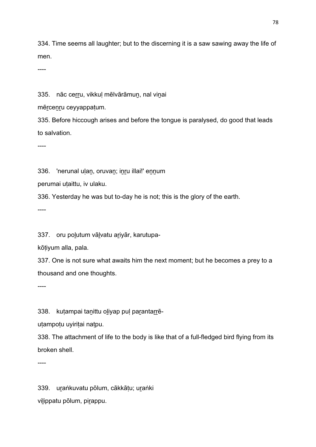334. Time seems all laughter; but to the discerning it is a saw sawing away the life of men.

----

335. nāc cerru, vikkul mēlvārāmun, nal vinai

mērcenru ceyyappatum.

335. Before hiccough arises and before the tongue is paralysed, do good that leads to salvation.

----

336. 'nerunal ulan, oruvan; inru illai!' ennum

perumai uṭaittu, iv ulaku.

336. Yesterday he was but to-day he is not; this is the glory of the earth.

----

337. oru polutum vālvatu ariyār, karutupa-

kōṭiyum alla, pala.

337. One is not sure what awaits him the next moment; but he becomes a prey to a thousand and one thoughts.

----

338. kutampai tanittu oliyap pul parantarrē-

utampotu uyiritai natpu.

338. The attachment of life to the body is like that of a full-fledged bird flying from its broken shell.

----

339. uṟaṅkuvatu pōlum, cākkāṭu; uṟaṅki viḻippatu pōlum, piṟappu.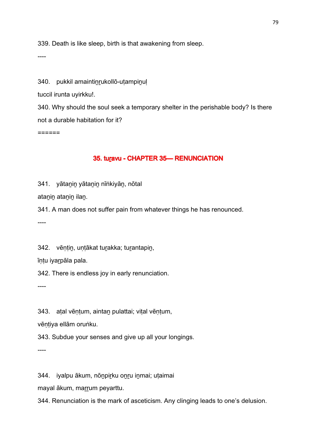339. Death is like sleep, birth is that awakening from sleep.

----

340. pukkil amaintinrukollō-utampinul

tuccil irunta uyirkku!.

340. Why should the soul seek a temporary shelter in the perishable body? Is there not a durable habitation for it?

======

### 35. turavu - CHAPTER 35 - RENUNCIATION

341. yātaṉiṉ yātaṉiṉ nīṅkiyāṉ, nōtal

atanin atanin ilan.

341. A man does not suffer pain from whatever things he has renounced.

----

342. vēntin, untākat turakka; turantapin,

īṇṭu iyaṟpāla pala.

342. There is endless joy in early renunciation.

----

343. atal vēntum, aintan pulattai; vital vēntum,

vēntiya ellām oruṅku.

343. Subdue your senses and give up all your longings.

----

344. iyalpu ākum, nōṉpiṟku oṉṟu iṉmai; uṭaimai

mayal ākum, marrum peyarttu.

344. Renunciation is the mark of asceticism. Any clinging leads to one's delusion.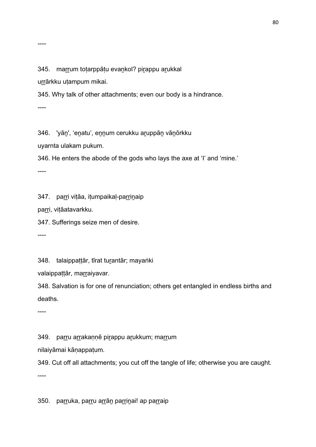#### ----

### 345. marrum totarppātu evankol? pirappu arukkal

urrārkku uṭampum mikai.

345. Why talk of other attachments; even our body is a hindrance.

----

346. 'yāṉ', 'eṉatu', eṉṉum cerukku aṟuppāṉ vāṉōrkku

uyarnta ulakam pukum.

346. He enters the abode of the gods who lays the axe at 'I' and 'mine.'

----

347. parri viṭāa, iṭumpaikaḷ-parriṇaip

parri, vițāatavarkku.

347. Sufferings seize men of desire.

----

348. talaippattār, tīrat turantār; mayaṅki

valaippaṭṭār, marraiyavar.

348. Salvation is for one of renunciation; others get entangled in endless births and deaths.

----

349. parru arrakaṇṇē pirappu arukkum; marrum

nilaiyāmai kāṇappaṭum.

349. Cut off all attachments; you cut off the tangle of life; otherwise you are caught.

----

350. parruka, parru arrān parrinai! ap parraip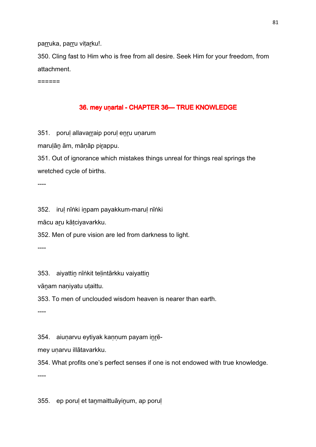parruka, parru vitarku!.

350. Cling fast to Him who is free from all desire. Seek Him for your freedom, from attachment.

======

## 36. mey unartal - CHAPTER 36 TRUE KNOWLEDGE

351. poruļ allavarraip poruļ enru uņarum

marulān ām, mānāp pirappu.

351. Out of ignorance which mistakes things unreal for things real springs the wretched cycle of births.

----

352. iruḷ nīṅki iṉpam payakkum-maruḷ nīṅki

mācu aṟu kāṭciyavarkku.

352. Men of pure vision are led from darkness to light.

----

353. aiyattin nīṅkit telintārkku vaiyattin

vāṉam naṇiyatu uṭaittu.

353. To men of unclouded wisdom heaven is nearer than earth.

----

354. aiuṇarvu eytiyak kaṇṇum payam iṉṟē-

mey unarvu illātavarkku.

354. What profits one's perfect senses if one is not endowed with true knowledge.

----

355. ep poruḷ et taṉmaittuāyiṉum, ap poruḷ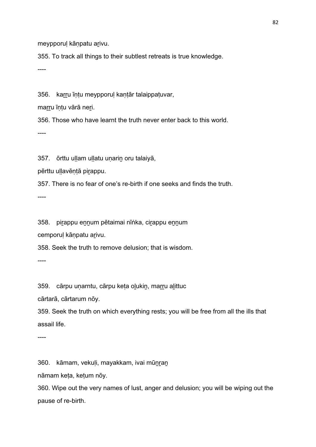meypporul kānpatu arivu.

355. To track all things to their subtlest retreats is true knowledge.

----

356. karru īntu meypporul kantār talaippatuvar,

marru īntu vārā neri.

356. Those who have learnt the truth never enter back to this world.

----

357. ōrttu uḷḷam uḷḷatu uṇarin oru talaiyā,

pērttu ullavēntā pirappu.

357. There is no fear of one's re-birth if one seeks and finds the truth.

----

358. piṟappu eṉṉum pētaimai nīṅka, ciṟappu eṉṉum

cemporul kānpatu arivu.

358. Seek the truth to remove delusion; that is wisdom.

----

359. cārpu uṇarntu, cārpu keṭa oḷukin, marru aḷittuc

cārtarā, cārtarum nōy.

359. Seek the truth on which everything rests; you will be free from all the ills that assail life.

----

360. kāmam, vekuḷi, mayakkam, ivai mūṉṟaṉ

nāmam keṭa, keṭum nōy.

360. Wipe out the very names of lust, anger and delusion; you will be wiping out the pause of re-birth.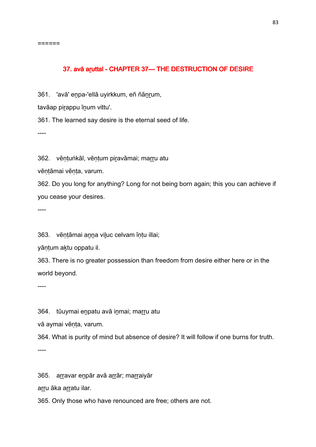======

### 37. avā aruttal - CHAPTER 37— THE DESTRUCTION OF DESIRE

361. 'avā' eṉpa-'ellā uyirkkum, eñ ñāṉṟum,

tavāap pirappu īnum vittu'.

361. The learned say desire is the eternal seed of life.

----

362. vēņtunkāl, vēņtum piravāmai; marru atu

vēntāmai vēnta, varum.

362. Do you long for anything? Long for not being born again; this you can achieve if you cease your desires.

----

363. vēntāmai anna viluc celvam īntu illai;

yāntum aktu oppatu il.

363. There is no greater possession than freedom from desire either here or in the world beyond.

----

364. tūuymai enpatu avā inmai; marru atu

vā aymai vēnta, varum.

364. What is purity of mind but absence of desire? It will follow if one burns for truth.

----

365. arravar enpār avā arrār; marraiyār

arru āka arratu ilar.

365. Only those who have renounced are free; others are not.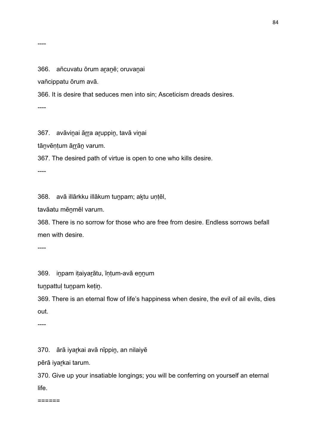366. añcuvatu ōrum aranē; oruvanai

vañcippatu ōrum avā.

366. It is desire that seduces men into sin; Asceticism dreads desires.

----

367. avāvinai ārra aruppiņ, tavā viņai

tāṉvēṇṭum āṟṟāṉ varum.

367. The desired path of virtue is open to one who kills desire.

----

368. avā illārkku illākum tuṉpam; aḵtu uṇṭēl,

tavāatu mēṉmēl varum.

368. There is no sorrow for those who are free from desire. Endless sorrows befall men with desire.

----

369. iṉpam iṭaiyaṟātu, īṇṭum-avā eṉṉum

tuṉpattuḷ tuṉpam keṭiṉ.

369. There is an eternal flow of life's happiness when desire, the evil of ail evils, dies out.

----

370. ārā iyaṟkai avā nīppiṉ, an nilaiyē

pērā iyarkai tarum.

370. Give up your insatiable longings; you will be conferring on yourself an eternal life.

======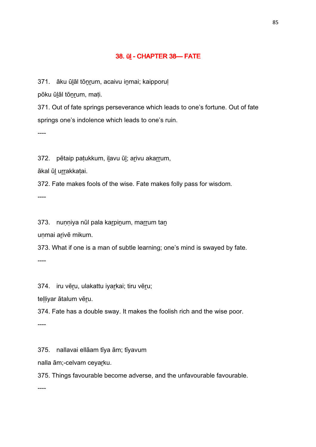## 38. ūl - CHAPTER 38-FATE

371. āku ūlāl tōnrum, acaivu inmai; kaipporul

pōku ūḻāl tōṉṟum, maṭi.

371. Out of fate springs perseverance which leads to one's fortune. Out of fate springs one's indolence which leads to one's ruin.

----

372. pētaip paṭukkum, ilavu ūl; arivu akarrum,

ākal ūḻ uṟṟakkaṭai.

372. Fate makes fools of the wise. Fate makes folly pass for wisdom.

----

373. nuṇṇiya nūl pala kar pinum, marrum taṇ

unmai arivē mikum.

373. What if one is a man of subtle learning; one's mind is swayed by fate.

----

374. iru vēru, ulakattu iyarkai; tiru vēru;

telliyar ātalum vēru.

374. Fate has a double sway. It makes the foolish rich and the wise poor.

----

375. nallavai ellāam tīya ām; tīyavum

nalla ām;-celvam ceyaṟku.

375. Things favourable become adverse, and the unfavourable favourable.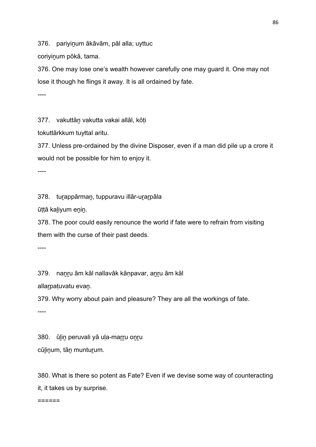376. pariyinum ākāvām, pāl alla; uyttuc

coriyinum pōkā, tama.

376. One may lose one's wealth however carefully one may guard it. One may not lose it though he flings it away. It is all ordained by fate.

----

377. vakuttāṉ vakutta vakai allāl, kōṭi

tokuttārkkum tuyttal aritu.

377. Unless pre-ordained by the divine Disposer, even if a man did pile up a crore it would not be possible for him to enjoy it.

----

378. tuṟappārmaṉ, tuppuravu illār-uṟaṟpāla

ūṭṭā kaḻiyum eṉiṉ.

378. The poor could easily renounce the world if fate were to refrain from visiting them with the curse of their past deeds.

----

379. nanru ām kāl nallavāk kānpavar, anru ām kāl

allar patuvatu evan.

379. Why worry about pain and pleasure? They are all the workings of fate.

----

380. ūlin peruvali yā uļa-marru onru cūḻiṉum, tāṉ muntuṟum.

380. What is there so potent as Fate? Even if we devise some way of counteracting it, it takes us by surprise.

======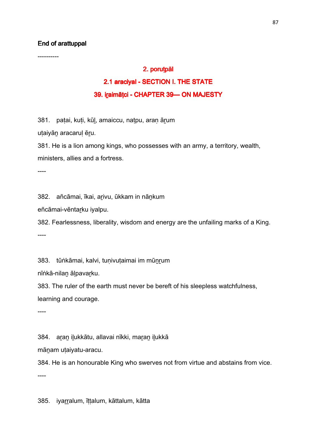### End of arattuppal

----------

### 2. porutpāl

# 2.1 araciyal - SECTION I. THE STATE 39. iraimātci - CHAPTER 39 CHAPTER 39 39.

381. patai, kuti, kūl, amaiccu, natpu, aran ārum

utaiyān aracarul ēru.

381. He is a lion among kings, who possesses with an army, a territory, wealth, ministers, allies and a fortress.

----

382. añcāmai, īkai, aṟivu, ūkkam in nāṉkum

eñcāmai-vēntaṟku iyalpu.

382. Fearlessness, liberality, wisdom and energy are the unfailing marks of a King. ----

383. tūṅkāmai, kalvi, tunivutaimai im mūnrum

nīṅkā-nilaṉ āḷpavaṟku.

383. The ruler of the earth must never be bereft of his sleepless watchfulness, learning and courage.

----

384. aran ilukkātu, allavai nīkki, maran ilukkā

māṉam uṭaiyatu-aracu.

384. He is an honourable King who swerves not from virtue and abstains from vice. ----

385. iyarralum, īttalum, kāttalum, kātta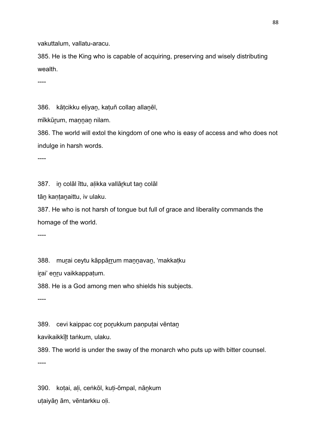vakuttalum, vallatu-aracu.

385. He is the King who is capable of acquiring, preserving and wisely distributing wealth.

----

386. kātcikku eliyan, katuñ collan allanēl,

mīkkūrum, mannan nilam.

386. The world will extol the kingdom of one who is easy of access and who does not indulge in harsh words.

----

387. iṉ colāl īttu, aḷikka vallāṟkut taṉ colāl

tāṉ kaṇṭaṉaittu, iv ulaku.

387. He who is not harsh of tongue but full of grace and liberality commands the homage of the world.

----

388. murai ceytu kāppārrum mannavan, 'makkatku

irai' enru vaikkappatum.

388. He is a God among men who shields his subjects.

----

389. cevi kaippac cor porukkum panputai vēntan

kavikaikkīḻt taṅkum, ulaku.

389. The world is under the sway of the monarch who puts up with bitter counsel.

----

390. koṭai, aḷi, ceṅkōl, kuṭi-ōmpal, nāṉkum uṭaiyāṉ ām, vēntarkku oḷi.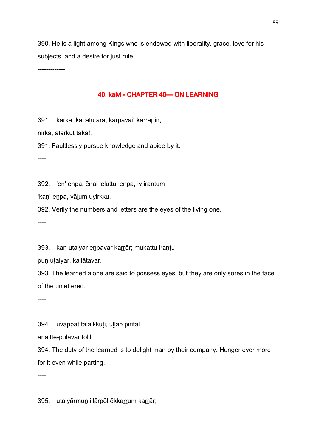390. He is a light among Kings who is endowed with liberality, grace, love for his subjects, and a desire for just rule.

-------------

### 40. kalvi - CHAPTER 40- ON LEARNING

391. karka, kacatu ara, karpavai! karrapin,

nirka, atarkut taka!.

391. Faultlessly pursue knowledge and abide by it.

----

392. 'eṇ' eṉpa, ēṉai 'eḻuttu' eṉpa, iv iraṇṭum

'kaṇ' eṉpa, vāḻum uyirkku.

392. Verily the numbers and letters are the eyes of the living one.

----

393. kan utaiyar enpavar karrōr; mukattu irantu

pun utaiyar, kallātavar.

393. The learned alone are said to possess eyes; but they are only sores in the face of the unlettered.

----

394. uvappat talaikkūti, ullap pirital

anaittē-pulavar tolil.

394. The duty of the learned is to delight man by their company. Hunger ever more for it even while parting.

----

395. utaiyārmun illārpōl ēkkarrum karrār;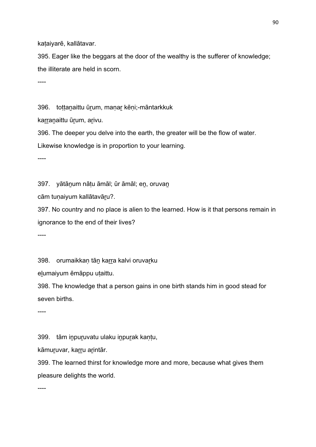kaṭaiyarē, kallātavar.

395. Eager like the beggars at the door of the wealthy is the sufferer of knowledge; the illiterate are held in scorn.

----

396. tottanaittu ūrum, manar kēni;-māntarkkuk

karranaittu ūrum, arivu.

396. The deeper you delve into the earth, the greater will be the flow of water.

Likewise knowledge is in proportion to your learning.

----

397. yātāṉum nāṭu āmāl; ūr āmāl; eṉ, oruvaṉ

cām tuṇaiyum kallātavāṟu?.

397. No country and no place is alien to the learned. How is it that persons remain in ignorance to the end of their lives?

----

398. orumaikkan tān karra kalvi oruvarku

elumaiyum ēmāppu utaittu.

398. The knowledge that a person gains in one birth stands him in good stead for seven births.

----

399. tām iṉpuṟuvatu ulaku iṉpuṟak kaṇṭu,

kāmuruvar, karru arintār.

399. The learned thirst for knowledge more and more, because what gives them pleasure delights the world.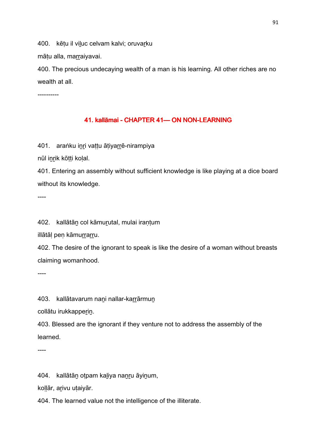400. kētu il viluc celvam kalvi; oruvarku

mātu alla, marraiyavai.

400. The precious undecaying wealth of a man is his learning. All other riches are no wealth at all.

----------

## 41. kallāmai - CHAPTER 41 - ON NON-LEARNING

401. araṅku inri vattu ātiyarrē-nirampiya

nūl iṉṟik kōṭṭi koḷal.

401. Entering an assembly without sufficient knowledge is like playing at a dice board without its knowledge.

----

402. kallātāṉ col kāmuṟutal, mulai iraṇṭum

illātāl pen kāmurrarru.

402. The desire of the ignorant to speak is like the desire of a woman without breasts claiming womanhood.

----

403. kallātavarum nani nallar-karrārmun

collātu irukkapperin.

403. Blessed are the ignorant if they venture not to address the assembly of the learned.

----

404. kallātāṉ oṭpam kaḻiya naṉṟu āyiṉum,

koḷḷār, aṟivu uṭaiyār.

404. The learned value not the intelligence of the illiterate.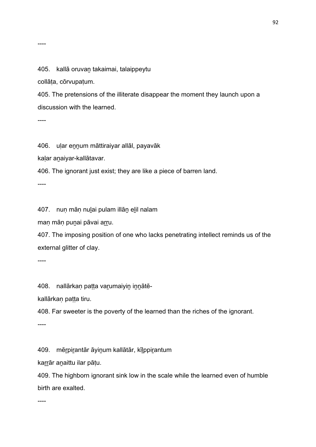----

405. kallā oruvaṉ takaimai, talaippeytu

collāṭa, cōrvupaṭum.

405. The pretensions of the illiterate disappear the moment they launch upon a discussion with the learned.

----

406. ular ennum māttiraiyar allāl, payavāk

kaḷar aṉaiyar-kallātavar.

406. The ignorant just exist; they are like a piece of barren land.

----

407. nuṇ māṇ nuḻai pulam illāṉ eḻil nalam

maṇ māṇ puṉai pāvai aṟṟu.

407. The imposing position of one who lacks penetrating intellect reminds us of the external glitter of clay.

----

408. nallārkaņ patta varumaiyin innātē-

kallārkan patta tiru.

408. Far sweeter is the poverty of the learned than the riches of the ignorant.

----

409. mēṟpiṟantār āyiṉum kallātār, kīḻppiṟantum

karrār anaittu ilar pāțu.

409. The highborn ignorant sink low in the scale while the learned even of humble birth are exalted.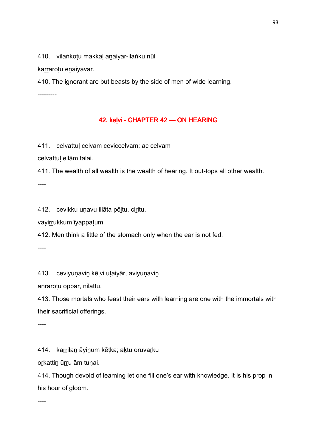410. vilaṅkotu makkal anaiyar-ilaṅku nūl

karrārotu ēnaiyavar.

410. The ignorant are but beasts by the side of men of wide learning.

---------

## 42. kēļvi - CHAPTER 42 — ON HEARING

411. celvattuḷ celvam ceviccelvam; ac celvam

celvattuḷ ellām talai.

411. The wealth of all wealth is the wealth of hearing. It out-tops all other wealth.

----

412. cevikku uṇavu illāta pōḻtu, ciṟitu,

vayirrukkum īyappaṭum.

412. Men think a little of the stomach only when the ear is not fed.

----

413. ceviyunavin kēlvi utaiyār, aviyunavin

āṉṟāroṭu oppar, nilattu.

413. Those mortals who feast their ears with learning are one with the immortals with their sacrificial offerings.

----

414. karrilan āyinum kētka; aktu oruvarku

orkattin ūrru ām tuṇai.

414. Though devoid of learning let one fill one's ear with knowledge. It is his prop in his hour of gloom.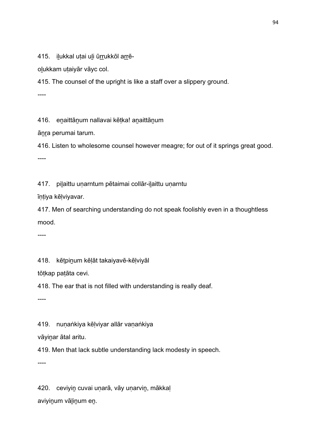415. ilukkal utai uli ūrrukkōl arrē-

olukkam utaiyār vāyc col.

415. The counsel of the upright is like a staff over a slippery ground.

----

416. enaittānum nallavai kētka! anaittānum

ānra perumai tarum.

416. Listen to wholesome counsel however meagre; for out of it springs great good. ----

417. piḻaittu uṇarntum pētaimai collār-iḻaittu uṇarntu

īṇṭiya kēḷviyavar.

417. Men of searching understanding do not speak foolishly even in a thoughtless mood.

----

418. kēṭpiṉum kēḷāt takaiyavē-kēḷviyāl

tōṭkap paṭāta cevi.

418. The ear that is not filled with understanding is really deaf.

----

419. nunaṅkiya kēlviyar allār vanaṅkiya

vāyinar ātal aritu.

419. Men that lack subtle understanding lack modesty in speech.

----

420. ceviyin cuvai unarā, vāy unarvin, mākkaļ aviyiṉum vāḻiṉum eṉ.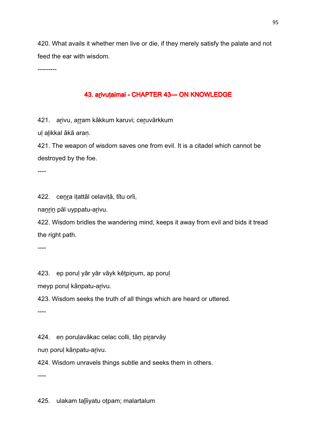420. What avails it whether men live or die, if they merely satisfy the palate and not feed the ear with wisdom.

---------

## 43. arivutaimai - CHAPTER 43-ON KNOWLEDGE

421. arivu, arram kākkum karuvi; ceruvārkkum

ul alikkal ākā aran.

421. The weapon of wisdom saves one from evil. It is a citadel which cannot be destroyed by the foe.

----

422. ceṉṟa iṭattāl celaviṭā, tītu orīi,

naṉṟiṉ pāl uyppatu-aṟivu.

422. Wisdom bridles the wandering mind, keeps it away from evil and bids it tread the right path.

----

423. ep porul yār yār vāyk kētpinum, ap porul

meyp poruḷ kāṇpatu-aṟivu.

423. Wisdom seeks the truth of all things which are heard or uttered.

----

424. en porulavākac celac colli, tān pirarvāy

nuṇ poruḷ kāṇpatu-aṟivu.

424. Wisdom unravels things subtle and seeks them in others.

----

425. ulakam talīiyatu otpam; malartalum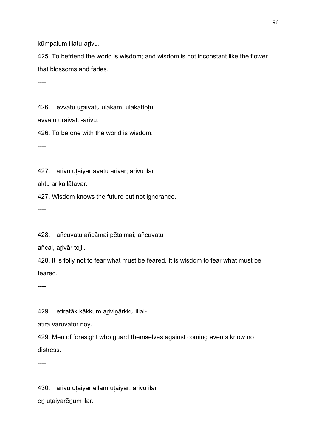kūmpalum illatu-arivu.

425. To befriend the world is wisdom; and wisdom is not inconstant like the flower that blossoms and fades.

----

426. evvatu uraivatu ulakam, ulakattotu

avvatu uraivatu-arivu.

426. To be one with the world is wisdom.

----

427. arivu utaiyār āvatu arivār; arivu ilār

aktu arikallātavar.

427. Wisdom knows the future but not ignorance.

----

428. añcuvatu añcāmai pētaimai; añcuvatu

añcal, arivār tolil.

428. It is folly not to fear what must be feared. It is wisdom to fear what must be feared.

----

429. etiratāk kākkum arivinārkku illai-

atira varuvatōr nōy.

429. Men of foresight who guard themselves against coming events know no distress.

----

430. arīvu utaiyār ellām utaiyār; arīvu ilār eṉ uṭaiyarēṉum ilar.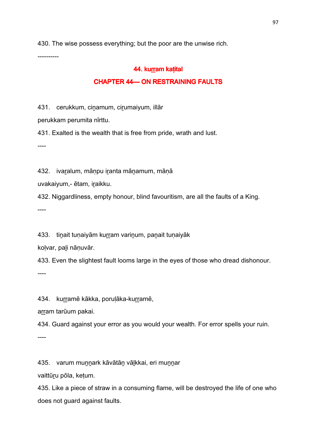430. The wise possess everything; but the poor are the unwise rich.

----------

### 44. kurram katital

### **CHAPTER 44— ON RESTRAINING FAULTS**

431. cerukkum, cinamum, cirumaiyum, illār

perukkam perumita nīrttu.

431. Exalted is the wealth that is free from pride, wrath and lust.

----

432. ivaralum, mānpu iranta mānamum, mānā

uvakaiyum,- ētam, iraikku.

432. Niggardliness, empty honour, blind favouritism, are all the faults of a King.

----

433. tinait tunaiyām kurram varinum, panait tunaiyāk

koḷvar, paḻi nāṇuvār.

433. Even the slightest fault looms large in the eyes of those who dread dishonour.

----

434. kurramē kākka, porulāka-kurramē,

arram tarūum pakai.

434. Guard against your error as you would your wealth. For error spells your ruin.

----

435. varum muṉṉark kāvātāṉ vāḻkkai, eri muṉṉar

vaittūṟu pōla, keṭum.

435. Like a piece of straw in a consuming flame, will be destroyed the life of one who does not guard against faults.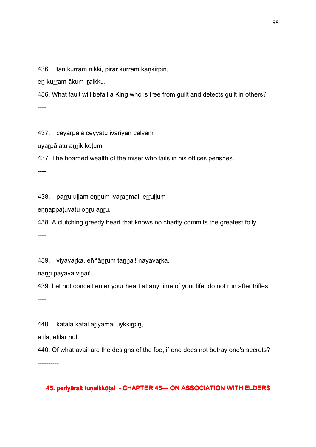436. tan kurram nīkki, pirar kurram kānkirpin,

en kurram ākum iraikku.

436. What fault will befall a King who is free from guilt and detects guilt in others? ----

437. ceyarpāla ceyyātu ivariyān celvam

uyarpālatu anrik ketum.

437. The hoarded wealth of the miser who fails in his offices perishes.

----

438. parru uḷḷam en̯num ivar̯anmai, erruḷḷum

eṇṇappaṭuvatu oṉṟu aṉṟu.

438. A clutching greedy heart that knows no charity commits the greatest folly.

----

439. viyavarka, eññānrum tannai! nayavarka,

naṉṟi payavā viṉai!.

439. Let not conceit enter your heart at any time of your life; do not run after trifles. ----

440. kātala kātal ariyāmai uykkirpin,

ētila, ētilār nūl.

440. Of what avail are the designs of the foe, if one does not betray one's secrets? ----------

45. periyārait tuṇaikkōṭal - CHAPTER 45—ON ASSOCIATION WITH ELDERS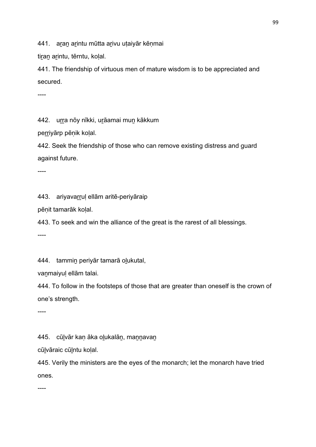441. aran arintu mūtta arivu utaiyār kēnmai

tiran arintu, tērntu, kolal.

441. The friendship of virtuous men of mature wisdom is to be appreciated and secured.

----

442. urra nōy nīkki, urāamai mun kākkum

perriyārp pēnik kolal.

442. Seek the friendship of those who can remove existing distress and guard against future.

----

443. ariyavarrul ellām aritē-periyāraip

pēṇit tamarāk koḷal.

443. To seek and win the alliance of the great is the rarest of all blessings.

----

444. tammin periyār tamarā olukutal,

vaṉmaiyuḷ ellām talai.

444. To follow in the footsteps of those that are greater than oneself is the crown of one's strength.

----

445. cūḻvār kaṇ āka oḻukalāṉ, maṉṉavaṉ

cūḻvāraic cūḻntu koḷal.

445. Verily the ministers are the eyes of the monarch; let the monarch have tried ones.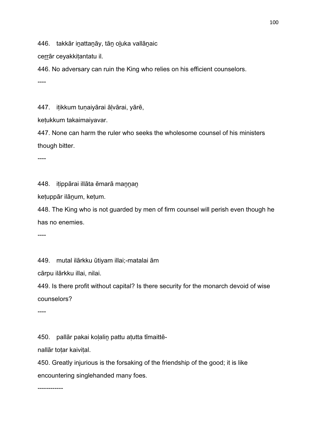446. takkār inattanāy, tān oluka vallānaic

cerrār ceyakkitantatu il.

446. No adversary can ruin the King who relies on his efficient counselors.

----

447. itikkum tunaiyārai ālvārai, yārē,

keṭukkum takaimaiyavar.

447. None can harm the ruler who seeks the wholesome counsel of his ministers though bitter.

----

448. iṭippārai illāta ēmarā maṉṉaṉ

keṭuppār ilāṉum, keṭum.

448. The King who is not guarded by men of firm counsel will perish even though he has no enemies.

----

449. mutal ilārkku ūtiyam illai;-matalai ām

cārpu ilārkku illai, nilai.

449. Is there profit without capital? Is there security for the monarch devoid of wise counselors?

----

450. pallār pakai koḷaliṉ pattu aṭutta tīmaittē-

nallār toṭar kaiviṭal.

450. Greatly injurious is the forsaking of the friendship of the good; it is like encountering singlehanded many foes.

------------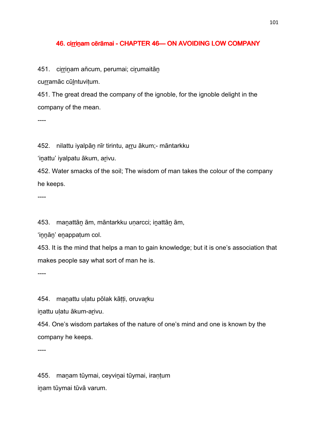### 46. cirrinam cērāmai - CHAPTER 46 — ON AVOIDING LOW COMPANY

451. cirrinam añcum, perumai; cirumaitān

curramāc cūlntuvitum.

451. The great dread the company of the ignoble, for the ignoble delight in the company of the mean.

----

452. nilattu iyalpān nīr tirintu, arru ākum;- māntarkku

'inattu' iyalpatu ākum, arivu.

452. Water smacks of the soil; The wisdom of man takes the colour of the company he keeps.

----

453. maṉattāṉ ām, māntarkku uṇarcci; iṉattāṉ ām,

'innān' enappatum col.

453. It is the mind that helps a man to gain knowledge; but it is one's association that makes people say what sort of man he is.

----

454. manattu ulatu pōlak kātti, oruvarku

inattu ulatu ākum-arivu.

454. One's wisdom partakes of the nature of one's mind and one is known by the company he keeps.

----

455. maṉam tūymai, ceyviṉai tūymai, iraṇṭum iṉam tūymai tūvā varum.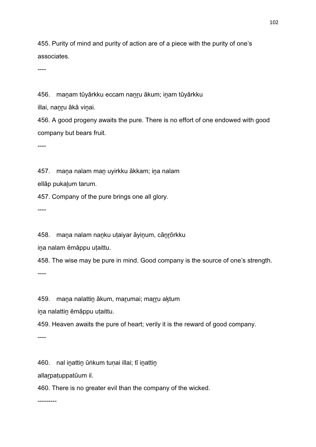455. Purity of mind and purity of action are of a piece with the purity of one's associates.

----

456. maṉam tūyārkku eccam naṉṟu ākum; iṉam tūyārkku

illai, nanru ākā vinai.

456. A good progeny awaits the pure. There is no effort of one endowed with good company but bears fruit.

----

457. mana nalam man uyirkku ākkam; ina nalam

ellāp pukaḻum tarum.

457. Company of the pure brings one all glory.

----

458. mana nalam nanku utaiyar āyinum, cānrōrkku

ina nalam ēmāppu utaittu.

458. The wise may be pure in mind. Good company is the source of one's strength.

----

459. mana nalattin ākum, marumai; marru aktum

ina nalattin ēmāppu utaittu.

459. Heaven awaits the pure of heart; verily it is the reward of good company.

----

460. nal inattin ūṅkum tuṇai illai; tī inattin

allarpaṭuppatūum il.

460. There is no greater evil than the company of the wicked.

---------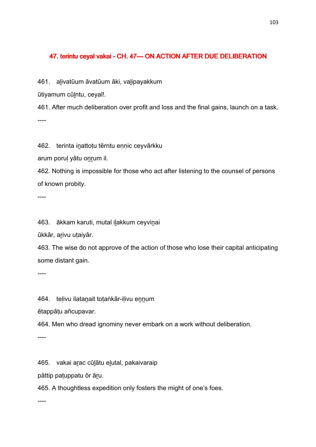## 47. terintu ceyal vakai - CH. 47— ON ACTION AFTER DUE DELIBERATION

461. alivatūum āvatūum āki, valipayakkum

ūtiyamum cūlntu, ceyal!.

461. After much deliberation over profit and loss and the final gains, launch on a task. ----

462. terinta inattotu tērntu ennic ceyvārkku

arum poruḷ yātu oṉṟum il.

462. Nothing is impossible for those who act after listening to the counsel of persons of known probity.

----

463. ākkam karuti, mutal iḻakkum ceyviṉai

ūkkār, arivu utaiyār.

463. The wise do not approve of the action of those who lose their capital anticipating some distant gain.

----

464. telivu ilatanait totaṅkār-ilivu ennum

ētappāṭu añcupavar.

464. Men who dread ignominy never embark on a work without deliberation.

----

465. vakai aṟac cūḻātu eḻutal, pakaivaraip

pāttip paṭuppatu ōr āṟu.

465. A thoughtless expedition only fosters the might of one's foes.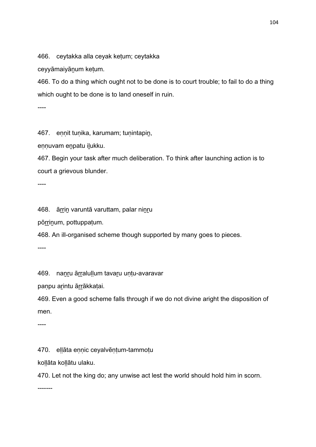466. ceytakka alla ceyak keṭum; ceytakka

ceyyāmaiyāṉum keṭum.

466. To do a thing which ought not to be done is to court trouble; to fail to do a thing which ought to be done is to land oneself in ruin.

----

467. ennit tunika, karumam; tunintapin,

ennuvam enpatu ilukku.

467. Begin your task after much deliberation. To think after launching action is to court a grievous blunder.

----

468. āṟṟiṉ varuntā varuttam, palar niṉṟu

pōrrinum, pottuppaṭum.

468. An ill-organised scheme though supported by many goes to pieces.

----

469. nanru ārralullum tavaru untu-avaravar

paṇpu arintu ārrākkaṭai.

469. Even a good scheme falls through if we do not divine aright the disposition of men.

----

470. eḷḷāta eṇṇic ceyalvēṇṭum-tammoṭu

koḷḷāta koḷḷātu ulaku.

470. Let not the king do; any unwise act lest the world should hold him in scorn.

-------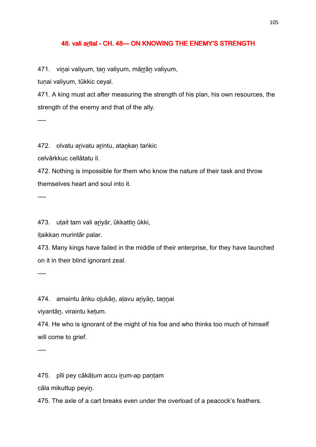### 48. vali arital - CH. 48-ON KNOWING THE ENEMY'S STRENGTH

471. vinai valiyum, tan valiyum, mārrān valiyum,

tunai valiyum, tūkkic ceyal.

471. A king must act after measuring the strength of his plan, his own resources, the strength of the enemy and that of the ally.

 $---$ 

472. olvatu arivatu arintu, atankan taṅkic

celvārkkuc cellātatu il.

472. Nothing is impossible for them who know the nature of their task and throw themselves heart and soul into it.

----

473. utait tam vali ariyār, ūkkattin ūkki,

iṭaikkaṇ murintār palar.

473. Many kings have failed in the middle of their enterprise, for they have launched on it in their blind ignorant zeal.

----

474. amaintu āṅku olukān, alavu ariyān, tannai

viyantāṉ, viraintu keṭum.

474. He who is ignorant of the might of his foe and who thinks too much of himself will come to grief.

----

475. pīli pey cākāṭum accu iṟum-ap paṇṭam

cāla mikuttup peyiṉ.

475. The axle of a cart breaks even under the overload of a peacock's feathers.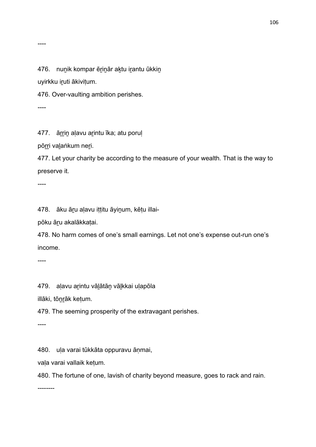----

476. nunik kompar ērinār aktu irantu ūkkin

uyirkku iṟuti ākiviṭum.

476. Over-vaulting ambition perishes.

----

477. ārrin alavu arintu īka; atu porul

pōrri valaṅkum neri.

477. Let your charity be according to the measure of your wealth. That is the way to preserve it.

----

478. āku āṟu aḷavu iṭṭitu āyiṉum, kēṭu illai-

pōku āṟu akalākkaṭai.

478. No harm comes of one's small earnings. Let not one's expense out-run one's income.

----

479. aḷavu aṟintu vāḻātāṉ vāḻkkai uḷapōla

illāki, tōṉṟāk keṭum.

479. The seeming prosperity of the extravagant perishes.

----

480. uḷa varai tūkkāta oppuravu āṇmai,

vaḷa varai vallaik keṭum.

480. The fortune of one, lavish of charity beyond measure, goes to rack and rain.

--------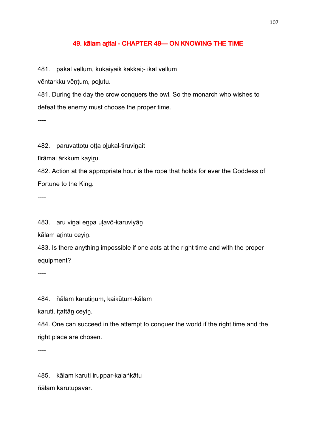### 49. kālam arital - CHAPTER 49 — ON KNOWING THE TIME

481. pakal vellum, kūkaiyaik kākkai;- ikal vellum

vēntarkku vēntum, polutu.

481. During the day the crow conquers the owl. So the monarch who wishes to defeat the enemy must choose the proper time.

----

482. paruvattotu otta olukal-tiruvinait

tīrāmai ārkkum kayiru.

482. Action at the appropriate hour is the rope that holds for ever the Goddess of Fortune to the King.

----

483. aru viṉai eṉpa uḷavō-karuviyāṉ

kālam arintu ceyin.

483. Is there anything impossible if one acts at the right time and with the proper equipment?

----

484. ñālam karutinum, kaikūtum-kālam

karuti, iṭattāṉ ceyiṉ.

484. One can succeed in the attempt to conquer the world if the right time and the right place are chosen.

----

485. kālam karuti iruppar-kalaṅkātu ñālam karutupavar.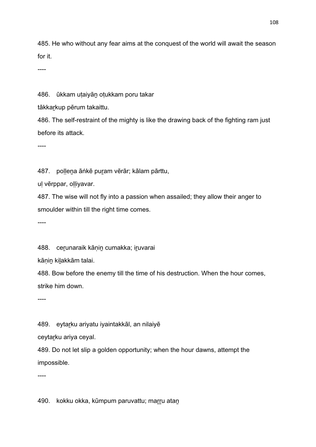485. He who without any fear aims at the conquest of the world will await the season for it.

----

486. ūkkam uṭaiyāṉ oṭukkam poru takar

tākkarkup pērum takaittu.

486. The self-restraint of the mighty is like the drawing back of the fighting ram just before its attack.

----

487. pollena āṅkē puram vērār; kālam pārttu,

uḷ vērppar, oḷḷiyavar.

487. The wise will not fly into a passion when assailed; they allow their anger to smoulder within till the right time comes.

----

488. cerunaraik kānin cumakka; iruvarai

kānin kilakkām talai.

488. Bow before the enemy till the time of his destruction. When the hour comes, strike him down.

----

489. eytarku ariyatu iyaintakkāl, an nilaiyē

ceytarku ariya ceyal.

489. Do not let slip a golden opportunity; when the hour dawns, attempt the impossible.

----

490. kokku okka, kūmpum paruvattu; marru atan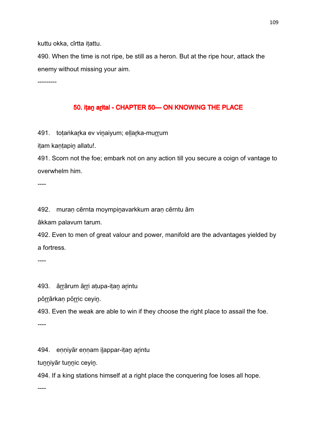kuttu okka, cīrtta iṭattu.

490. When the time is not ripe, be still as a heron. But at the ripe hour, attack the enemy without missing your aim.

---------

## 50. iṭan arital - CHAPTER 50 — ON KNOWING THE PLACE

491. totaṅkarka ev vinaiyum; ellarka-murrum

itam kantapin allatu!.

491. Scorn not the foe; embark not on any action till you secure a coign of vantage to overwhelm him.

----

492. muraṇ cērnta moympiṉavarkkum araṇ cērntu ām

ākkam palavum tarum.

492. Even to men of great valour and power, manifold are the advantages yielded by a fortress.

----

493. ārrārum ārri atupa-itan arintu

pōrrārkan pōrric ceyin.

493. Even the weak are able to win if they choose the right place to assail the foe.

----

494. enniyār ennam ilappar-itan arintu

tunniyār tunnic ceyin.

494. If a king stations himself at a right place the conquering foe loses all hope.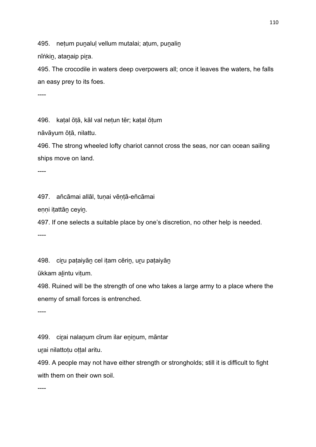495. netum punalul vellum mutalai; atum, punalin

nīṅkin, atanaip pira.

495. The crocodile in waters deep overpowers all; once it leaves the waters, he falls an easy prey to its foes.

----

496. kaṭal ōṭā, kāl val neṭun tēr; kaṭal ōṭum

nāvāyum ōṭā, nilattu.

496. The strong wheeled lofty chariot cannot cross the seas, nor can ocean sailing ships move on land.

----

497. añcāmai allāl, tuṇai vēṇṭā-eñcāmai

eṇṇi iṭattāṉ ceyiṉ.

497. If one selects a suitable place by one's discretion, no other help is needed. ----

498. ciru pataiyān cel itam cērin, uru pataiyān

ūkkam aḻintu viṭum.

498. Ruined will be the strength of one who takes a large army to a place where the enemy of small forces is entrenched.

----

499. ciṟai nalaṉum cīrum ilar eṉiṉum, māntar

urai nilattoțu oțțal aritu.

499. A people may not have either strength or strongholds; still it is difficult to fight with them on their own soil.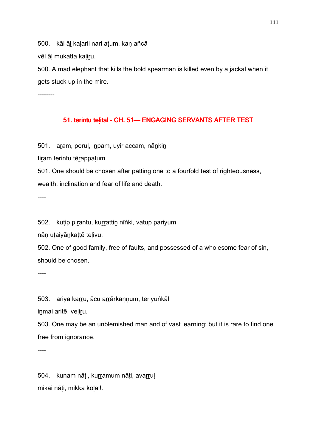500. kāl āl kalaril nari atum, kan añcā

vēl āl mukatta kaliru.

500. A mad elephant that kills the bold spearman is killed even by a jackal when it gets stuck up in the mire.

--------

#### 51. terintu telital - CH. 51- ENGAGING SERVANTS AFTER TEST

501. aṟam, poruḷ, iṉpam, uyir accam, nāṉkiṉ

tiram terintu tērappatum.

501. One should be chosen after patting one to a fourfold test of righteousness,

wealth, inclination and fear of life and death.

----

502. kuṭip piṟantu, kuṟṟattiṉ nīṅki, vaṭup pariyum

nān utaiyānkattē telivu.

502. One of good family, free of faults, and possessed of a wholesome fear of sin, should be chosen.

----

503. ariya karru, ācu arrārkannum, teriyuṅkāl

inmai aritē, veliru.

503. One may be an unblemished man and of vast learning; but it is rare to find one free from ignorance.

----

504. kuṇam nāṭi, kurramum nāṭi, avarruļ mikai nāṭi, mikka koḷal!.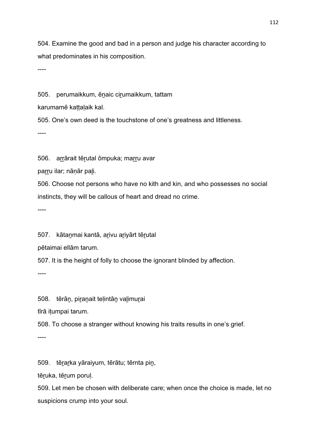504. Examine the good and bad in a person and judge his character according to what predominates in his composition.

----

505. perumaikkum, ēnaic cirumaikkum, tattam

karumamē kattalaik kal.

505. One's own deed is the touchstone of one's greatness and littleness.

----

506. arrārait tērutal ōmpuka; marru avar

parru ilar; nāņār pali.

506. Choose not persons who have no kith and kin, and who possesses no social instincts, they will be callous of heart and dread no crime.

----

507. kātanmai kantā, arivu ariyārt tērutal

pētaimai ellām tarum.

507. It is the height of folly to choose the ignorant blinded by affection.

----

508. tērān, piranait telintān valimurai

tīrā iṭumpai tarum.

508. To choose a stranger without knowing his traits results in one's grief.

----

509. tēṟaṟka yāraiyum, tērātu; tērnta piṉ,

tēruka, tērum poruļ.

509. Let men be chosen with deliberate care; when once the choice is made, let no suspicions crump into your soul.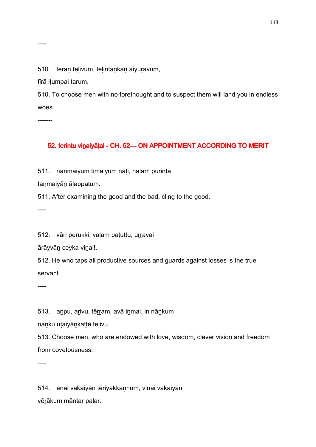----

510. tērān telivum, telintānkan aiyuravum,

tīrā iṭumpai tarum.

510. To choose men with no forethought and to suspect them will land you in endless woes.

-------

#### 52. terintu vinaiyāṭal - CH. 52— ON APPOINTMENT ACCORDING TO MERIT

511. nanmaiyum tīmaiyum nāti, nalam purinta

taṉmaiyāṉ āḷappaṭum.

511. After examining the good and the bad, cling to the good.

----

512. vāri perukki, valam patuttu, urravai

ārāyvāṉ ceyka viṉai!.

512. He who taps all productive sources and guards against losses is the true servant.

----

513. anpu, arivu, tērram, avā inmai, in nānkum

naṉku uṭaiyāṉkaṭṭē teḷivu.

513. Choose men, who are endowed with love, wisdom, clever vision and freedom from covetousness.

----

514. eṉai vakaiyāṉ tēṟiyakkaṇṇum, viṉai vakaiyāṉ vēṟākum māntar palar.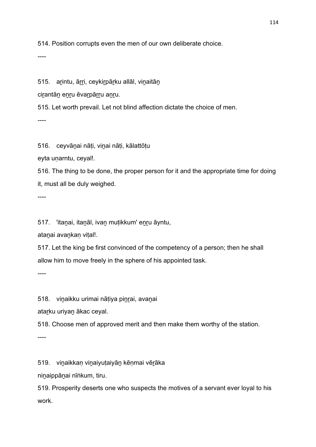514. Position corrupts even the men of our own deliberate choice.

----

515. arintu, ārri, ceykirpārku allāl, vinaitān

cirantāṇ enru ēvarpārru anru.

515. Let worth prevail. Let not blind affection dictate the choice of men.

----

516. ceyvāṉai nāṭi, viṉai nāṭi, kālattōṭu

eyta unarntu, ceyal!.

516. The thing to be done, the proper person for it and the appropriate time for doing it, must all be duly weighed.

----

517. 'itaṉai, itaṉāl, ivaṉ muṭikkum' eṉṟu āyntu,

atanai avankan vital!.

517. Let the king be first convinced of the competency of a person; then he shall allow him to move freely in the sphere of his appointed task.

----

518. vinaikku urimai nātiya pinrai, avanai

atarku uriyan ākac ceyal.

518. Choose men of approved merit and then make them worthy of the station.

----

519. viṉaikkaṇ viṉaiyuṭaiyāṉ kēṇmai vēṟāka

niṉaippāṉai nīṅkum, tiru.

519. Prosperity deserts one who suspects the motives of a servant ever loyal to his work.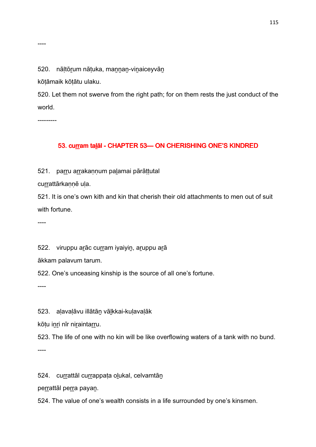#### 520. nāltōrum nātuka, mannan-vinaiceyvān

kōṭāmaik kōṭātu ulaku.

520. Let them not swerve from the right path; for on them rests the just conduct of the world.

---------

----

## 53. curram taḷāl - CHAPTER 53-ON CHERISHING ONE'S KINDRED

521. parru arrakaṇṇum palamai pārāṭṭutal

currattārkaṇṇē uḷa.

521. It is one's own kith and kin that cherish their old attachments to men out of suit with fortune.

----

522. viruppu arāc curram iyaiyin, aruppu arā

ākkam palavum tarum.

522. One's unceasing kinship is the source of all one's fortune.

----

523. aḷavaḷāvu illātāṉ vāḻkkai-kuḷavaḷāk

kōtu inri nīr niraintarru.

523. The life of one with no kin will be like overflowing waters of a tank with no bund.

----

524. currattāl currappata olukal, celvamtān

perrattāl perra payan.

524. The value of one's wealth consists in a life surrounded by one's kinsmen.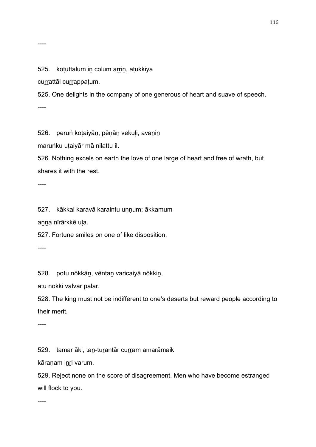#### 525. kotuttalum in colum ārrin, atukkiya

currattāl currappaṭum.

525. One delights in the company of one generous of heart and suave of speech.

----

526. peruṅ koṭaiyāṉ, pēṇāṉ vekuḷi, avaṉiṉ

maruṅku uṭaiyār mā nilattu il.

526. Nothing excels on earth the love of one large of heart and free of wrath, but shares it with the rest.

----

527. kākkai karavā karaintu uṇṇum; ākkamum

aṉṉa nīrārkkē uḷa.

527. Fortune smiles on one of like disposition.

----

528. potu nōkkāṉ, vēntaṉ varicaiyā nōkkiṉ,

atu nōkki vāḻvār palar.

528. The king must not be indifferent to one's deserts but reward people according to their merit.

----

529. tamar āki, tan-turantār curram amarāmaik

kāraṇam iṉṟi varum.

529. Reject none on the score of disagreement. Men who have become estranged will flock to you.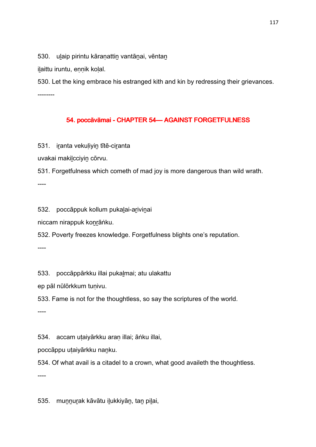530. ulaip pirintu kāranattin vantānai, vēntan

ilaittu iruntu, ennik kolal.

530. Let the king embrace his estranged kith and kin by redressing their grievances. --------

## 54. poccāvāmai - CHAPTER 54 - AGAINST FORGETFULNESS

531. iranta vekuliyin tītē-ciranta

uvakai makiḻcciyiṉ cōrvu.

531. Forgetfulness which cometh of mad joy is more dangerous than wild wrath.

----

532. poccāppuk kollum pukaḻai-aṟiviṉai

niccam nirappuk koṉṟāṅku.

532. Poverty freezes knowledge. Forgetfulness blights one's reputation.

----

533. poccāppārkku illai pukalmai; atu ulakattu

ep pāl nūlōrkkum tuṇivu.

533. Fame is not for the thoughtless, so say the scriptures of the world.

----

534. accam uṭaiyārkku araṇ illai; āṅku illai,

poccāppu uṭaiyārkku naṉku.

534. Of what avail is a citadel to a crown, what good availeth the thoughtless.

----

535. muṉṉuṟak kāvātu iḻukkiyāṉ, taṉ piḻai,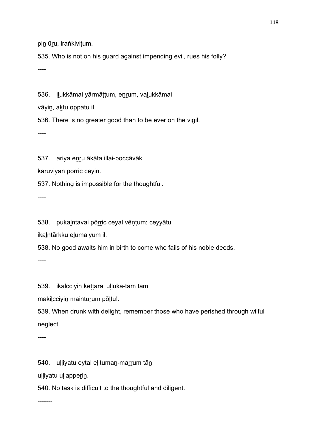pin ūru, iraṅkivitum.

535. Who is not on his guard against impending evil, rues his folly?

----

536. iḻukkāmai yārmāṭṭum, eṉṟum, vaḻukkāmai

vāyin, aktu oppatu il.

536. There is no greater good than to be ever on the vigil.

----

537. ariya eṉṟu ākāta illai-poccāvāk

karuviyān pōrric ceyin.

537. Nothing is impossible for the thoughtful.

----

538. pukalntavai pōrric ceyal vēņțum; ceyyātu

ikalntārkku elumaiyum il.

538. No good awaits him in birth to come who fails of his noble deeds.

----

539. ikaḻcciyiṉ keṭṭārai uḷḷuka-tām tam

makilcciyin mainturum pōltu!.

539. When drunk with delight, remember those who have perished through wilful neglect.

----

540. ulliyatu eytal elituman-marrum tān

uḷḷiyatu uḷḷapper̯in.

540. No task is difficult to the thoughtful and diligent.

-------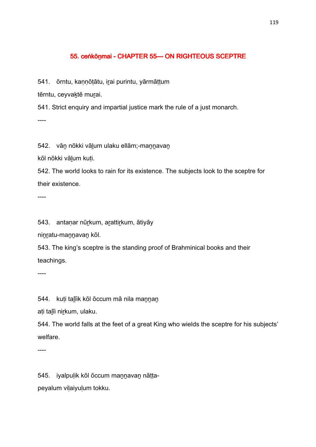#### 55. ceṅkōnmai - CHAPTER 55— ON RIGHTEOUS SCEPTRE

541. ōrntu, kannōtātu, irai purintu, yārmāttum

tērntu, ceyvaktē murai.

541. Strict enquiry and impartial justice mark the rule of a just monarch.  $---$ 

542. vān nōkki vālum ulaku ellām;-mannavan

kōl nōkki vāḻum kuṭi.

542. The world looks to rain for its existence. The subjects look to the sceptre for their existence.

----

543. antaṇar nūṟkum, aṟattiṟkum, ātiyāy

ninratu-mannavan kōl.

543. The king's sceptre is the standing proof of Brahminical books and their teachings.

----

544. kuti talīik kōl ōccum mā nila mannan

ati talīi nirkum, ulaku.

544. The world falls at the feet of a great King who wields the sceptre for his subjects' welfare.

----

545. iyalpuḷik kōl ōccum maṉṉavaṉ nāṭṭapeyalum viḷaiyuḷum tokku.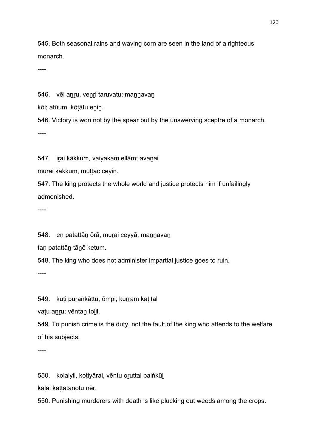545. Both seasonal rains and waving corn are seen in the land of a righteous monarch.

----

546. vēl anru, venri taruvatu; mannavan

kōl; atūum, kōtātu enin.

546. Victory is won not by the spear but by the unswerving sceptre of a monarch. ----

547. iṟai kākkum, vaiyakam ellām; avaṉai

murai kākkum, muttāc ceyin.

547. The king protects the whole world and justice protects him if unfailingly admonished.

----

548. en patattān ōrā, murai ceyyā, mannavan

tan patattān tānē ketum.

548. The king who does not administer impartial justice goes to ruin.

----

549. kuti puraṅkāttu, ōmpi, kurram katital

vatu anru; vēntan tolil.

549. To punish crime is the duty, not the fault of the king who attends to the welfare of his subjects.

----

550. kolaiyil, koṭiyārai, vēntu oṟuttal paiṅkūḻ

kaḷai kaṭṭataṉoṭu nēr.

550. Punishing murderers with death is like plucking out weeds among the crops.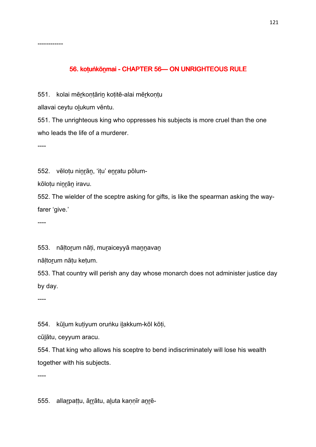## 56. kotuṅkōnmai - CHAPTER 56-ON UNRIGHTEOUS RULE

551. kolai mēṟkoṇṭāriṉ koṭitē-alai mēṟkoṇṭu

allavai ceytu olukum vēntu.

551. The unrighteous king who oppresses his subjects is more cruel than the one who leads the life of a murderer.

----

------------

552. vēlotu ninrān, 'itu' enratu pōlum-

kōloṭu niṉṟāṉ iravu.

552. The wielder of the sceptre asking for gifts, is like the spearman asking the wayfarer 'give.'

----

553. nāltorum nāti, muraiceyyā mannavan

nāḷtoṟum nāṭu keṭum.

553. That country will perish any day whose monarch does not administer justice day by day.

----

554. kūḻum kuṭiyum oruṅku iḻakkum-kōl kōṭi,

cūḻātu, ceyyum aracu.

554. That king who allows his sceptre to bend indiscriminately will lose his wealth together with his subjects.

----

555. allaṟpaṭṭu, āṟṟātu, aḻuta kaṇṇīr aṉṟē-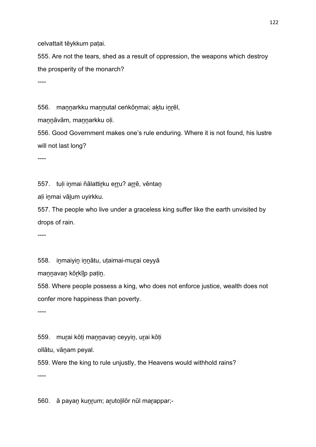celvattait tēykkum paṭai.

555. Are not the tears, shed as a result of oppression, the weapons which destroy the prosperity of the monarch?

----

556. mannarkku mannutal ceṅkōnmai; aktu inrēl,

mannāvām, mannarkku oli.

556. Good Government makes one's rule enduring. Where it is not found, his lustre will not last long?

----

557. tuļi inmai ñālattirku erru? arrē, vēntan

aḷi iṉmai vāḻum uyirkku.

557. The people who live under a graceless king suffer like the earth unvisited by drops of rain.

----

558. inmaiyin innātu, utaimai-murai ceyyā

maṉṉavaṉ kōṟkīḻp paṭiṉ.

558. Where people possess a king, who does not enforce justice, wealth does not confer more happiness than poverty.

----

559. muṟai kōṭi maṉṉavaṉ ceyyiṉ, uṟai kōṭi

ollātu, vāṉam peyal.

559. Were the king to rule unjustly, the Heavens would withhold rains?

----

560. ā payaṉ kuṉṟum; aṟutoḻilōr nūl maṟappar;-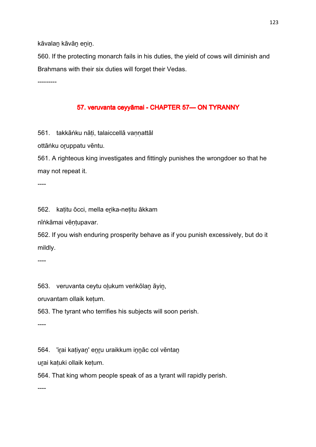kāvalan kāvān enin.

560. If the protecting monarch fails in his duties, the yield of cows will diminish and Brahmans with their six duties will forget their Vedas.

---------

## 57. veruvanta ceyyāmai - CHAPTER 57 — ON TYRANNY

561. takkāṅku nāti, talaiccellā vannattāl

ottāṅku oruppatu vēntu.

561. A righteous king investigates and fittingly punishes the wrongdoer so that he may not repeat it.

----

562. kaṭitu ōcci, mella eṟika-neṭitu ākkam

nīṅkāmai vēṇṭupavar.

562. If you wish enduring prosperity behave as if you punish excessively, but do it mildly.

----

563. veruvanta ceytu oḻukum veṅkōlaṉ āyiṉ,

oruvantam ollaik keṭum.

563. The tyrant who terrifies his subjects will soon perish.

----

564. 'irai kaṭiyan' enru uraikkum innāc col vēntan

uṟai kaṭuki ollaik keṭum.

564. That king whom people speak of as a tyrant will rapidly perish.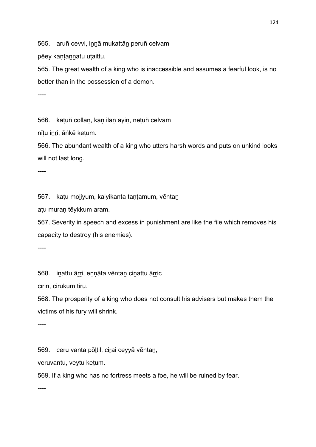565. aruñ cevvi, innā mukattān peruñ celvam

pēey kantannatu utaittu.

565. The great wealth of a king who is inaccessible and assumes a fearful look, is no better than in the possession of a demon.

----

566. kaṭuñ collaṉ, kaṇ ilaṉ āyiṉ, neṭuñ celvam

nītu inri, āṅkē ketum.

566. The abundant wealth of a king who utters harsh words and puts on unkind looks will not last long.

----

567. kaṭu moḻiyum, kaiyikanta taṇṭamum, vēntaṉ

aṭu muraṇ tēykkum aram.

567. Severity in speech and excess in punishment are like the file which removes his capacity to destroy (his enemies).

----

568. inattu ārri, ennāta vēntan cinattu ārric

cīrin, cirukum tiru.

568. The prosperity of a king who does not consult his advisers but makes them the victims of his fury will shrink.

----

569. ceru vanta pōḻtil, ciṟai ceyyā vēntaṉ,

veruvantu, veytu keṭum.

569. If a king who has no fortress meets a foe, he will be ruined by fear.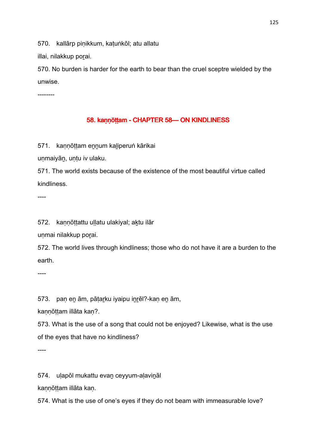570. kallārp piṇikkum, kaṭuṅkōl; atu allatu

illai, nilakkup porai.

570. No burden is harder for the earth to bear than the cruel sceptre wielded by the unwise.

--------

#### 58. kaṇṇōṭṭam - CHAPTER 58— ON KINDLINESS

571. kannōttam ennum kaliperuṅ kārikai

uṇmaiyāṉ, uṇṭu iv ulaku.

571. The world exists because of the existence of the most beautiful virtue called kindliness.

----

572. kaṇṇōṭṭattu uḷḷatu ulakiyal; aḵtu ilār

unmai nilakkup porai.

572. The world lives through kindliness; those who do not have it are a burden to the earth.

----

573. pan en ām, pātarku iyaipu inrēl?-kan en ām,

kannōttam illāta kan?.

573. What is the use of a song that could not be enjoyed? Likewise, what is the use of the eyes that have no kindliness?

----

574. uḷapōl mukattu evaṉ ceyyum-aḷaviṉāl

kaṇṇōṭṭam illāta kaṇ.

574. What is the use of one's eyes if they do not beam with immeasurable love?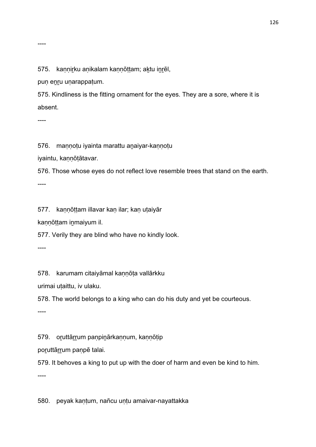----

575. kannirku anikalam kannōttam; aktu inrēl,

puṇ eṉṟu uṇarappaṭum.

575. Kindliness is the fitting ornament for the eyes. They are a sore, where it is absent.

----

576. mannotu iyainta marattu anaiyar-kannotu

iyaintu, kaṇṇōṭātavar.

576. Those whose eyes do not reflect love resemble trees that stand on the earth.

----

577. kaṇṇōṭṭam illavar kaṇ ilar; kaṇ uṭaiyār

kaṇṇōṭṭam iṉmaiyum il.

577. Verily they are blind who have no kindly look.

----

578. karumam citaiyāmal kannōta vallārkku

urimai uṭaittu, iv ulaku.

578. The world belongs to a king who can do his duty and yet be courteous.

----

579. oruttārrum paṇpinārkaṇṇum, kaṇṇōṭip

poruttārrum paṇpē talai.

579. It behoves a king to put up with the doer of harm and even be kind to him.

----

580. peyak kaṇṭum, nañcu uṇṭu amaivar-nayattakka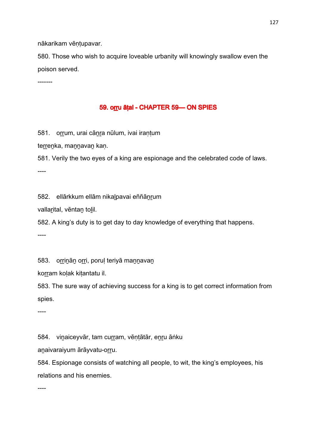nākarikam vēntupavar.

580. Those who wish to acquire loveable urbanity will knowingly swallow even the poison served.

-------

#### 59. orru āṭal - CHAPTER 59 CHAPTER 59

581. orrum, urai cānra nūlum, ivai irantum

terrenka, mannavan kan.

581. Verily the two eyes of a king are espionage and the celebrated code of laws.

----

582. ellārkkum ellām nikaḻpavai eññāṉṟum

vallarital, vēntan tolil.

582. A king's duty is to get day to day knowledge of everything that happens.

----

583. orrinān orri, porul teriyā mannavan

korram koļak kiṭantatu il.

583. The sure way of achieving success for a king is to get correct information from spies.

----

584. vinaiceyvār, tam curram, vēņṭātār, enru āṅku

anaivaraiyum ārāyvatu-orru.

584. Espionage consists of watching all people, to wit, the king's employees, his relations and his enemies.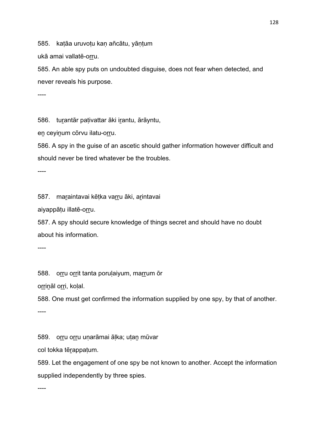585. katāa uruvotu kan añcātu, yāntum

ukā amai vallatē-orru.

585. An able spy puts on undoubted disguise, does not fear when detected, and never reveals his purpose.

----

586. turantār pativattar āki irantu, ārāyntu,

en ceyinum cōrvu ilatu-orru.

586. A spy in the guise of an ascetic should gather information however difficult and should never be tired whatever be the troubles.

----

587. maraintavai kētka varru āki, arintavai

aiyappāṭu illatē-oṟṟu.

587. A spy should secure knowledge of things secret and should have no doubt about his information.

----

588. orru orrit tanta porulaiyum, marrum ōr

orrināl orri, koļal.

588. One must get confirmed the information supplied by one spy, by that of another. ----

589. oṟṟu oṟṟu uṇarāmai āḷka; uṭaṉ mūvar

col tokka tēṟappaṭum.

589. Let the engagement of one spy be not known to another. Accept the information supplied independently by three spies.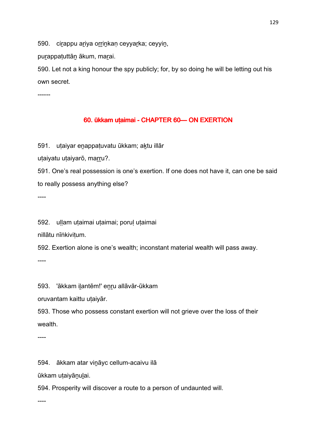590. cirappu ariya orrinkan ceyyarka; ceyyin,

purappatuttān ākum, marai.

590. Let not a king honour the spy publicly; for, by so doing he will be letting out his own secret.

------

## 60. ūkkam uṭaimai - CHAPTER 60 - ON EXERTION

591. utaiyar enappatuvatu ūkkam; aktu illār

uțaiyatu uțaiyarō, marru?.

591. One's real possession is one's exertion. If one does not have it, can one be said to really possess anything else?

----

592. uḷḷam uṭaimai uṭaimai; poruḷ uṭaimai

nillātu nīṅkiviṭum.

592. Exertion alone is one's wealth; inconstant material wealth will pass away.

----

593. 'ākkam iḻantēm!' eṉṟu allāvār-ūkkam

oruvantam kaittu uṭaiyār.

593. Those who possess constant exertion will not grieve over the loss of their wealth.

----

594. ākkam atar viṉāyc cellum-acaivu ilā

ūkkam uṭaiyāṉuḻai.

594. Prosperity will discover a route to a person of undaunted will.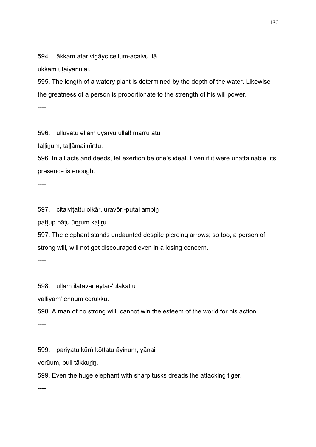594. ākkam atar viṉāyc cellum-acaivu ilā

ūkkam utaiyānulai.

595. The length of a watery plant is determined by the depth of the water. Likewise the greatness of a person is proportionate to the strength of his will power.

----

596. ulluvatu ellām uyarvu ullal! marru atu

tallinum, tallāmai nīrttu.

596. In all acts and deeds, let exertion be one's ideal. Even if it were unattainable, its presence is enough.

----

597. citaiviṭattu olkār, uravōr;-putai ampiṉ

paṭṭup pāṭu ūṉṟum kaḷiṟu.

597. The elephant stands undaunted despite piercing arrows; so too, a person of strong will, will not get discouraged even in a losing concern.

----

598. uḷḷam ilātavar eytār-'ulakattu

valliyam' ennum cerukku.

598. A man of no strong will, cannot win the esteem of the world for his action.

----

599. pariyatu kūrṅ kōṭṭatu āyiṉum, yāṉai

verūum, puli tākkurin.

599. Even the huge elephant with sharp tusks dreads the attacking tiger.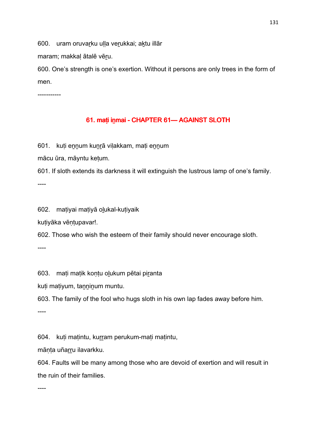600. uram oruvarku ulla verukkai; aktu illār

maram; makkal ātalē vēru.

600. One's strength is one's exertion. Without it persons are only trees in the form of men.

-----------

## 61. maṭi inmai - CHAPTER 61— AGAINST SLOTH

601. kuti ennum kunrā vilakkam, mati ennum

mācu ūra, māyntu keṭum.

601. If sloth extends its darkness it will extinguish the lustrous lamp of one's family.

----

602. maṭiyai maṭiyā oḻukal-kuṭiyaik

kuṭiyāka vēṇṭupavar!.

602. Those who wish the esteem of their family should never encourage sloth.

----

603. mati matik kontu olukum pētai piranta

kuṭi maṭiyum, taṉṉiṉum muntu.

603. The family of the fool who hugs sloth in his own lap fades away before him.

----

604. kuti matintu, kurram perukum-mati matintu,

mānta uñarru ilavarkku.

604. Faults will be many among those who are devoid of exertion and will result in the ruin of their families.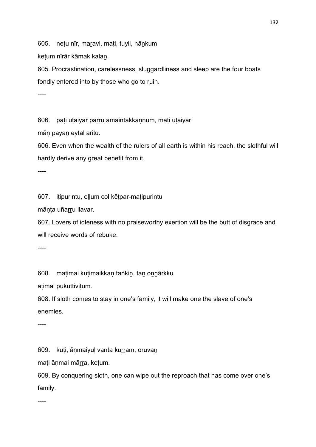605. netu nīr, maravi, mati, tuyil, nānkum

keṭum nīrār kāmak kalaṉ.

605. Procrastination, carelessness, sluggardliness and sleep are the four boats fondly entered into by those who go to ruin.

----

606. pati utaiyār parru amaintakkannum, mati utaiyār

māṇ payaṉ eytal aritu.

606. Even when the wealth of the rulers of all earth is within his reach, the slothful will hardly derive any great benefit from it.

----

607. iṭipurintu, eḷḷum col kēṭpar-maṭipurintu

māṇṭa uñaṟṟu ilavar.

607. Lovers of idleness with no praiseworthy exertion will be the butt of disgrace and will receive words of rebuke.

----

608. maṭimai kuṭimaikkaṇ taṅkiṉ, taṉ oṉṉārkku

aṭimai pukuttiviṭum.

608. If sloth comes to stay in one's family, it will make one the slave of one's enemies.

----

609. kuṭi, āṇmaiyuḷ vanta kurram, oruvaṇ

maṭi āṇmai māṟṟa, keṭum.

609. By conquering sloth, one can wipe out the reproach that has come over one's family.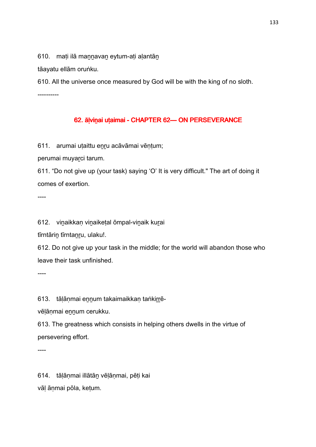610. mati ilā mannavan eytum-ati alantān

tāayatu ellām oruṅku.

610. All the universe once measured by God will be with the king of no sloth.

----------

## 62. āļvinai utaimai - CHAPTER 62—ON PERSEVERANCE

611. arumai utaittu enru acāvāmai vēntum;

perumai muyarci tarum.

611. "Do not give up (your task) saying 'O' It is very difficult." The art of doing it comes of exertion.

----

612. viṉaikkaṇ viṉaikeṭal ōmpal-viṉaik kuṟai

tīrntārin tīrntanru, ulaku!.

612. Do not give up your task in the middle; for the world will abandon those who leave their task unfinished.

----

613. tālānmai ennum takaimaikkan taṅkirrē-

vēlānmai ennum cerukku.

613. The greatness which consists in helping others dwells in the virtue of persevering effort.

----

614. tāḷāṇmai illātāṉ vēḷāṇmai, pēṭi kai vāḷ āṇmai pōla, keṭum.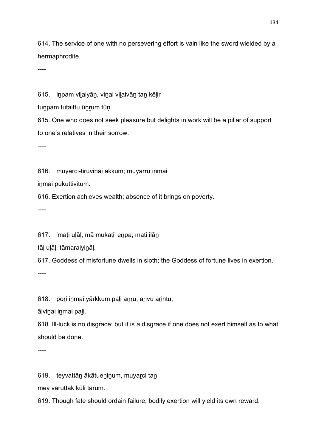614. The service of one with no persevering effort is vain like the sword wielded by a hermaphrodite.

----

615. iṉpam viḻaiyāṉ, viṉai viḻaivāṉ taṉ kēḷir

tunpam tutaittu ūnrum tūn.

615. One who does not seek pleasure but delights in work will be a pillar of support to one's relatives in their sorrow.

----

616. muyarci-tiruvinai ākkum; muyarru inmai

iṉmai pukuttiviṭum.

616. Exertion achieves wealth; absence of it brings on poverty.

----

617. 'mati ulāl, mā mukati' enpa; mati ilān

tāḷ uḷāḷ, tāmaraiyiṉāḷ.

617. Goddess of misfortune dwells in sloth; the Goddess of fortune lives in exertion.

----

618. pori inmai yārkkum pali anru; arivu arintu,

āḷviṉai iṉmai paḻi.

618. Ill-luck is no disgrace; but it is a disgrace if one does not exert himself as to what should be done.

----

619. teyvattāṉ ākātueṉiṉum, muyaṟci taṉ

mey varuttak kūli tarum.

619. Though fate should ordain failure, bodily exertion will yield its own reward.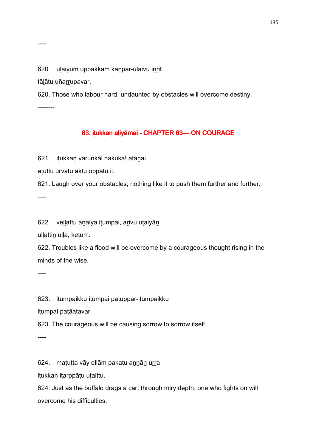620. ūlaiyum uppakkam kānpar-ulaivu inrit

tāḻātu uñaṟṟupavar.

----

620. Those who labour hard, undaunted by obstacles will overcome destiny. --------

## 63. iṭukkaṇ aliyāmai - CHAPTER 63— ON COURAGE

621. iṭukkaṇ varuṅkāl nakuka! ataṉai

aṭuttu ūrvatu aḵtu oppatu il.

621. Laugh over your obstacles; nothing like it to push them further and further. ----

622. veḷḷattu aṉaiya iṭumpai, aṟivu uṭaiyāṉ

ullattin ulla, ketum.

622. Troubles like a flood will be overcome by a courageous thought rising in the minds of the wise.

----

623. iṭumpaikku iṭumpai paṭuppar-iṭumpaikku

iṭumpai paṭāatavar.

623. The courageous will be causing sorrow to sorrow itself.

----

624. maṭutta vāy ellām pakaṭu annāṇ urra

iṭukkaṇ iṭarppāṭu uṭaittu.

624. Just as the buffalo drags a cart through miry depth, one who fights on will overcome his difficulties.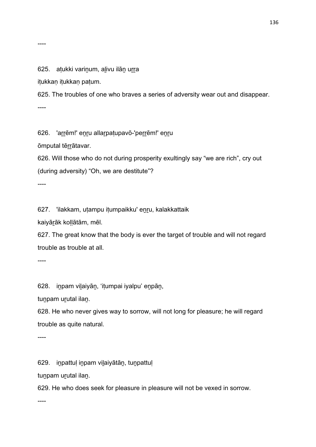#### ----

#### 625. atukki varinum, alivu ilān urra

iṭukkaṇ iṭukkaṇ paṭum.

625. The troubles of one who braves a series of adversity wear out and disappear. ----

626. 'arrēm!' enru allarpatupavō-'perrēm!' enru

ōmputal tēṟṟātavar.

626. Will those who do not during prosperity exultingly say "we are rich", cry out (during adversity) "Oh, we are destitute"?

----

627. 'ilakkam, uṭampu iṭumpaikku' eṉṟu, kalakkattaik

kaiyāṟāk koḷḷātām, mēl.

627. The great know that the body is ever the target of trouble and will not regard trouble as trouble at all.

----

628. iṉpam viḻaiyāṉ, 'iṭumpai iyalpu' eṉpāṉ,

tunpam urutal ilan.

628. He who never gives way to sorrow, will not long for pleasure; he will regard trouble as quite natural.

----

629. iṉpattuḷ iṉpam viḻaiyātāṉ, tuṉpattuḷ

tunpam urutal ilan.

629. He who does seek for pleasure in pleasure will not be vexed in sorrow.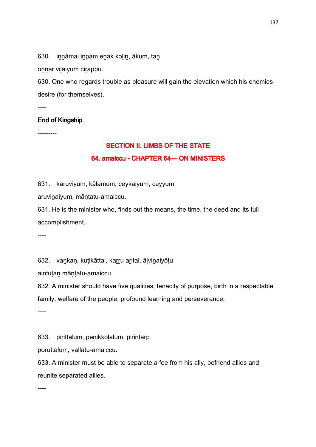630. innāmai inpam enak kolin, ākum, tan

onnār vilaiyum cirappu.

630. One who regards trouble as pleasure will gain the elevation which his enemies desire (for themselves).

----

### End of Kingship

---------

# SECTION II. LIMBS OF THE STATE 64. amaiccu - CHAPTER 64— ON MINISTERS

631. karuviyum, kālamum, ceykaiyum, ceyyum

aruviṉaiyum, māṇṭatu-amaiccu.

631. He is the minister who, finds out the means, the time, the deed and its full accomplishment.

----

632. vankan, kutikāttal, karru arital, ālvinaiyōtu

aintutan māntatu-amaiccu.

632. A minister should have five qualities; tenacity of purpose, birth in a respectable family, welfare of the people, profound learning and perseverance.

----

633. pirittalum, pēṇikkoḷalum, pirintārp

poruttalum, vallatu-amaiccu.

633. A minister must be able to separate a foe from his ally, befriend allies and reunite separated allies.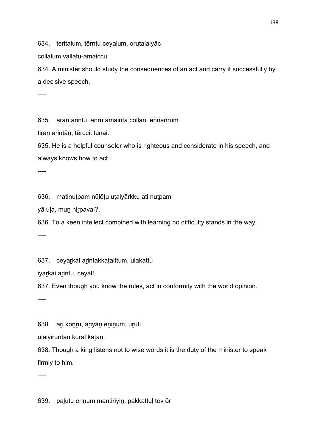634. teritalum, tērntu ceyalum, orutalaiyāc

collalum vallatu-amaiccu.

634. A minister should study the consequences of an act and carry it successfully by a decisive speech.

----

635. aran arintu, ānru amainta collān, eññānrum

tiran arintān, tērccit tunai.

635. He is a helpful counselor who is righteous and considerate in his speech, and always knows how to act.

----

636. matinuṭpam nūlōṭu uṭaiyārkku ati nuṭpam

yā uḷa, muṉ niṟpavai?.

636. To a keen intellect combined with learning no difficulty stands in the way. ----

637. ceyarkai arintakkataittum, ulakattu

iyarkai arintu, ceyal!.

637. Even though you know the rules, act in conformity with the world opinion.

----

638. ari konru, ariyān eninum, uruti

uḻaiyiruntāṉ kūṟal kaṭaṉ.

638. Though a king listens not to wise words it is the duty of the minister to speak firmly to him.

----

639. palutu ennum mantiriyin, pakkattul tev ōr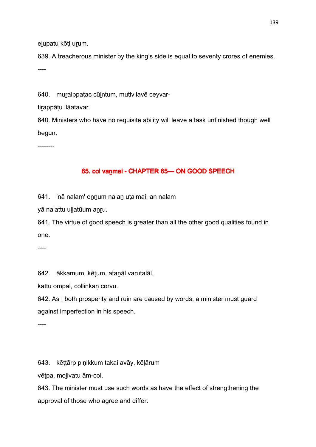elupatu kōti urum.

639. A treacherous minister by the king's side is equal to seventy crores of enemies. ----

640. muraippatac cūlntum, mutivilavē ceyvar-

tirappātu ilāatavar.

640. Ministers who have no requisite ability will leave a task unfinished though well begun.

--------

## 65. col vanmai - CHAPTER 65-ON GOOD SPEECH

641. 'nā nalam' eṉṉum nalaṉ uṭaimai; an nalam

yā nalattu uḷḷatūum anru.

641. The virtue of good speech is greater than all the other good qualities found in one.

----

642. ākkamum, kēṭum, ataṉāl varutalāl,

kāttu ōmpal, colliṉkaṇ cōrvu.

642. As I both prosperity and ruin are caused by words, a minister must guard against imperfection in his speech.

----

643. kēṭṭārp piṇikkum takai avāy, kēḷārum

vēṭpa, moḻivatu ām-col.

643. The minister must use such words as have the effect of strengthening the approval of those who agree and differ.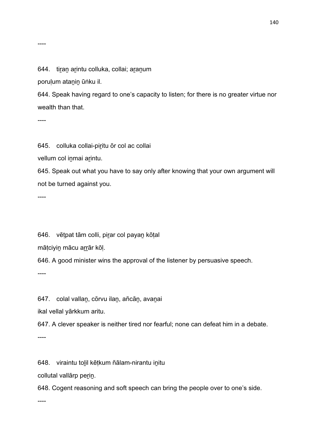#### 644. tiran arintu colluka, collai; aranum

poruḷum ataṉiṉ ūṅku il.

644. Speak having regard to one's capacity to listen; for there is no greater virtue nor wealth than that.

----

----

645. colluka collai-piritu ōr col ac collai

vellum col inmai arintu.

645. Speak out what you have to say only after knowing that your own argument will not be turned against you.

----

646. vētpat tām colli, pirar col payan kōtal

mātciyin mācu arrār kōl.

646. A good minister wins the approval of the listener by persuasive speech.

----

647. colal vallan, cōrvu ilan, añcān, avanai

ikal vellal yārkkum aritu.

647. A clever speaker is neither tired nor fearful; none can defeat him in a debate.

----

648. viraintu toḻil kēṭkum ñālam-nirantu iṉitu

collutal vallārp perin.

648. Cogent reasoning and soft speech can bring the people over to one's side.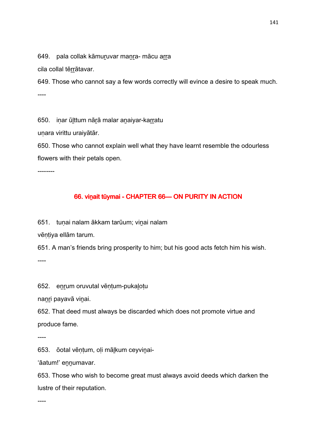649. pala collak kāmuṟuvar maṉṟa- mācu aṟṟa

cila collal tērrātavar.

649. Those who cannot say a few words correctly will evince a desire to speak much. ----

650. inar ūlttum nārā malar anaiyar-karratu

unara virittu uraiyātār.

650. Those who cannot explain well what they have learnt resemble the odourless flowers with their petals open.

--------

## 66. vinait tūymai - CHAPTER 66— ON PURITY IN ACTION

651. tuṇai nalam ākkam tarūum; viṉai nalam

vēntiya ellām tarum.

651. A man's friends bring prosperity to him; but his good acts fetch him his wish. ----

652. eṉṟum oruvutal vēṇṭum-pukaḻoṭu

nanri payavā vinai.

652. That deed must always be discarded which does not promote virtue and produce fame.

----

653. ōotal vēṇṭum, oḷi māḻkum ceyviṉai-

'āatum!' ennumavar.

653. Those who wish to become great must always avoid deeds which darken the lustre of their reputation.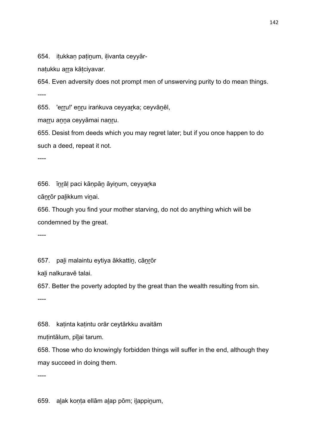654. itukkan patinum, ilivanta ceyyār-

natukku arra kātciyavar.

654. Even adversity does not prompt men of unswerving purity to do mean things. ----

655. 'erru!' enru iraṅkuva ceyyarka; ceyvānēl,

marru anna ceyyāmai nanru.

655. Desist from deeds which you may regret later; but if you once happen to do such a deed, repeat it not.

----

656. īṉṟāḷ paci kāṇpāṉ āyiṉum, ceyyaṟka

cāṉṟōr paḻikkum viṉai.

656. Though you find your mother starving, do not do anything which will be condemned by the great.

----

657. pali malaintu eytiya ākkattin, cānrōr

kaḻi nalkuravē talai.

657. Better the poverty adopted by the great than the wealth resulting from sin.

----

658. kaṭinta kaṭintu orār ceytārkku avaitām

muṭintālum, pīḻai tarum.

658. Those who do knowingly forbidden things will suffer in the end, although they may succeed in doing them.

----

659. aḻak koṇṭa ellām aḻap pōm; iḻappiṉum,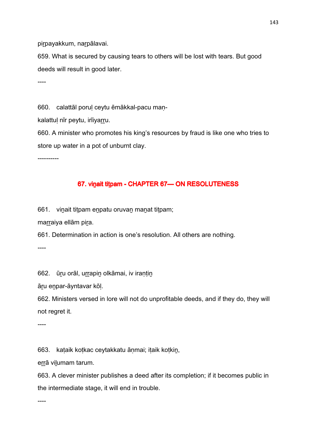pirpayakkum, narpālavai.

659. What is secured by causing tears to others will be lost with tears. But good deeds will result in good later.

----

660. calattāl poruḷ ceytu ēmākkal-pacu maṇ-

kalattul nīr peytu, irīiyarru.

660. A minister who promotes his king's resources by fraud is like one who tries to store up water in a pot of unburnt clay.

----------

#### 67. vinait titpam - CHAPTER 67-ON RESOLUTENESS

661. viṉait tiṭpam eṉpatu oruvaṉ maṉat tiṭpam;

marraiya ellām pira.

661. Determination in action is one's resolution. All others are nothing.

----

662. ūru orāl, urrapin olkāmai, iv irantin

āṟu eṉpar-āyntavar kōḷ.

662. Ministers versed in lore will not do unprofitable deeds, and if they do, they will not regret it.

----

663. kaṭaik koṭkac ceytakkatu āṇmai; iṭaik koṭkiṉ,

errā vilumam tarum.

663. A clever minister publishes a deed after its completion; if it becomes public in the intermediate stage, it will end in trouble.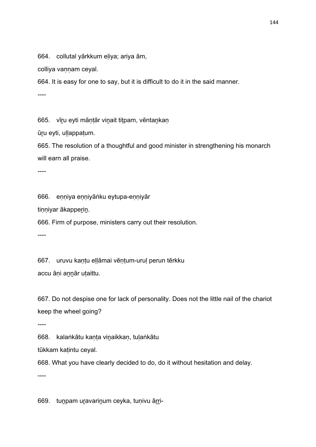664. collutal yārkkum eḷiya; ariya ām,

colliya vannam ceyal.

664. It is easy for one to say, but it is difficult to do it in the said manner.

----

665. vīru eyti māntār vinait titpam, vēntankan

ūru eyti, ullappatum.

665. The resolution of a thoughtful and good minister in strengthening his monarch will earn all praise.

----

666. eṇṇiya eṇṇiyāṅku eytupa-eṇṇiyār

tinniyar ākapperin.

666. Firm of purpose, ministers carry out their resolution.

----

667. uruvu kaṇṭu eḷḷāmai vēṇṭum-uruḷ perun tērkku accu āṇi aṉṉār uṭaittu.

667. Do not despise one for lack of personality. Does not the little nail of the chariot keep the wheel going?

----

668. kalaṅkātu kaṇṭa viṉaikkaṇ, tuḷaṅkātu

tūkkam kaṭintu ceyal.

668. What you have clearly decided to do, do it without hesitation and delay.

----

669. tuṉpam uṟavariṉum ceyka, tuṇivu āṟṟi-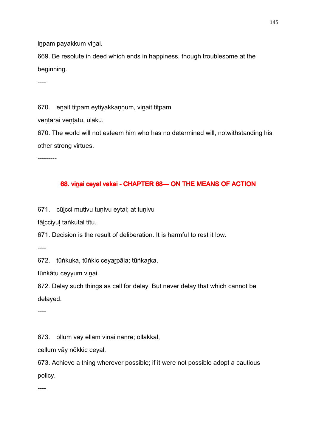inpam payakkum vinai.

669. Be resolute in deed which ends in happiness, though troublesome at the beginning.

----

670. enait titpam eytiyakkannum, vinait titpam

vēntārai vēntātu, ulaku.

670. The world will not esteem him who has no determined will, notwithstanding his other strong virtues.

---------

# 68. vinai ceyal vakai - CHAPTER 68- ON THE MEANS OF ACTION

671. cūḻcci muṭivu tuṇivu eytal; at tuṇivu

tāḻcciyuḷ taṅkutal tītu.

671. Decision is the result of deliberation. It is harmful to rest it low.

----

672. tūṅkuka, tūṅkic ceyarpāla; tūṅkarka,

tūṅkātu ceyyum viṉai.

672. Delay such things as call for delay. But never delay that which cannot be delayed.

----

673. ollum vāy ellām viṉai naṉṟē; ollākkāl,

cellum vāy nōkkic ceyal.

673. Achieve a thing wherever possible; if it were not possible adopt a cautious policy.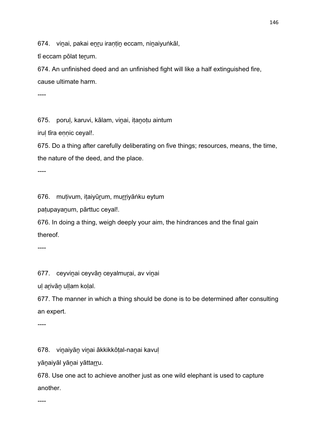674. vinai, pakai enru irantin eccam, ninaiyuṅkāl,

tī eccam pōlat terum.

674. An unfinished deed and an unfinished fight will like a half extinguished fire, cause ultimate harm.

----

675. porul, karuvi, kālam, vinai, itanotu aintum

irul tīra ennic ceyal!.

675. Do a thing after carefully deliberating on five things; resources, means, the time, the nature of the deed, and the place.

----

676. muṭivum, iṭaiyūṟum, muṟṟiyāṅku eytum

paṭupayaṉum, pārttuc ceyal!.

676. In doing a thing, weigh deeply your aim, the hindrances and the final gain thereof.

----

677. ceyvinai ceyvān ceyalmurai, av vinai

uļ arīvān uļļam koļal.

677. The manner in which a thing should be done is to be determined after consulting an expert.

----

678. viṉaiyāṉ viṉai ākkikkōṭal-naṉai kavuḷ

yāṇaiyāl yāṇai yāttarru.

678. Use one act to achieve another just as one wild elephant is used to capture another.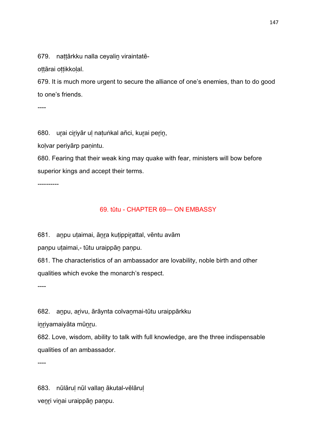679. nattārkku nalla ceyalin viraintatē-

ottārai ottikkolal.

679. It is much more urgent to secure the alliance of one's enemies, than to do good to one's friends.

----

680. urai ciriyār ul natuṅkal añci, kurai perin,

koḷvar periyārp paṇintu.

680. Fearing that their weak king may quake with fear, ministers will bow before superior kings and accept their terms.

----------

### 69. tūtu - CHAPTER 69— ON EMBASSY

681. anpu utaimai, ānra kutippirattal, vēntu avām

panpu utaimai,- tūtu uraippān panpu.

681. The characteristics of an ambassador are lovability, noble birth and other qualities which evoke the monarch's respect.

----

682. anpu, arivu, ārāynta colvanmai-tūtu uraippārkku

inriyamaiyāta mūnru.

682. Love, wisdom, ability to talk with full knowledge, are the three indispensable qualities of an ambassador.

----

683. nūlāruḷ nūl vallaṉ ākutal-vēlāruḷ venri vinai uraippān paṇpu.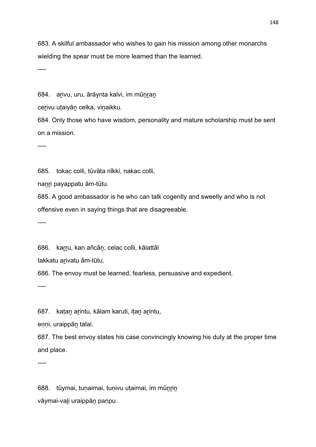683. A skilful ambassador who wishes to gain his mission among other monarchs wielding the spear must be more learned than the learned.

----

684. arivu, uru, ārāynta kalvi, im mūnran

cerivu utaiyān celka, vinaikku.

684. Only those who have wisdom, personality and mature scholarship must be sent on a mission.

----

685. tokac colli, tūvāta nīkki, nakac colli,

naṉṟi payappatu ām-tūtu.

685. A good ambassador is he who can talk cogently and sweetly and who is not offensive even in saying things that are disagreeable.

----

686. karru, kan añcān, celac colli, kālattāl

takkatu arivatu ām-tūtu.

686. The envoy must be learned, fearless, persuasive and expedient.

----

687. katan arintu, kālam karuti, itan arintu,

enni, uraippān talai.

687. The best envoy states his case convincingly knowing his duty at the proper time and place.

----

688. tūymai, tuṇaimai, tuṇivu uṭaimai, im mūṉṟiṉ vāymai-vaḻi uraippāṉ paṇpu.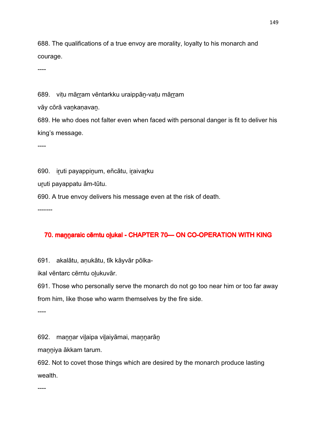688. The qualifications of a true envoy are morality, loyalty to his monarch and courage.

----

689. vitu mārram vēntarkku uraippān-vatu mārram

vāy cōrā vankanavan.

689. He who does not falter even when faced with personal danger is fit to deliver his king's message.

----

690. iruti payappinum, eñcātu, iraivarku

uṟuti payappatu ām-tūtu.

690. A true envoy delivers his message even at the risk of death.

-------

# 70. mannaraic cērntu o lukal - CHAPTER 70 CO-OPERATION WITH KING

691. akalātu, aṇukātu, tīk kāyvār pōlka-

ikal vēntarc cērntu oḻukuvār.

691. Those who personally serve the monarch do not go too near him or too far away from him, like those who warm themselves by the fire side.

----

692. maṉṉar viḻaipa viḻaiyāmai, maṉṉarāṉ

manniya ākkam tarum.

692. Not to covet those things which are desired by the monarch produce lasting wealth.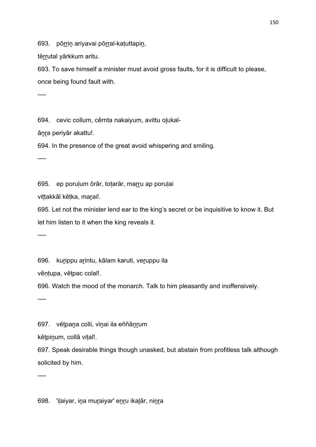693. pōrrin ariyavai pōrral-katuttapin,

tērrutal yārkkum aritu.

693. To save himself a minister must avoid gross faults, for it is difficult to please, once being found fault with.

----

694. cevic collum, cērnta nakaiyum, avittu olukal-

ānra periyār akattu!.

694. In the presence of the great avoid whispering and smiling.

----

695. ep poruḷum ōrār, toṭarār, maṟṟu ap poruḷai

vittakkāl kētka, marai!.

695. Let not the minister lend ear to the king's secret or be inquisitive to know it. But let him listen to it when the king reveals it.

----

696. kurippu arintu, kālam karuti, veruppu ila

vēntupa, vētpac colal!.

696. Watch the mood of the monarch. Talk to him pleasantly and inoffensively.

----

697. vētpana colli, vinai ila eññānrum

kētpinum, collā vital!.

697. Speak desirable things though unasked, but abstain from profitless talk although solicited by him.

----

698. 'iḷaiyar, iṉa muṟaiyar' eṉṟu ikaḻār, niṉṟa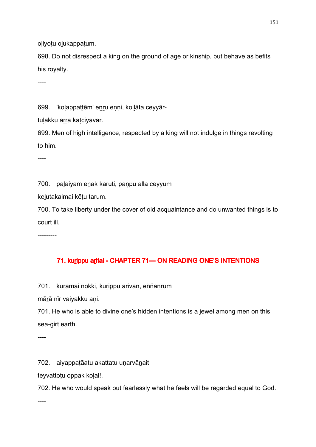oḷiyoṭu oḻukappaṭum.

698. Do not disrespect a king on the ground of age or kinship, but behave as befits his royalty.

----

699. 'kolappattēm' enru enni, kollāta ceyyār-

tulakku arra kātciyavar.

699. Men of high intelligence, respected by a king will not indulge in things revolting to him.

----

700. paḻaiyam eṉak karuti, paṇpu alla ceyyum

keḻutakaimai kēṭu tarum.

700. To take liberty under the cover of old acquaintance and do unwanted things is to court ill.

---------

# 71. kurippu arital - CHAPTER 71— ON READING ONE'S INTENTIONS

701. kūrāmai nōkki, kurippu arivān, eññānrum

mārā nīr vaiyakku ani.

701. He who is able to divine one's hidden intentions is a jewel among men on this sea-girt earth.

----

702. aiyappaṭāatu akattatu uṇarvāṉait

teyvattoṭu oppak koḷal!.

702. He who would speak out fearlessly what he feels will be regarded equal to God.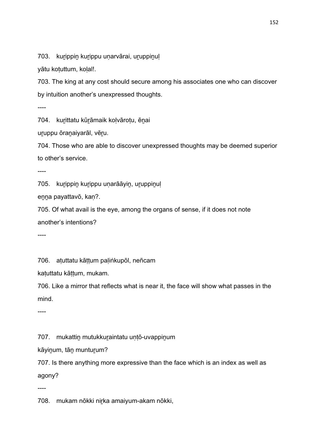703. kurippin kurippu unarvārai, uruppinul

yātu kotuttum, kolal!.

703. The king at any cost should secure among his associates one who can discover by intuition another's unexpressed thoughts.

----

704. kurittatu kūrāmaik kolvārotu, ēnai

uruppu ōranaiyarāl, vēru.

704. Those who are able to discover unexpressed thoughts may be deemed superior to other's service.

----

705. kurippin kurippu unarāāyin, uruppinul

enna payattavō, kan?.

705. Of what avail is the eye, among the organs of sense, if it does not note another's intentions?

----

706. aṭuttatu kāṭṭum paḷiṅkupōl, neñcam

kaṭuttatu kāṭṭum, mukam.

706. Like a mirror that reflects what is near it, the face will show what passes in the mind.

----

707. mukattiṉ mutukkuṟaintatu uṇṭō-uvappiṉum

kāyiṉum, tāṉ muntuṟum?

707. Is there anything more expressive than the face which is an index as well as agony?

----

708. mukam nōkki nirka amaiyum-akam nōkki,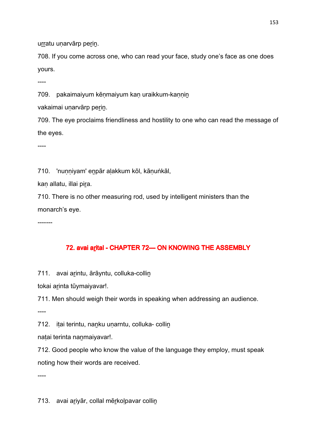urratu unarvārp perin.

708. If you come across one, who can read your face, study one's face as one does yours.

----

709. pakaimaiyum kēnmaiyum kan uraikkum-kannin

vakaimai unarvārp perin.

709. The eye proclaims friendliness and hostility to one who can read the message of the eyes.

----

710. 'nunniyam' enpār alakkum kōl, kānuṅkāl,

kan allatu, illai pira.

710. There is no other measuring rod, used by intelligent ministers than the monarch's eye.

-------

# 72. avai arital - CHAPTER 72- ON KNOWING THE ASSEMBLY

711. avai arintu, ārāyntu, colluka-collin

tokai arinta tūymaiyavar!.

711. Men should weigh their words in speaking when addressing an audience.

----

712. itai terintu, nanku unarntu, colluka- collin

natai terinta nanmaiyavar!.

712. Good people who know the value of the language they employ, must speak noting how their words are received.

----

713. avai ariyār, collal mērkoļpavar collin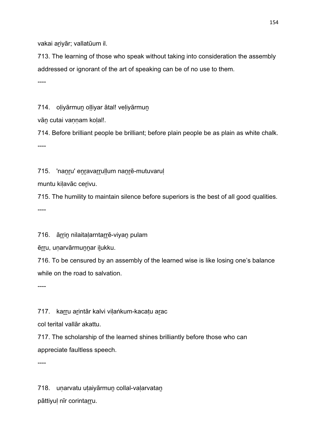vakai ariyār; vallatūum il.

713. The learning of those who speak without taking into consideration the assembly addressed or ignorant of the art of speaking can be of no use to them.

----

714. oliyārmun olliyar ātal! veliyārmun

vān cutai vannam kolal!.

714. Before brilliant people be brilliant; before plain people be as plain as white chalk. ----

715. 'nanru' enravarrullum nanrē-mutuvarul

muntu kiḷavāc ceṟivu.

715. The humility to maintain silence before superiors is the best of all good qualities. ----

716. ārrin nilaitalarntarrē-viyan pulam

ērru, unarvārmunnar ilukku.

716. To be censured by an assembly of the learned wise is like losing one's balance while on the road to salvation.

----

717. karru arintār kalvi vilaṅkum-kacatu arac

col terital vallār akattu.

717. The scholarship of the learned shines brilliantly before those who can appreciate faultless speech.

----

718. uṇarvatu uṭaiyārmuṉ collal-vaḷarvataṉ pāttiyul nīr corintarru.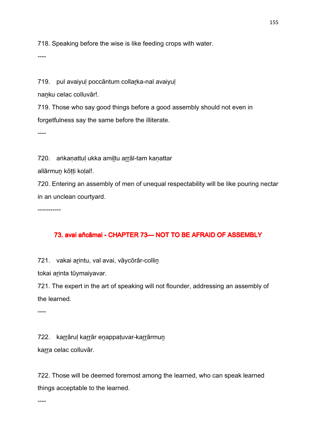718. Speaking before the wise is like feeding crops with water.

----

719. pul avaiyuļ poccāntum collarka-nal avaiyuļ

nanku celac colluvār!.

719. Those who say good things before a good assembly should not even in forgetfulness say the same before the illiterate.

----

720. aṅkaṇattuḷ ukka amiḷtu arrāl-tam kaṇattar

allārmun kōtti kolal!.

720. Entering an assembly of men of unequal respectability will be like pouring nectar in an unclean courtyard.

-----------

# 73. avai añcāmai - CHAPTER 73- NOT TO BE AFRAID OF ASSEMBLY

721. vakai arintu, val avai, vāycōrār-collin

tokai arinta tūymaiyavar.

721. The expert in the art of speaking will not flounder, addressing an assembly of the learned.

----

722. karrāruļ karrār enappatuvar-karrārmun

karra celac colluvār.

722. Those will be deemed foremost among the learned, who can speak learned things acceptable to the learned.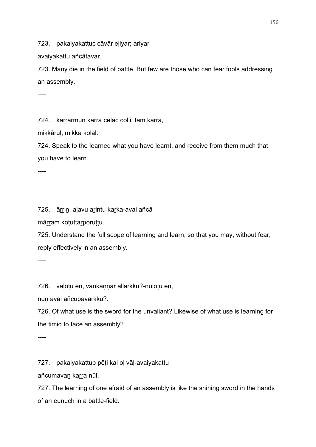723. pakaiyakattuc cāvār eḷiyar; ariyar

avaiyakattu añcātavar.

723. Many die in the field of battle. But few are those who can fear fools addressing an assembly.

----

724. karrārmun karra celac colli, tām karra,

mikkāruḷ, mikka koḷal.

724. Speak to the learned what you have learnt, and receive from them much that you have to learn.

----

725. ārrin, aļavu arintu karka-avai añcā

mārram koṭuttarporuṭṭu.

725. Understand the full scope of learning and learn, so that you may, without fear, reply effectively in an assembly.

----

726. vāḷoṭu eṉ, vaṉkaṇṇar allārkku?-nūloṭu eṉ,

nun avai añcupavarkku?.

726. Of what use is the sword for the unvaliant? Likewise of what use is learning for the timid to face an assembly?

----

727. pakaiyakattup pēṭi kai oḷ vāḷ-avaiyakattu

añcumavaṉ kaṟṟa nūl.

727. The learning of one afraid of an assembly is like the shining sword in the hands of an eunuch in a battle-field.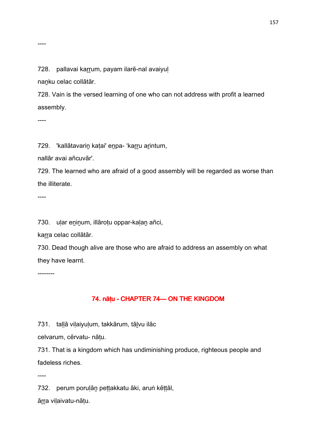#### ----

#### 728. pallavai karrum, payam ilarē-nal avaiyul

nanku celac collātār.

728. Vain is the versed learning of one who can not address with profit a learned assembly.

----

729. 'kallātavarin katai' enpa- 'karru arintum,

nallār avai añcuvār'.

729. The learned who are afraid of a good assembly will be regarded as worse than the illiterate.

----

730. uḷar eṉiṉum, illāroṭu oppar-kaḷaṉ añci,

karra celac collātār.

730. Dead though alive are those who are afraid to address an assembly on what they have learnt.

--------

# 74. nāṭu - CHAPTER 74— ON THE KINGDOM

731. tallā vilaiyulum, takkārum, tālvu ilāc

celvarum, cērvatu- nāṭu.

731. That is a kingdom which has undiminishing produce, righteous people and fadeless riches.

----

732. perum poruḷāṉ peṭṭakkatu āki, aruṅ kēṭṭāl,

āṟṟa viḷaivatu-nāṭu.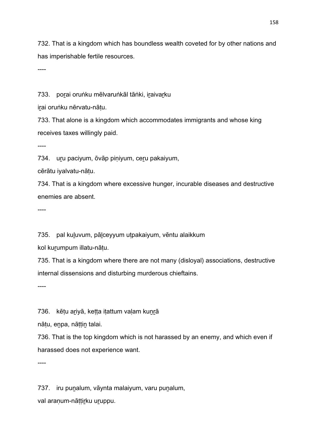732. That is a kingdom which has boundless wealth coveted for by other nations and has imperishable fertile resources.

----

733. porai oruṅku mēlvaruṅkāl tāṅki, iraivarku

irai oruṅku nērvatu-nātu.

733. That alone is a kingdom which accommodates immigrants and whose king receives taxes willingly paid.

----

734. uṟu paciyum, ōvāp piṇiyum, ceṟu pakaiyum,

cērātu iyalvatu-nāṭu.

734. That is a kingdom where excessive hunger, incurable diseases and destructive enemies are absent.

----

735. pal kuḻuvum, pāḻceyyum uṭpakaiyum, vēntu alaikkum

kol kurumpum illatu-nātu.

735. That is a kingdom where there are not many (disloyal) associations, destructive internal dissensions and disturbing murderous chieftains.

----

736. kētu ariyā, ketta itattum valam kunrā

nātu, enpa, nāttin talai.

736. That is the top kingdom which is not harassed by an enemy, and which even if harassed does not experience want.

----

737. iru puṉalum, vāynta malaiyum, varu puṉalum, val araṇum-nāṭṭir̯ku ur̯uppu.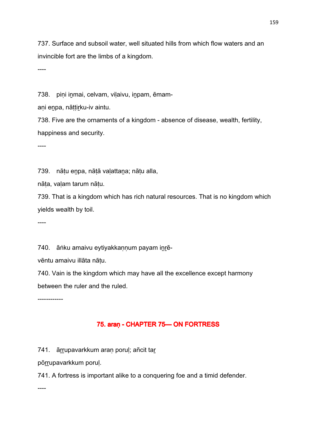737. Surface and subsoil water, well situated hills from which flow waters and an invincible fort are the limbs of a kingdom.

----

738. pini inmai, celvam, vilaivu, inpam, ēmam-

ani enpa, nāttirku-iv aintu.

738. Five are the ornaments of a kingdom - absence of disease, wealth, fertility, happiness and security.

----

739. nāṭu eṉpa, nāṭā vaḷattaṉa; nāṭu alla,

nāṭa, vaḷam tarum nāṭu.

739. That is a kingdom which has rich natural resources. That is no kingdom which yields wealth by toil.

----

740. āṅku amaivu eytiyakkannum payam inrē-

vēntu amaivu illāta nāṭu.

740. Vain is the kingdom which may have all the excellence except harmony between the ruler and the ruled.

------------

# 75. araṇ - CHAPTER 75—ON FORTRESS

741. ārrupavarkkum aran porul; añcit tar

pōrrupavarkkum poruļ.

741. A fortress is important alike to a conquering foe and a timid defender.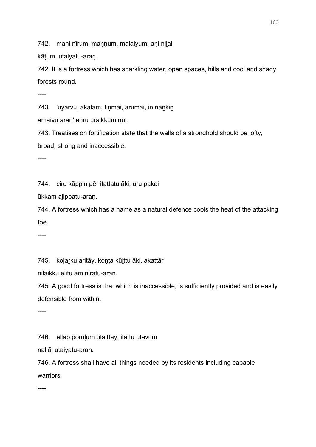742. mani nīrum, mannum, malaiyum, ani nilal

kātum, utaiyatu-aran.

742. It is a fortress which has sparkling water, open spaces, hills and cool and shady forests round.

----

743. 'uyarvu, akalam, tinmai, arumai, in nānkin

amaivu aran'.enru uraikkum nūl.

743. Treatises on fortification state that the walls of a stronghold should be lofty,

broad, strong and inaccessible.

----

744. ciṟu kāppiṉ pēr iṭattatu āki, uṟu pakai

ūkkam aḻippatu-araṇ.

744. A fortress which has a name as a natural defence cools the heat of the attacking foe.

----

745. kolarku aritāy, konta kūlttu āki, akattār

nilaikku eḷitu ām nīratu-araṇ.

745. A good fortress is that which is inaccessible, is sufficiently provided and is easily defensible from within.

----

746. ellāp poruḷum uṭaittāy, iṭattu utavum

nal āḷ uṭaiyatu-araṇ.

746. A fortress shall have all things needed by its residents including capable warriors.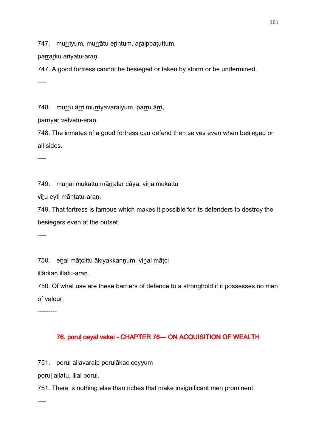747. murriyum, murrātu erintum, araippatuttum,

parrarku ariyatu-aran.

747. A good fortress cannot be besieged or taken by storm or be undermined. ----

748. murru ārri murriyavaraiyum, parru ārri,

parriyār velvatu-aran.

748. The inmates of a good fortress can defend themselves even when besieged on all sides.

----

749. munai mukattu mārralar cāya, viņaimukattu

vīṟu eyti māṇṭatu-araṇ.

749. That fortress is famous which makes it possible for its defenders to destroy the besiegers even at the outset.

----

750. enai mātcittu ākiyakkannum, vinai mātci

illārkan illatu-aran.

750. Of what use are these barriers of defence to a stronghold if it possesses no men of valour.

---------

# 76. porul ceyal vakai - CHAPTER 76 CON ACQUISITION OF WEALTH

751. poruḷ allavaraip poruḷākac ceyyum

poruḷ allatu, illai poruḷ.

751. There is nothing else than riches that make insignificant men prominent.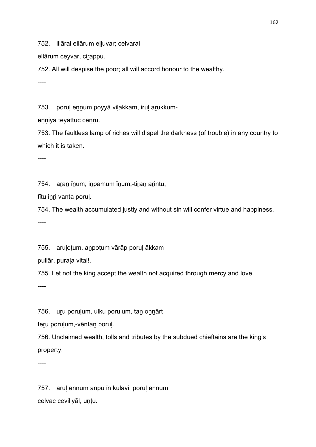752. illārai ellārum elluvar; celvarai

ellārum ceyvar, cirappu.

752. All will despise the poor; all will accord honour to the wealthy.

----

753. porul ennum poyyā vilakkam, irul arukkum-

enniya tēyattuc cenru.

753. The faultless lamp of riches will dispel the darkness (of trouble) in any country to which it is taken.

----

754. aran īnum; inpamum īnum;-tiran arintu,

tītu inri vanta poruļ.

754. The wealth accumulated justly and without sin will confer virtue and happiness. ----

755. arulotum, anpotum vārāp porul ākkam

pullār, purala vital!.

755. Let not the king accept the wealth not acquired through mercy and love.

----

756. uru porulum, ulku porulum, tan onnārt

teru porulum,-vēntan porul.

756. Unclaimed wealth, tolls and tributes by the subdued chieftains are the king's property.

----

757. aruḷ eṉṉum aṉpu īṉ kuḻavi, poruḷ eṉṉum celvac ceviliyāl, untu.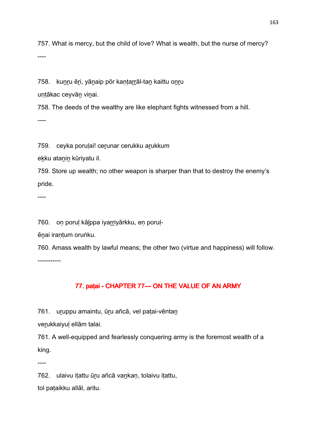757. What is mercy, but the child of love? What is wealth, but the nurse of mercy? ----

758. kunru ēri, yānaip pōr kantarrāl-tan kaittu onru

untākac ceyvān vinai.

758. The deeds of the wealthy are like elephant fights witnessed from a hill. ----

759. ceyka porulai! cerunar cerukku arukkum

eḵku ataṉiṉ kūriyatu il.

759. Store up wealth; no other weapon is sharper than that to destroy the enemy's pride.

----

760. oṇ poruḷ kāḻppa iyaṟṟiyārkku, eṇ poruḷ-

ēnai irantum oruṅku.

760. Amass wealth by lawful means; the other two (virtue and happiness) will follow.

-----------

# 77. paṭai - CHAPTER 77— ON THE VALUE OF AN ARMY

761. uruppu amaintu, ūru añcā, vel patai-vēntan

verukkaiyul ellām talai.

761. A well-equipped and fearlessly conquering army is the foremost wealth of a king.

----

762. ulaivu iṭattu ūṟu añcā vaṉkaṇ, tolaivu iṭattu, tol paṭaikku allāl, aritu.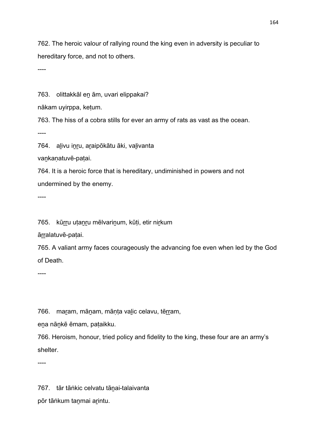762. The heroic valour of rallying round the king even in adversity is peculiar to hereditary force, and not to others.

----

763. olittakkāl en ām, uvari elippakai?

nākam uyirppa, keṭum.

763. The hiss of a cobra stills for ever an army of rats as vast as the ocean.

----

764. alivu inru, araipōkātu āki, valivanta

vaṉkaṇatuvē-paṭai.

764. It is a heroic force that is hereditary, undiminished in powers and not undermined by the enemy.

----

765. kūṟṟu uṭaṉṟu mēlvariṉum, kūṭi, etir niṟkum

ārralatuvē-patai.

765. A valiant army faces courageously the advancing foe even when led by the God of Death.

----

766. maram, mānam, mānta valic celavu, tērram,

ena nānkē ēmam, pataikku.

766. Heroism, honour, tried policy and fidelity to the king, these four are an army's shelter.

----

767. tār tāṅkic celvatu tāṉai-talaivanta

pōr tāṅkum taṉmai aṟintu.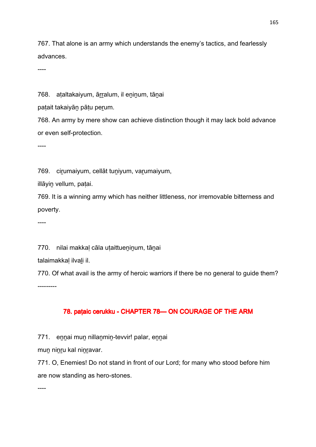767. That alone is an army which understands the enemy's tactics, and fearlessly advances.

----

768. aṭaltakaiyum, ārralum, il eninum, tāṇai

patait takaiyān pātu perum.

768. An army by mere show can achieve distinction though it may lack bold advance or even self-protection.

----

769. cirumaiyum, cellāt tuniyum, varumaiyum,

illāyiṉ vellum, paṭai.

769. It is a winning army which has neither littleness, nor irremovable bitterness and poverty.

----

770. nilai makkal cāla utaittueninum, tānai

talaimakkaḷ ilvaḻi il.

770. Of what avail is the army of heroic warriors if there be no general to guide them? ---------

# 78. paṭaic cerukku - CHAPTER 78 CHAPTER 78 COURAGE OF THE ARM

771. eṉṉai muṉ nillaṉmiṉ-tevvir! palar, eṉṉai

mun ninru kal ninravar.

771. O, Enemies! Do not stand in front of our Lord; for many who stood before him are now standing as hero-stones.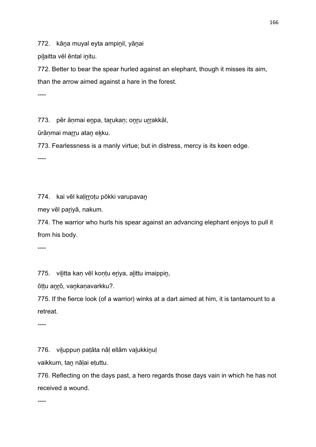772. kāna muyal eyta ampinil, yānai

pilaitta vēl ēntal initu.

772. Better to bear the spear hurled against an elephant, though it misses its aim, than the arrow aimed against a hare in the forest.

----

773. pēr ānmai enpa, tarukan; onru urrakkāl,

ūrāṇmai marru ataṇ ekku.

773. Fearlessness is a manly virtue; but in distress, mercy is its keen edge.

----

774. kai vēl kaḷiṟṟoṭu pōkki varupavaṉ

mey vēl paṟiyā, nakum.

774. The warrior who hurls his spear against an advancing elephant enjoys to pull it from his body.

----

775. viḻitta kaṇ vēl koṇṭu eṟiya, aḻittu imaippiṉ,

ōṭṭu aṉṟō, vaṉkaṇavarkku?.

775. If the fierce look (of a warrior) winks at a dart aimed at him, it is tantamount to a retreat.

----

776. viḻuppuṇ paṭāta nāḷ ellām vaḻukkiṉuḷ

vaikkum, taṉ nāḷai eṭuttu.

776. Reflecting on the days past, a hero regards those days vain in which he has not received a wound.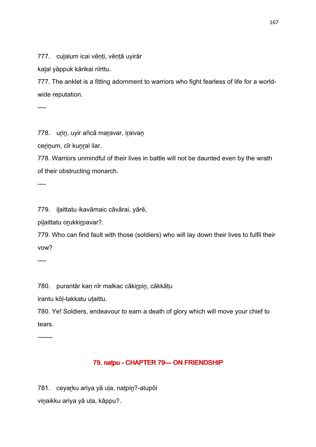777. culalum icai vēnti, vēntā uyirār

kaḻal yāppuk kārikai nīrttu.

777. The anklet is a fitting adornment to warriors who fight fearless of life for a worldwide reputation.

----

778. urin, uyir añcā maravar, iraivan

cerinum, cīr kunral ilar.

778. Warriors unmindful of their lives in battle will not be daunted even by the wrath of their obstructing monarch.

----

779. iḻaittatu ikavāmaic cāvārai, yārē,

pilaittatu orukkirpavar?.

779. Who can find fault with those (soldiers) who will lay down their lives to fulfil their vow?

----

780. purantār kaṇ nīr malkac cākiṟpiṉ, cākkāṭu

irantu kōḷ-takkatu uṭaittu.

780. Ye! Soldiers, endeavour to earn a death of glory which will move your chief to tears.

-------

# 79. naṭpu - CHAPTER 79— ON FRIENDSHIP

781. ceyaṟku ariya yā uḷa, naṭpiṉ?-atupōl viṉaikku ariya yā uḷa, kāppu?.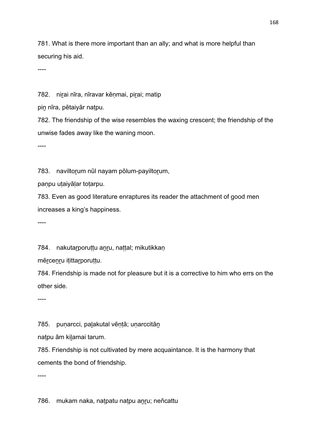781. What is there more important than an ally; and what is more helpful than securing his aid.

----

782. nirai nīra, nīravar kēnmai, pirai; matip

pin nīra, pētaiyār natpu.

782. The friendship of the wise resembles the waxing crescent; the friendship of the unwise fades away like the waning moon.

----

783. naviltorum nūl nayam pōlum-payiltorum,

paṇpu uṭaiyāḷar toṭarpu.

783. Even as good literature enraptures its reader the attachment of good men increases a king's happiness.

----

784. nakutarporuttu anru, nattal; mikutikkan

mērcenru itittarporuttu.

784. Friendship is made not for pleasure but it is a corrective to him who errs on the other side.

----

785. punarcci, palakutal vēntā; unarccitān

naṭpu ām kiḻamai tarum.

785. Friendship is not cultivated by mere acquaintance. It is the harmony that cements the bond of friendship.

----

786. mukam naka, naṭpatu naṭpu aṉṟu; neñcattu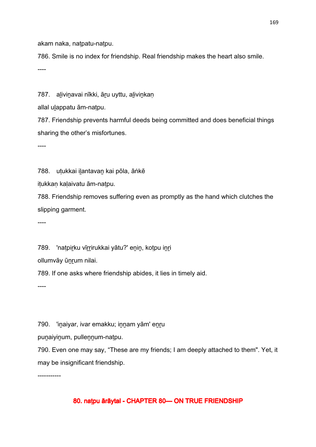akam naka, naṭpatu-naṭpu.

786. Smile is no index for friendship. Real friendship makes the heart also smile. ----

787. alivinavai nīkki, āru uyttu, alivinkan

allal ulappatu ām-natpu.

787. Friendship prevents harmful deeds being committed and does beneficial things sharing the other's misfortunes.

----

788. utukkai ilantavan kai pōla, āṅkē

iṭukkaṇ kaḷaivatu ām-naṭpu.

788. Friendship removes suffering even as promptly as the hand which clutches the slipping garment.

----

789. 'natpirku vīrrirukkai yātu?' enin, kotpu inri

ollumvāy ūnrum nilai.

789. If one asks where friendship abides, it lies in timely aid.

----

790. 'inaiyar, ivar emakku; innam yām' enru

puṉaiyiṉum, pulleṉṉum-naṭpu.

790. Even one may say, "These are my friends; I am deeply attached to them". Yet, it may be insignificant friendship.

-----------

# 80. naṭpu ārāytal - CHAPTER 80 CHAPTER BO TRUE FRIENDSHIP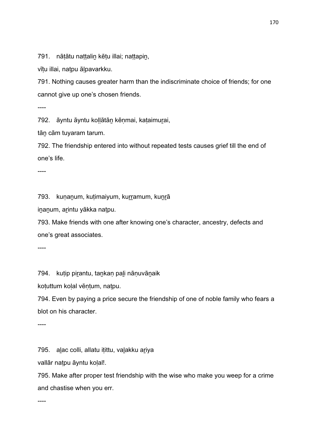791. nāṭātu naṭṭaliṉ kēṭu illai; naṭṭapiṉ,

vītu illai, natpu ālpavarkku.

791. Nothing causes greater harm than the indiscriminate choice of friends; for one cannot give up one's chosen friends.

----

792. āyntu āyntu kollātān kēnmai, kataimurai,

tān cām tuyaram tarum.

792. The friendship entered into without repeated tests causes grief till the end of one's life.

----

793. kuṇanum, kuṭimaiyum, kurramum, kuṇrā

iṉaṉum, aṟintu yākka naṭpu.

793. Make friends with one after knowing one's character, ancestry, defects and one's great associates.

----

794. kutip pirantu, tankan pali nānuvānaik

koṭuttum koḷal vēṇṭum, naṭpu.

794. Even by paying a price secure the friendship of one of noble family who fears a blot on his character.

----

795. alac colli, allatu itittu, valakku ariya

vallār natpu āyntu kolal!.

795. Make after proper test friendship with the wise who make you weep for a crime and chastise when you err.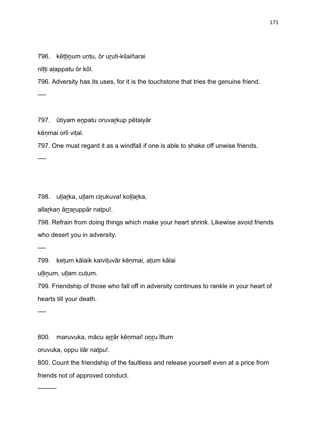796. kēttinum untu, ōr uruti-kilaiñarai

nītti alappatu ōr kōl.

796. Adversity has its uses, for it is the touchstone that tries the genuine friend. ----

797. ūtiyam enpatu oruvarkup pētaiyār

kēnmai orīi vital.

797. One must regard it as a windfall if one is able to shake off unwise friends. ----

798. uḷḷar̪ka, uḷḷam cir̪ukuva! koḷḷar̪ka,

allarkaņ ārraruppār natpu!.

798. Refrain from doing things which make your heart shrink. Likewise avoid friends who desert you in adversity.

----

799. keṭum kālaik kaiviṭuvār kēṇmai, aṭum kālai

uḷḷiṉum, uḷḷam cuṭum.

799. Friendship of those who fall off in adversity continues to rankle in your heart of hearts till your death.

----

800. maruvuka, mācu arrār kēņmai! onru īttum

oruvuka, oppu ilār naṭpu!.

800. Count the friendship of the faultless and release yourself even at a price from friends not of approved conduct.

---------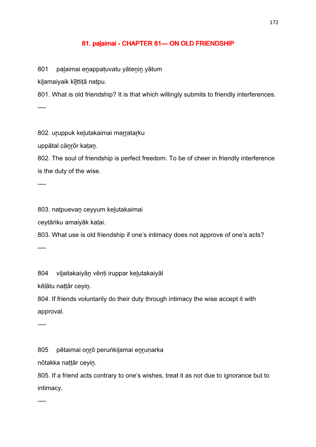### 81. palaimai - CHAPTER 81-ON OLD FRIENDSHIP

801 palaimai enappatuvatu yātenin yātum

kilamaiyaik kīlttitā natpu.

801. What is old friendship? It is that which willingly submits to friendly interferences. ----

802. uruppuk kelutakaimai marratarku

uppātal cāṉṟōr kaṭaṉ.

802. The soul of friendship is perfect freedom. To be of cheer in friendly interference is the duty of the wise.

----

803. naṭpuevaṉ ceyyum keḻutakaimai

ceytāṅku amaiyāk kaṭai.

803. What use is old friendship if one's intimacy does not approve of one's acts?

----

804 vilaitakaiyān vēnti iruppar kelutakaiyāl

kēḷātu naṭṭār ceyiṉ.

804. If friends voluntarily do their duty through intimacy the wise accept it with approval.

----

805 pētaimai oṉṟō peruṅkiḻamai eṉṟuṇarka

nōtakka naṭṭār ceyiṉ.

805. If a friend acts contrary to one's wishes, treat it as not due to ignorance but to intimacy.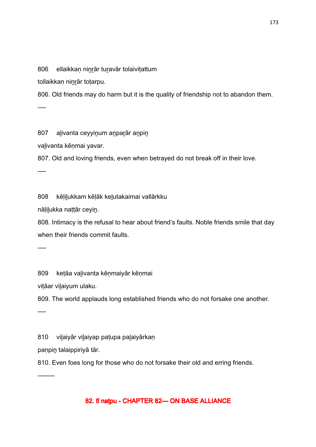806 ellaikkan ninrār turavār tolaivitattum

tollaikkaṇ niṉṟār toṭarpu.

806. Old friends may do harm but it is the quality of friendship not to abandon them. ----

807 alivanta ceyyinum anparār anpin

valivanta kēnmai yavar.

807. Old and loving friends, even when betrayed do not break off in their love.

----

808 kēḷiḻukkam kēḷāk keḻutakaimai vallārkku

nāḷiḻukka naṭṭār ceyiṉ.

808. Intimacy is the refusal to hear about friend's faults. Noble friends smile that day when their friends commit faults.

----

809 keṭāa vaḻivanta kēṇmaiyār kēṇmai

vițāar vilaiyum ulaku.

809. The world applauds long established friends who do not forsake one another.

----

810 vilaiyār vilaiyap paṭupa palaiyārkaṇ

paṇpiṉ talaippiriyā tār.

810. Even foes long for those who do not forsake their old and erring friends.

--------

#### 82. tī natpu - CHAPTER 82—ON BASE ALLIANCE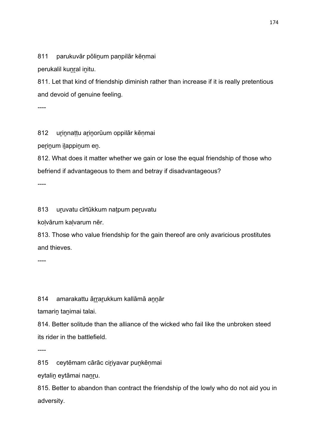811 parukuvār pōlinum panpilār kēnmai

perukalil kunral initu.

811. Let that kind of friendship diminish rather than increase if it is really pretentious and devoid of genuine feeling.

----

812 urinnattu arinorūum oppilār kēnmai

perinum ilappinum en.

812. What does it matter whether we gain or lose the equal friendship of those who befriend if advantageous to them and betray if disadvantageous?

----

813 uṟuvatu cīrtūkkum naṭpum peṟuvatu

koḷvārum kaḷvarum nēr.

813. Those who value friendship for the gain thereof are only avaricious prostitutes and thieves.

----

814 amarakattu ārrarukkum kallāmā annār

tamarin tanimai talai.

814. Better solitude than the alliance of the wicked who fail like the unbroken steed its rider in the battlefield.

----

815 ceytēmam cārāc ciriyavar puṇkēṇmai

eytaliṉ eytāmai naṉṟu.

815. Better to abandon than contract the friendship of the lowly who do not aid you in adversity.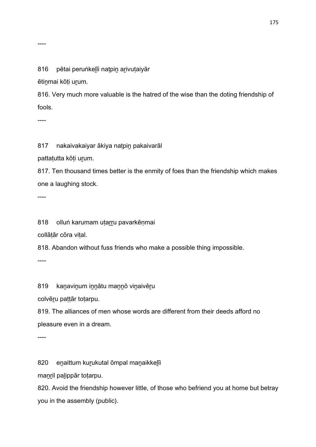#### 816 pētai peruṅkelīi natpin arivutaiyār

ētinmai kōti urum.

816. Very much more valuable is the hatred of the wise than the doting friendship of fools.

----

817 nakaivakaiyar ākiya natpin pakaivarāl

pattaṭutta kōṭi uṟum.

817. Ten thousand times better is the enmity of foes than the friendship which makes one a laughing stock.

----

818 olluṅ karumam uṭarru pavarkēṇmai

collātār cōra vital.

818. Abandon without fuss friends who make a possible thing impossible.

----

819 kanavinum innātu mannō viņaivēru

colvēru pattār totarpu.

819. The alliances of men whose words are different from their deeds afford no pleasure even in a dream.

----

820 enaittum kurukutal ōmpal manaikkelīi

maṉṟil paḻippār toṭarpu.

820. Avoid the friendship however little, of those who befriend you at home but betray you in the assembly (public).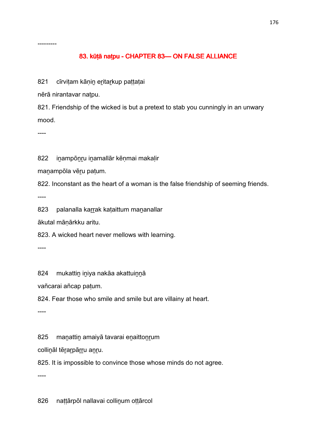---------

### 83. kūṭā naṭpu - CHAPTER 83- ON FALSE ALLIANCE

821 cīrviṭam kāṇin eritarkup paṭṭaṭai

nērā nirantavar naṭpu.

821. Friendship of the wicked is but a pretext to stab you cunningly in an unwary mood.

----

822 inampōnru inamallār kēņmai makaļir

manampōla vēru patum.

822. Inconstant as the heart of a woman is the false friendship of seeming friends.

----

823 palanalla karrak kaṭaittum maṇanallar

ākutal māṇārkku aritu.

823. A wicked heart never mellows with learning.

----

824 mukattin iniya nakāa akattuinnā

vañcarai añcap paṭum.

824. Fear those who smile and smile but are villainy at heart.

----

825 manattin amaiyā tavarai enaittonrum

collināl tērarpārru anru.

825. It is impossible to convince those whose minds do not agree.

----

826 naṭṭārpōl nallavai collinum oṭṭārcol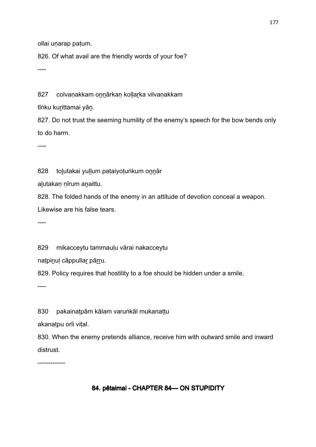ollai unarap patum.

826. Of what avail are the friendly words of your foe?

----

827 colvaṇakkam onnārkaṇ koḷḷar̪ka vilvaṇakkam

tīṅku kurittamai yān.

827. Do not trust the seeming humility of the enemy's speech for the bow bends only to do harm.

----

828 tolutakai yullum pataiyotuṅkum onnār

aḻutakaṇ ṇīrum aṉaittu.

828. The folded hands of the enemy in an attitude of devotion conceal a weapon. Likewise are his false tears.

----

829 mikacceytu tammauḷu vārai nakacceytu

naṭpiṉuḷ cāppullaṟ pāṟṟu.

829. Policy requires that hostility to a foe should be hidden under a smile.

----

830 pakainatpām kālam varuṅkāl mukanattu

akanatpu orīi vital.

830. When the enemy pretends alliance, receive him with outward smile and inward distrust.

-------------

# 84. pētaimai - CHAPTER 84 — ON STUPIDITY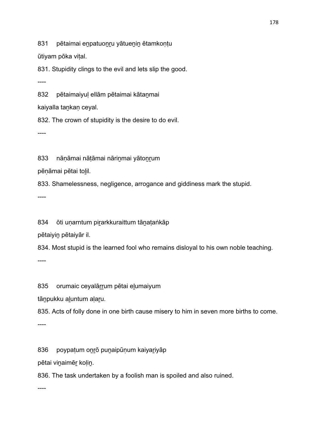831 pētaimai enpatuonru yātuenin ētamkontu

ūtiyam pōka viṭal.

831. Stupidity clings to the evil and lets slip the good.

----

832 pētaimaiyul ellām pētaimai kātanmai

kaiyalla tankan ceyal.

832. The crown of stupidity is the desire to do evil.

----

833 nāṇāmai nāṭāmai nārinmai yātonrum

pēṇāmai pētai toḻil.

833. Shamelessness, negligence, arrogance and giddiness mark the stupid.

----

834 ōti uṇarntum piṟarkkuraittum tāṉaṭaṅkāp

pētaiyiṉ pētaiyār il.

834. Most stupid is the learned fool who remains disloyal to his own noble teaching.

----

835 orumaic ceyalārrum pētai eļumaiyum

tānpukku aluntum alaru.

835. Acts of folly done in one birth cause misery to him in seven more births to come.

----

----

836 poypatum onrō punaipūņum kaiyariyāp

pētai viṉaimēṟ koḷiṉ.

836. The task undertaken by a foolish man is spoiled and also ruined.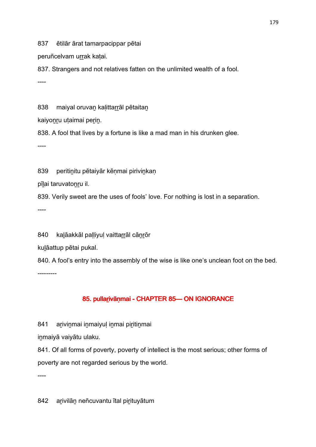837 ētilār ārat tamarpacippar pētai

peruñcelvam urrak katai.

837. Strangers and not relatives fatten on the unlimited wealth of a fool. ----

838 maiyal oruvan kalittarrāl pētaitan

kaiyonru utaimai perin.

838. A fool that lives by a fortune is like a mad man in his drunken glee.

----

839 peritinitu pētaiyār kēnmai pirivinkan

pīḻai taruvatoṉṟu il.

839. Verily sweet are the uses of fools' love. For nothing is lost in a separation.

----

840 kalāakkāl palliyul vaittarrāl cānrōr

kuḻāattup pētai pukal.

840. A fool's entry into the assembly of the wise is like one's unclean foot on the bed.

---------

# 85. pullarivānmai - CHAPTER 85 CHAPTER 85 CHAPTER 85

841 arivinmai inmaiyul inmai piritinmai

inmaiyā vaiyātu ulaku.

841. Of all forms of poverty, poverty of intellect is the most serious; other forms of poverty are not regarded serious by the world.

----

842 arivilān neñcuvantu ītal pirituyātum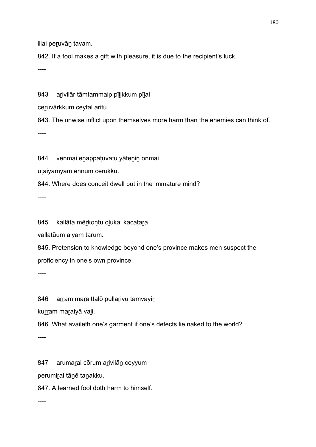illai peruvān tavam.

842. If a fool makes a gift with pleasure, it is due to the recipient's luck.

----

843 arivilār tāmtammaip pīlikkum pīlai

ceruvārkkum ceytal aritu.

843. The unwise inflict upon themselves more harm than the enemies can think of. ----

844 veṇmai enappaṭuvatu yātenin oṇmai

utaiyamyām ennum cerukku.

844. Where does conceit dwell but in the immature mind?

----

845 kallāta mēṟkoṇṭu oḻukal kacaṭaṟa

vallatūum aiyam tarum.

845. Pretension to knowledge beyond one's province makes men suspect the proficiency in one's own province.

----

846 arram maraittalō pullarivu tamvayin

kurram maraiyā vali.

846. What availeth one's garment if one's defects lie naked to the world?

----

847 arumarai cōrum arivilān ceyyum

perumiṟai tāṉē taṉakku.

847. A learned fool doth harm to himself.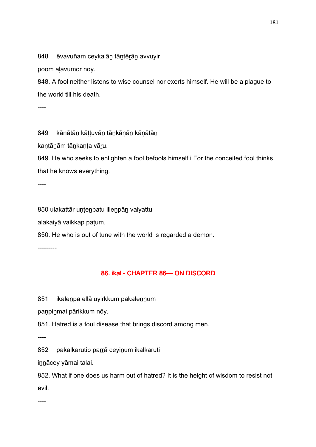848 ēvavuñam ceykalān tāntērān avvuyir

pōom aḷavumōr nōy.

848. A fool neither listens to wise counsel nor exerts himself. He will be a plague to the world till his death.

----

849 kānātān kāttuvān tānkānān kānātān

kantānām tānkanta vāru.

849. He who seeks to enlighten a fool befools himself i For the conceited fool thinks that he knows everything.

----

850 ulakattār uṇṭeṉpatu illeṉpāṉ vaiyattu

alakaiyā vaikkap paṭum.

850. He who is out of tune with the world is regarded a demon.

---------

## 86. ikal - CHAPTER 86-ON DISCORD

851 ikalenpa ellā uyirkkum pakalennum

panpinmai pārikkum nōy.

851. Hatred is a foul disease that brings discord among men.

----

852 pakalkarutip parrā ceyinum ikalkaruti

iṉṉācey yāmai talai.

852. What if one does us harm out of hatred? It is the height of wisdom to resist not evil.

----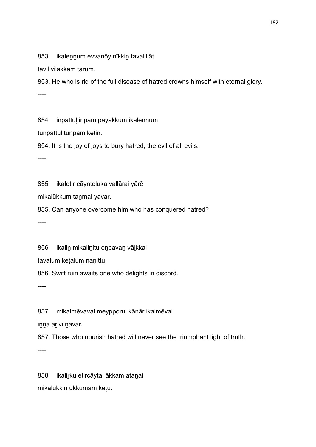853 ikalennum evvanōy nīkkin tavalillāt

tāvil vilakkam tarum.

853. He who is rid of the full disease of hatred crowns himself with eternal glory. ----

854 inpattul inpam payakkum ikalennum

tuṉpattuḷ tuṉpam keṭiṉ.

854. It is the joy of joys to bury hatred, the evil of all evils.

----

855 ikaletir cāyntoḻuka vallārai yārē

mikalūkkum taṉmai yavar.

855. Can anyone overcome him who has conquered hatred?

----

856 ikalin mikalinitu enpavan vālkkai

tavalum keṭalum naṇittu.

856. Swift ruin awaits one who delights in discord.

----

857 mikalmēvaval meypporuḷ kāṇār ikalmēval

innā arivi navar.

857. Those who nourish hatred will never see the triumphant light of truth.

----

858 ikaliṟku etircāytal ākkam ataṉai mikalūkkiṉ ūkkumām kēṭu.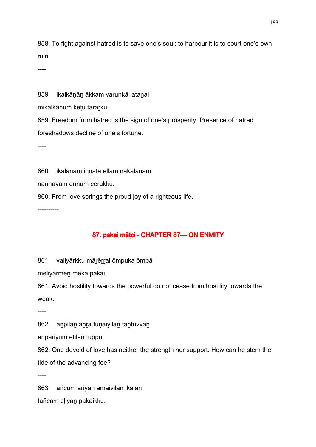858. To fight against hatred is to save one's soul; to harbour it is to court one's own ruin.

----

859 ikalkānān ākkam varuṅkāl atanai

mikalkāṇum kēṭu taraṟku.

859. Freedom from hatred is the sign of one's prosperity. Presence of hatred foreshadows decline of one's fortune.

----

860 ikalānām innāta ellām nakalānām

nannayam ennum cerukku.

860. From love springs the proud joy of a righteous life.

----------

# 87. pakai mātci - CHAPTER 87 — ON ENMITY

861 valiyārkku mārērral ōmpuka ōmpā

meliyārmēṉ mēka pakai.

861. Avoid hostility towards the powerful do not cease from hostility towards the weak.

----

862 anpilan ānra tunaiyilan tāntuvvān

eṉpariyum ētilāṉ tuppu.

862. One devoid of love has neither the strength nor support. How can he stem the tide of the advancing foe?

----

863 añcum ariyān amaivilan īkalān tañcam eḷiyaṉ pakaikku.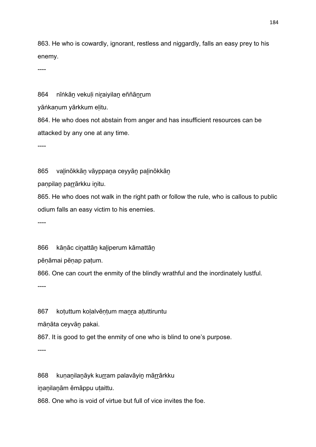863. He who is cowardly, ignorant, restless and niggardly, falls an easy prey to his enemy.

----

864 nīṅkān vekuli niraiyilan eññānrum

yāṅkanum yārkkum elitu.

864. He who does not abstain from anger and has insufficient resources can be attacked by any one at any time.

----

865 valinōkkān vāyppana ceyyān palinōkkān

paṇpilan parrārkku initu.

865. He who does not walk in the right path or follow the rule, who is callous to public odium falls an easy victim to his enemies.

----

866 kānāc cinattān kaliperum kāmattān

pēṇāmai pēṇap paṭum.

866. One can court the enmity of the blindly wrathful and the inordinately lustful.

----

867 kotuttum kolalvēntum manra atuttiruntu

māṇāta ceyvāṉ pakai.

867. It is good to get the enmity of one who is blind to one's purpose.

----

868 kuṇanılanayk kurram palavāyin mārrārkku

iṉaṉilaṉām ēmāppu uṭaittu.

868. One who is void of virtue but full of vice invites the foe.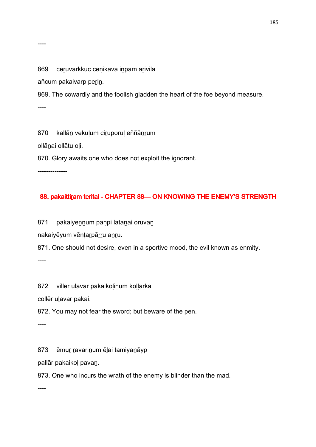869 ceruvārkkuc cēnikavā inpam arivilā

añcum pakaivarp perin.

869. The cowardly and the foolish gladden the heart of the foe beyond measure.

----

870 kallāṉ vekuḷum ciṟuporuḷ eññāṉṟum ollāṉai ollātu oḷi. 870. Glory awaits one who does not exploit the ignorant.

--------------

### 88. pakaittiram terital - CHAPTER 88-ON KNOWING THE ENEMY'S STRENGTH

871 pakaiyennum paṇpi latanai oruvan

nakaiyēyum vēṇṭaṟpāṟṟu aṉṟu.

871. One should not desire, even in a sportive mood, the evil known as enmity.

----

872 villēr ulavar pakaikoļinum koļļarka

collēr ulavar pakai.

872. You may not fear the sword; but beware of the pen.

----

873 ēmur ravarinum ēļai tamiyanāyp

pallār pakaikoḷ pavaṉ.

873. One who incurs the wrath of the enemy is blinder than the mad.

----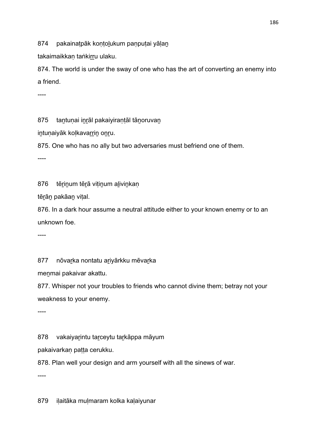874 pakainatpāk kontolukum panputai yālan

takaimaikkan taṅkirru ulaku.

874. The world is under the sway of one who has the art of converting an enemy into a friend.

----

875 tantunai inrāl pakaiyirantāl tānoruvan

intunaiyāk kolkavarrin onru.

875. One who has no ally but two adversaries must befriend one of them.

----

876 tērinum tērā vitinum alivinkaņ

tērān pakāan vital.

876. In a dark hour assume a neutral attitude either to your known enemy or to an unknown foe.

----

877 nōvarka nontatu ariyārkku mēvarka

menmai pakaivar akattu.

877. Whisper not your troubles to friends who cannot divine them; betray not your weakness to your enemy.

----

878 vakaiyarintu tarceytu tarkāppa māyum

pakaivarkaṇ paṭṭa cerukku.

878. Plan well your design and arm yourself with all the sinews of war.

----

879 ilaitāka mulmaram kolka kalaiyunar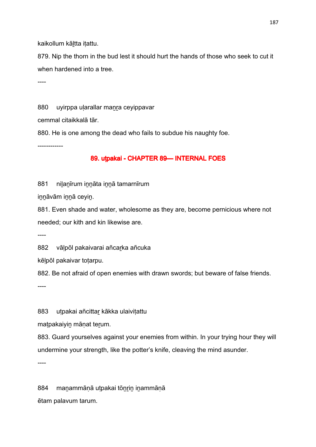kaikollum kāltta itattu.

879. Nip the thorn in the bud lest it should hurt the hands of those who seek to cut it when hardened into a tree.

----

880 uyirppa ularallar manra ceyippavar

cemmal citaikkalā tār.

880. He is one among the dead who fails to subdue his naughty foe.

------------

## 89. utpakai - CHAPTER 89- INTERNAL FOES

881 nilanīrum innāta innā tamarnīrum

iṉṉāvām iṉṉā ceyiṉ.

881. Even shade and water, wholesome as they are, become pernicious where not needed; our kith and kin likewise are.

----

882 vālpōl pakaivarai añcarka añcuka

kēḷpōl pakaivar toṭarpu.

882. Be not afraid of open enemies with drawn swords; but beware of false friends.

----

883 utpakai añcittar kākka ulaivitattu

matpakaiyin mānat terum.

883. Guard yourselves against your enemies from within. In your trying hour they will undermine your strength, like the potter's knife, cleaving the mind asunder.

----

884 manammāṇā uṭpakai tōnrin inammāṇā ētam palavum tarum.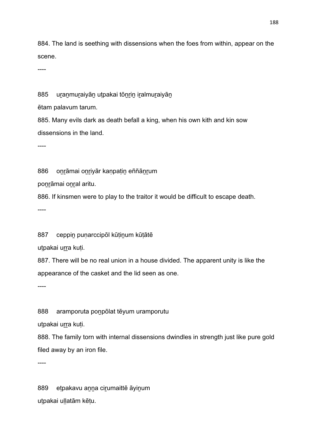884. The land is seething with dissensions when the foes from within, appear on the scene.

----

885 uranmuraiyān utpakai tōnrin iralmuraiyān

ētam palavum tarum.

885. Many evils dark as death befall a king, when his own kith and kin sow dissensions in the land.

----

886 onrāmai onriyār kanpatin eññānrum

ponrāmai onral aritu.

886. If kinsmen were to play to the traitor it would be difficult to escape death.

----

887 ceppiṉ puṇarccipōl kūṭiṉum kūṭātē

utpakai urra kuti.

887. There will be no real union in a house divided. The apparent unity is like the appearance of the casket and the lid seen as one.

----

888 aramporuta ponpōlat tēyum uramporutu

utpakai urra kuti.

888. The family torn with internal dissensions dwindles in strength just like pure gold filed away by an iron file.

----

889 etpakavu anna cirumaittē āyinum utpakai uļļatām kētu.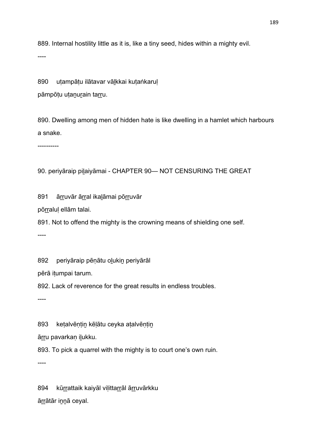889. Internal hostility little as it is, like a tiny seed, hides within a mighty evil.

----

890 utampātu ilātavar vālkkai kutaṅkarul

pāmpōṭu uṭanurain tarru.

890. Dwelling among men of hidden hate is like dwelling in a hamlet which harbours a snake.

----------

90. periyāraip pilaiyāmai - CHAPTER 90— NOT CENSURING THE GREAT

891 ārruvār ārral ikalāmai pōrruvār

pōrraluļ ellām talai.

891. Not to offend the mighty is the crowning means of shielding one self.

----

892 periyāraip pēnātu olukin periyārāl

pērā iṭumpai tarum.

892. Lack of reverence for the great results in endless troubles.

----

893 ketalvēntin kēlātu ceyka atalvēntin

ārru pavarkan ilukku.

893. To pick a quarrel with the mighty is to court one's own ruin.

----

894 kūrrattaik kaiyāl viļittarrāl ārruvārkku āṟṟātār iṉṉā ceyal.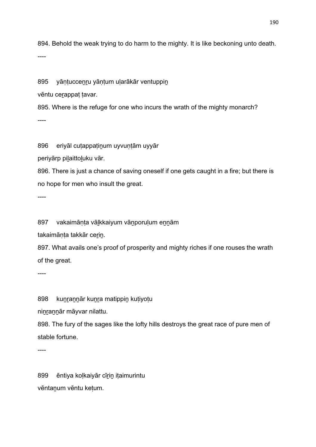894. Behold the weak trying to do harm to the mighty. It is like beckoning unto death.

----

895 yāntuccenru yāntum ularākār ventuppin

vēntu ceṟappaṭ ṭavar.

895. Where is the refuge for one who incurs the wrath of the mighty monarch? ----

896 eriyāl cutappatinum uyvuntām uyyār

periyārp piḻaittoḻuku vār.

896. There is just a chance of saving oneself if one gets caught in a fire; but there is no hope for men who insult the great.

----

897 vakaimānta vālkkaiyum vānporulum ennām

takaimānta takkār cerin.

897. What avails one's proof of prosperity and mighty riches if one rouses the wrath of the great.

----

898 kunrannār kunra matippin kutiyotu

ninrannār māyvar nilattu.

898. The fury of the sages like the lofty hills destroys the great race of pure men of stable fortune.

----

899 ēntiya koļkaiyār cīrin itaimurintu vēntaṉum vēntu keṭum.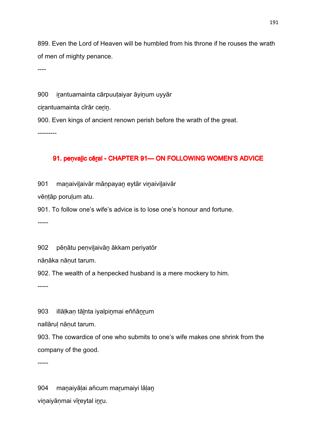899. Even the Lord of Heaven will be humbled from his throne if he rouses the wrath of men of mighty penance.

----

900 irantuamainta cārpuutaiyar āyinum uyyār

cirantuamainta cīrār cerin.

900. Even kings of ancient renown perish before the wrath of the great.

---------

### 91. penvalic cēral - CHAPTER 91— ON FOLLOWING WOMEN'S ADVICE

901 manaivilaivār māṇpayan eytār vinaivilaivār

vēṇṭāp poruḷum atu.

901. To follow one's wife's advice is to lose one's honour and fortune.

-----

902 pēṇātu peṇviḻaivāṉ ākkam periyatōr

nāṇāka nāṇut tarum.

902. The wealth of a henpecked husband is a mere mockery to him.

-----

903 illālkan tālnta iyalpinmai eññānrum

nallāruḷ nāṇut tarum.

903. The cowardice of one who submits to one's wife makes one shrink from the company of the good.

-----

904 manaiyāļai añcum marumaiyi lāļan viṉaiyāṇmai vīṟeytal iṉṟu.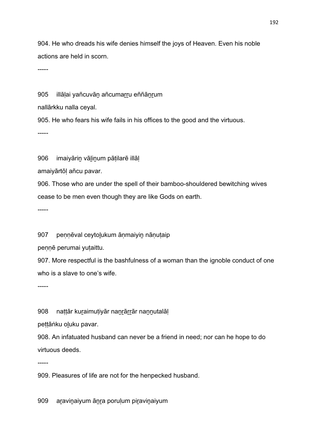904. He who dreads his wife denies himself the joys of Heaven. Even his noble actions are held in scorn.

-----

905 illālai yañcuvān añcumarru eññānrum

nallārkku nalla ceyal.

905. He who fears his wife fails in his offices to the good and the virtuous.

-----

906 imaiyāriṉ vāḻiṉum pāṭilarē illāḷ

amaiyārtōḷ añcu pavar.

906. Those who are under the spell of their bamboo-shouldered bewitching wives cease to be men even though they are like Gods on earth.

-----

907 pennēval ceytolukum ānmaiyin nānutaip

pennē perumai yutaittu.

907. More respectful is the bashfulness of a woman than the ignoble conduct of one who is a slave to one's wife.

-----

908 nattār kuraimutiyār nanrārrār nannutalāl

pettāṅku oluku pavar.

908. An infatuated husband can never be a friend in need; nor can he hope to do virtuous deeds.

-----

909. Pleasures of life are not for the henpecked husband.

909 aravinaiyum ānra porulum piravinaiyum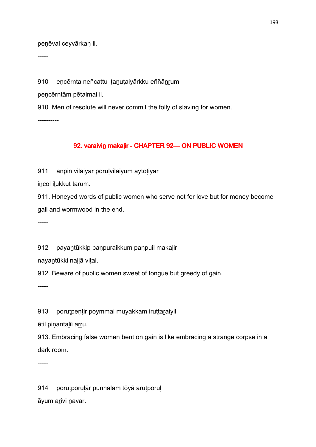penēval ceyvārkan il.

-----

910 encērnta neñcattu itanutaiyārkku eññānrum

peṇcērntām pētaimai il.

910. Men of resolute will never commit the folly of slaving for women.

----------

# 92. varaivin makalir - CHAPTER 92 - ON PUBLIC WOMEN

911 anpin vilaiyār porulvilaiyum āytotiyār

iṉcol iḻukkut tarum.

911. Honeyed words of public women who serve not for love but for money become gall and wormwood in the end.

-----

912 payantūkkip panpuraikkum panpuil makalir

nayaṉtūkki naḷḷā viṭal.

912. Beware of public women sweet of tongue but greedy of gain.

-----

913 porutpentir poymmai muyakkam iruttaraiyil

ētil pinantalīi arru.

913. Embracing false women bent on gain is like embracing a strange corpse in a dark room.

-----

914 porutporuļār punnalam tōyā arutporuļ

āyum aṟivi ṉavar.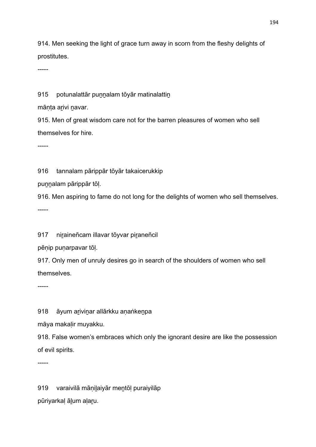914. Men seeking the light of grace turn away in scorn from the fleshy delights of prostitutes.

-----

915 potunalattār punnalam tōyār matinalattin

mānta arivi navar.

915. Men of great wisdom care not for the barren pleasures of women who sell themselves for hire.

-----

916 tannalam pārippār tōyār takaicerukkip

puṉṉalam pārippār tōḷ.

916. Men aspiring to fame do not long for the delights of women who sell themselves.

-----

917 niraineñcam illavar tōyvar piraneñcil

pēṇip puṇarpavar tōḷ.

917. Only men of unruly desires go in search of the shoulders of women who sell themselves.

-----

918 āyum arivinar allārkku anaṅkenpa

māya makaḷir muyakku.

918. False women's embraces which only the ignorant desire are like the possession of evil spirits.

-----

919 varaivilā māṇiḻaiyār meṉtōḷ puraiyilāp pūriyarkaḷ āḻum aḷaṟu.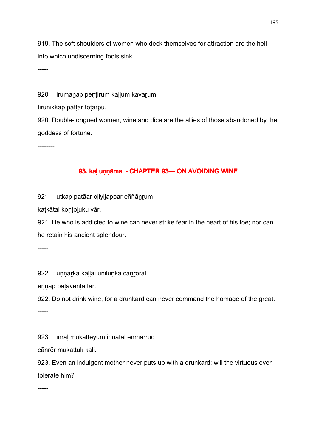919. The soft shoulders of women who deck themselves for attraction are the hell into which undiscerning fools sink.

-----

920 irumanap pentirum kallum kavarum

tirunīkkap pattār totarpu.

920. Double-tongued women, wine and dice are the allies of those abandoned by the goddess of fortune.

--------

### 93. kaļ uņņāmai - CHAPTER 93—ON AVOIDING WINE

921 uṭkap paṭāar oḷiyiḻappar eññāṉṟum

kaṭkātal koṇṭoḻuku vār.

921. He who is addicted to wine can never strike fear in the heart of his foe; nor can he retain his ancient splendour.

-----

922 unnarka kallai unilunka cānrōrāl

eṇṇap paṭavēṇṭā tār.

922. Do not drink wine, for a drunkard can never command the homage of the great.

-----

923 īnrāl mukattēyum innātāl enmarruc

cānrōr mukattuk kali.

923. Even an indulgent mother never puts up with a drunkard; will the virtuous ever tolerate him?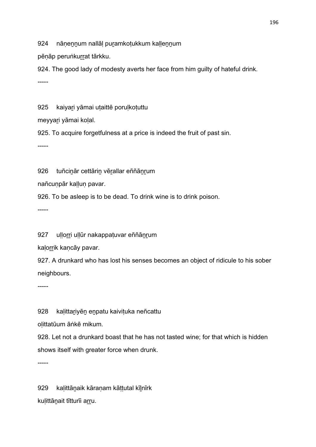924 nānennum nallāl puramkotukkum kallennum

pēnāp peruṅkurrat tārkku.

924. The good lady of modesty averts her face from him guilty of hateful drink. -----

925 kaiyari yāmai utaittē porulkotuttu

meyyaṟi yāmai koḷal.

925. To acquire forgetfulness at a price is indeed the fruit of past sin.

-----

926 tuñcinār cettārin vērallar eññānrum

nañcuṇpār kaḷḷuṇ pavar.

926. To be asleep is to be dead. To drink wine is to drink poison.

-----

927 ullorri ullūr nakappatuvar eññānrum

kalorrik kancāy pavar.

927. A drunkard who has lost his senses becomes an object of ridicule to his sober neighbours.

-----

928 kalittariyēn enpatu kaivituka neñcattu

oḷittatūum āṅkē mikum.

928. Let not a drunkard boast that he has not tasted wine; for that which is hidden shows itself with greater force when drunk.

-----

929 kaḷittāṉaik kāraṇam kāṭṭutal kīḻnīrk kulittānait tītturīi arru.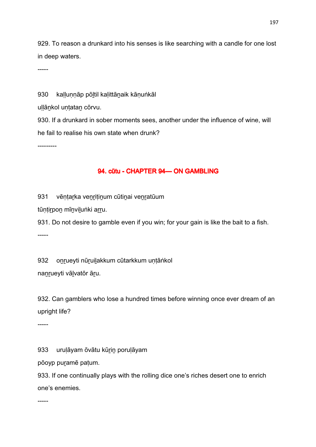929. To reason a drunkard into his senses is like searching with a candle for one lost in deep waters.

-----

930 kallunnāp pōltil kalittānaik kānuṅkāl

ullānkol untatan cōrvu.

930. If a drunkard in sober moments sees, another under the influence of wine, will he fail to realise his own state when drunk?

---------

## 94. cūtu - CHAPTER 94 — ON GAMBLING

931 vēṇṭarka venriṭinum cūtinai venratūum

tūṇṭiṟpoṉ mīṉviḻuṅki aṟṟu.

931. Do not desire to gamble even if you win; for your gain is like the bait to a fish. -----

932 onrueyti nūruilakkum cūtarkkum untāṅkol nanrueyti vālvatōr āru.

932. Can gamblers who lose a hundred times before winning once ever dream of an upright life?

-----

933 uruļāyam ōvātu kūrin poruļāyam

pōoyp puṟamē paṭum.

933. If one continually plays with the rolling dice one's riches desert one to enrich one's enemies.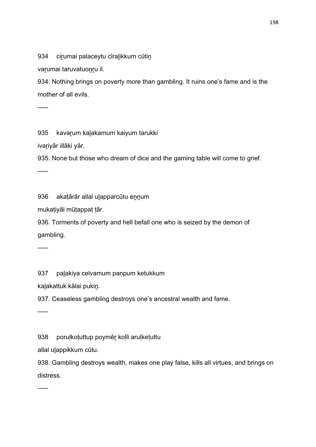934 cirumai palaceytu cīralikkum cūtin

varumai taruvatuonru il.

934. Nothing brings on poverty more than gambling. It ruins one's fame and is the mother of all evils.

-----

935 kavarum kalakamum kaiyum tarukki

ivariyār illāki yār.

935. None but those who dream of dice and the gaming table will come to grief.

-----

936 akaṭārār allal uḷapparcūtu ennum

mukaṭiyāl mūṭappaṭ ṭār.

936. Torments of poverty and hell befall one who is seized by the demon of gambling.

-----

937 palakiya celvamum panpum ketukkum

kaḻakattuk kālai pukiṉ.

937. Ceaseless gambling destroys one's ancestral wealth and fame.

-----

938 poruḷkoṭuttup poymēṟ koḷīi aruḷkeṭuttu

allal uḻappikkum cūtu.

938. Gambling destroys wealth, makes one play false, kills all virtues, and brings on distress.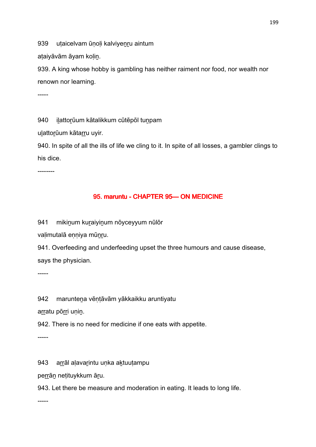939 utaicelvam ūnoli kalviyenru aintum

ataiyāvām āyam kolin.

939. A king whose hobby is gambling has neither raiment nor food, nor wealth nor renown nor learning.

-----

940 ilattorūum kātalikkum cūtēpōl tunpam

ulattorūum kātarru uyir.

940. In spite of all the ills of life we cling to it. In spite of all losses, a gambler clings to his dice.

--------

## 95. maruntu - CHAPTER 95-ON MEDICINE

941 mikiṉum kuṟaiyiṉum nōyceyyum nūlōr

valimutalā enniya mūnru.

941. Overfeeding and underfeeding upset the three humours and cause disease, says the physician.

-----

942 maruntena vēntāvām yākkaikku aruntiyatu

arratu pōrri unin.

942. There is no need for medicine if one eats with appetite.

-----

943 arrāl aļavarintu unka aktuutampu

perrān netituykkum āru.

943. Let there be measure and moderation in eating. It leads to long life.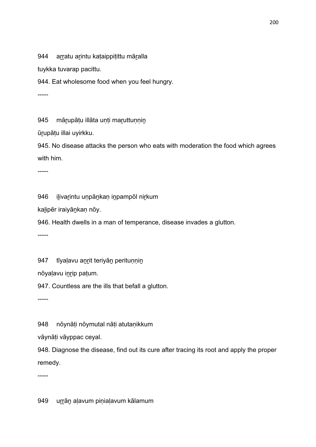944 arratu arintu kataippitittu māralla

tuykka tuvarap pacittu.

944. Eat wholesome food when you feel hungry.

-----

945 mārupātu illāta unti maruttunnin

ūṟupāṭu illai uyirkku.

945. No disease attacks the person who eats with moderation the food which agrees with him.

-----

946 iḻivaṟintu uṇpāṉkaṇ iṉpampōl niṟkum

kaḻipēr iraiyāṉkaṇ nōy.

946. Health dwells in a man of temperance, disease invades a glutton.

-----

947 tīyalavu anrit teriyān peritunnin

nōyaḷavu iṉṟip paṭum.

947. Countless are the ills that befall a glutton.

-----

948 nōynāti nōymutal nāti atutanikkum

vāynāṭi vāyppac ceyal.

948. Diagnose the disease, find out its cure after tracing its root and apply the proper remedy.

-----

949 urrān aļavum piņiaļavum kālamum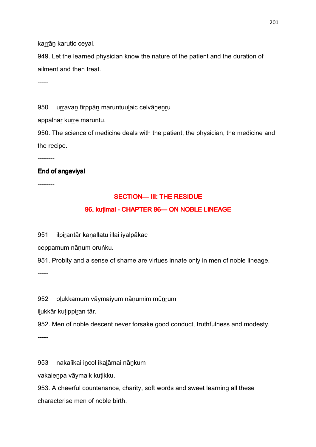karrān karutic ceyal.

949. Let the learned physician know the nature of the patient and the duration of ailment and then treat.

-----

950 urravan tīrppān maruntuulaic celvānenru

appālnār kūrrē maruntu.

950. The science of medicine deals with the patient, the physician, the medicine and the recipe.

--------

### End of angaviyal

--------

### SECTION— III: THE RESIDUE

### 96. kuṭimai - CHAPTER 96 — ON NOBLE LINEAGE

951 ilpirantār kanallatu illai iyalpākac

ceppamum nāṇum oruṅku.

951. Probity and a sense of shame are virtues innate only in men of noble lineage.

-----

952 olukkamum vāymaiyum nānumim mūnrum

ilukkār kutippiran tār.

952. Men of noble descent never forsake good conduct, truthfulness and modesty.

-----

953 nakaiīkai iṉcol ikaḻāmai nāṉkum

vakaieṉpa vāymaik kuṭikku.

953. A cheerful countenance, charity, soft words and sweet learning all these characterise men of noble birth.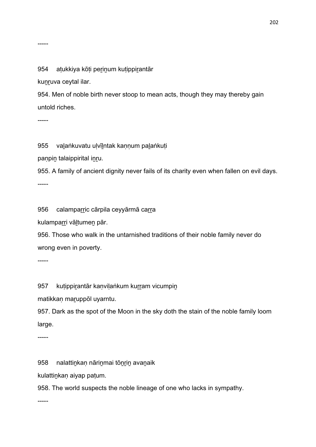#### 954 atukkiya kōti perinum kutippirantār

kunruva ceytal ilar.

954. Men of noble birth never stoop to mean acts, though they may thereby gain untold riches.

-----

955 valaṅkuvatu ulvīlntak kannum palaṅkuti

paṇpin talaippirital inru.

955. A family of ancient dignity never fails of its charity even when fallen on evil days.

-----

956 calamparric cārpila ceyyārmā carra

kulamparri vāltumen pār.

956. Those who walk in the untarnished traditions of their noble family never do wrong even in poverty.

-----

957 kuṭippirantār kaṇviḷaṅkum kurram vicumpin

matikkan maruppōl uyarntu.

957. Dark as the spot of the Moon in the sky doth the stain of the noble family loom large.

-----

958 nalattinkan nārinmai tōnrin avanaik

kulattiṉkaṇ aiyap paṭum.

958. The world suspects the noble lineage of one who lacks in sympathy.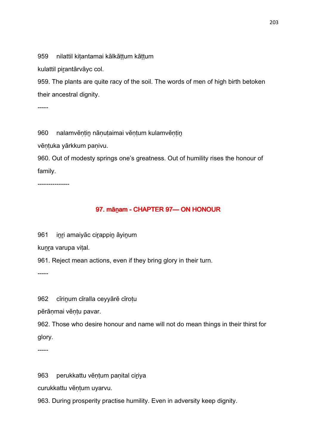959 nilattil kitantamai kālkāttum kāttum

kulattil pirantārvāyc col.

959. The plants are quite racy of the soil. The words of men of high birth betoken their ancestral dignity.

-----

960 nalamvēntin nānutaimai vēntum kulamvēntin

vēṇṭuka yārkkum paṇivu.

960. Out of modesty springs one's greatness. Out of humility rises the honour of family.

---------------

# 97. mānam - CHAPTER 97 — ON HONOUR

961 inri amaiyāc cirappin āyinum

kunra varupa vital.

961. Reject mean actions, even if they bring glory in their turn.

-----

962 cīrinum cīralla ceyyārē cīrotu

pērānmai vēntu pavar.

962. Those who desire honour and name will not do mean things in their thirst for glory.

-----

963 perukkattu vēņțum paņital ciriya

curukkattu vēṇṭum uyarvu.

963. During prosperity practise humility. Even in adversity keep dignity.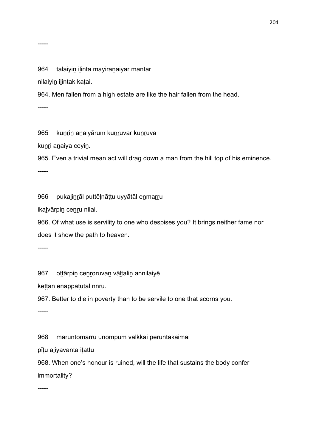-----

964 talaiyin ilinta mayiranaiyar māntar

nilaiyin ilintak katai.

964. Men fallen from a high estate are like the hair fallen from the head.

-----

965 kuncin anaiyārum kuncuvar kuncuva

kunri anaiya ceyin.

965. Even a trivial mean act will drag down a man from the hill top of his eminence.

-----

966 pukaḻiṉṟāl puttēḷnāṭṭu uyyātāl eṉmaṟṟu

ikaḻvārpiṉ ceṉṟu nilai.

966. Of what use is servility to one who despises you? It brings neither fame nor does it show the path to heaven.

-----

967 oṭṭārpin cenroruvan vāltalin annilaiyē

keṭṭāṉ eṉappaṭutal nṉṟu.

967. Better to die in poverty than to be servile to one that scorns you.

-----

968 maruntōmaṟṟu ūṉōmpum vāḻkkai peruntakaimai

pīṭu aḻiyavanta iṭattu

968. When one's honour is ruined, will the life that sustains the body confer immortality?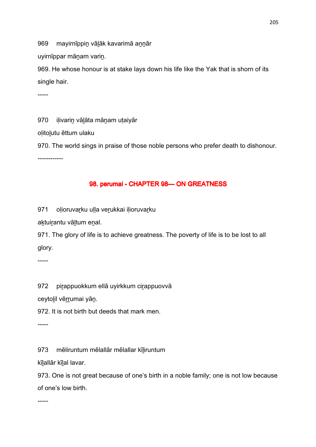969 mayirnīppin vālāk kavarimā annār

uyirnīppar mānam varin.

969. He whose honour is at stake lays down his life like the Yak that is shorn of its single hair.

-----

970 ilivarin vālāta mānam utaiyār olitolutu ēttum ulaku 970. The world sings in praise of those noble persons who prefer death to dishonour. ------------

## 98. perumai - CHAPTER 98 CON GREATNESS

971 olioruvarku ulla verukkai ilioruvarku

aktuirantu vāltum enal.

971. The glory of life is to achieve greatness. The poverty of life is to be lost to all glory.

-----

972 pirappuokkum ellā uyirkkum cirappuovvā

ceytolil vērrumai yān.

972. It is not birth but deeds that mark men.

-----

973 mēliruntum mēlallār mēlallar kīliruntum

kīlallār kīlal lavar.

973. One is not great because of one's birth in a noble family; one is not low because of one's low birth.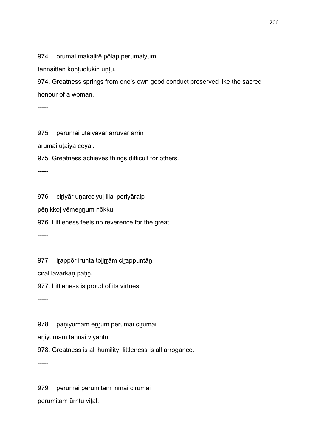974 orumai makaḷirē pōlap perumaiyum

tannaittān kontuolukin untu.

974. Greatness springs from one's own good conduct preserved like the sacred honour of a woman.

-----

975 perumai utaiyavar ārruvār ārrin

arumai uṭaiya ceyal.

975. Greatness achieves things difficult for others.

-----

976 ciriyār uṇarcciyuļ illai periyāraip

pēṇikkoḷ vēmeṉṉum nōkku.

976. Littleness feels no reverence for the great.

-----

977 irृappōr irunta tolirrām cirappuntān

cīral lavarkaṇ paṭiṉ.

977. Littleness is proud of its virtues.

-----

978 paniyumām enrum perumai cirumai

aṇiyumām taṉṉai viyantu.

978. Greatness is all humility; littleness is all arrogance.

-----

979 perumai perumitam inmai cirumai perumitam ūrntu viṭal.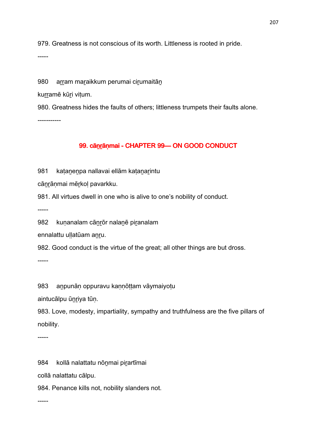979. Greatness is not conscious of its worth. Littleness is rooted in pride.

-----

980 arram maraikkum perumai cirumaitān

kurramē kūri vițum.

980. Greatness hides the faults of others; littleness trumpets their faults alone. -----------

### 99. cānrāņmai - CHAPTER 99- ON GOOD CONDUCT

981 katanenpa nallavai ellām katanarintu

cāṉṟāṇmai mēṟkoḷ pavarkku.

981. All virtues dwell in one who is alive to one's nobility of conduct.

-----

982 kunanalam cānrōr nalanē piranalam

ennalattu ullatūam anru.

982. Good conduct is the virtue of the great; all other things are but dross.

-----

983 anpunāņ oppuravu kaņņōttam vāymaiyotu

aintucālpu ūnriya tūn.

983. Love, modesty, impartiality, sympathy and truthfulness are the five pillars of nobility.

-----

984 kollā nalattatu nōnmai pirartīmai

collā nalattatu cālpu.

984. Penance kills not, nobility slanders not.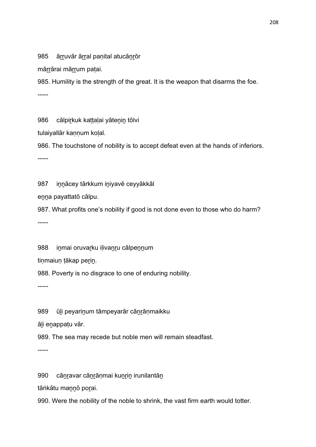985 ārruvār ārral panital atucānrōr

mārrārai mārrum patai.

985. Humility is the strength of the great. It is the weapon that disarms the foe. -----

986 cālpirkuk kattalai yātenin tōlvi

tulaiyallār kannum kolal.

986. The touchstone of nobility is to accept defeat even at the hands of inferiors. -----

987 innācey tārkkum iniyavē ceyyākkāl

eṉṉa payattatō cālpu.

987. What profits one's nobility if good is not done even to those who do harm? -----

988 inmai oruvarku ilivanru cālpennum

tiṇmaiuṇ ṭākap perin.

988. Poverty is no disgrace to one of enduring nobility.

-----

989 ūli peyarinum tāmpeyarār cānrānmaikku

āḻi eṉappaṭu vār.

989. The sea may recede but noble men will remain steadfast.

-----

990 cāṇravar cāṇrāṇmai kuṇriṇ irunilantāṇ

tāṅkātu maṉṉō poṟai.

990. Were the nobility of the noble to shrink, the vast firm earth would totter.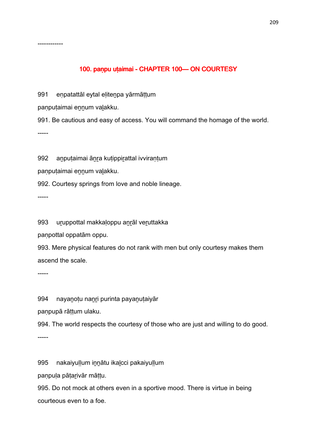### 100. panpu utaimai - CHAPTER 100 CON COURTESY

991 enpatattāl eytal elitenpa yārmāttum

panputaimai ennum valakku.

------------

991. Be cautious and easy of access. You will command the homage of the world. -----

992 aṉpuṭaimai āṉṟa kuṭippiṟattal ivviraṇṭum

panputaimai ennum valakku.

992. Courtesy springs from love and noble lineage.

-----

993 uṟuppottal makkaḷoppu aṉṟāl veṟuttakka

paṇpottal oppatām oppu.

993. Mere physical features do not rank with men but only courtesy makes them ascend the scale.

-----

994 nayanotu nanri purinta payanutaiyār

paṇpupā rāṭṭum ulaku.

994. The world respects the courtesy of those who are just and willing to do good.

-----

995 nakaiyuḷḷum innatu ikalcci pakaiyuḷḷum

paṇpuḷa pāṭaṟivār māṭṭu.

995. Do not mock at others even in a sportive mood. There is virtue in being courteous even to a foe.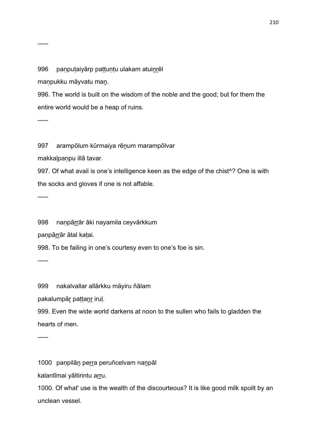### 996 paṇpuṭaiyārp paṭṭuṇṭu ulakam atuiṉṟēl

maṇpukku māyvatu maṉ.

996. The world is built on the wisdom of the noble and the good; but for them the entire world would be a heap of ruins.

-----

-----

997 arampōlum kūrmaiya rēnum marampōlvar

makkaḷpaṇpu illā tavar.

997. Of what avail is one's intelligence keen as the edge of the chist^? One is with the socks and gloves if one is not affable.

-----

998 naṇpāṟṟār āki nayamila ceyvārkkum

panpārrār ātal katai.

998. To be failing in one's courtesy even to one's foe is sin.

-----

999 nakalvallar allārkku māyiru ñālam

pakalumpār pattanr irul.

999. Even the wide world darkens at noon to the sullen who fails to gladden the hearts of men.

-----

1000 paṇpilān perra peruñcelvam nanpāl

kalantīmai yāltirintu arru.

1000. Of what' use is the wealth of the discourteous? It is like good milk spoilt by an unclean vessel.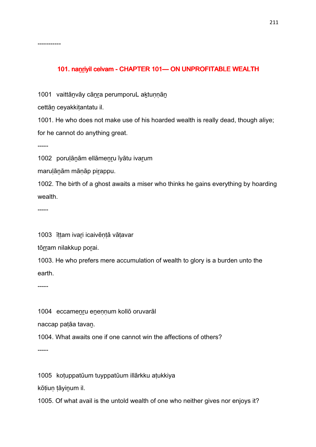# 101. nanriyil celvam - CHAPTER 101 - ON UNPROFITABLE WEALTH

1001 vaittānvāy cānra perumporuL aktunnān

cettān ceyakkitantatu il.

1001. He who does not make use of his hoarded wealth is really dead, though aliye; for he cannot do anything great.

-----

-----------

1002 poruḷāṉām ellāmeṉṟu īyātu ivaṟum

maruḷāṉām māṇāp piṟappu.

1002. The birth of a ghost awaits a miser who thinks he gains everything by hoarding wealth.

-----

1003 īṭṭam ivaṟi icaivēṇṭā vāṭavar

tōrram nilakkup porai.

1003. He who prefers mere accumulation of wealth to glory is a burden unto the earth.

-----

1004 eccamenru enennum kollō oruvarāl

naccap paṭāa tavaṉ.

1004. What awaits one if one cannot win the affections of others?

-----

1005 koṭuppatūum tuyppatūum illārkku aṭukkiya

kōṭiuṇ ṭāyiṉum il.

1005. Of what avail is the untold wealth of one who neither gives nor enjoys it?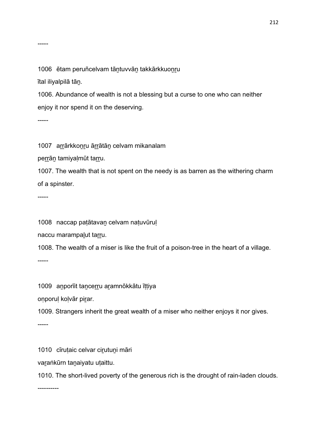1006 ētam peruñcelvam tāntuvvān takkārkkuonru

ītal iliyalpilā tāṉ.

1006. Abundance of wealth is not a blessing but a curse to one who can neither enjoy it nor spend it on the deserving.

-----

1007 arrārkkonru ārrātān celvam mikanalam

perrān tamiyaļmūt tarru.

1007. The wealth that is not spent on the needy is as barren as the withering charm of a spinster.

-----

1008 naccap paṭātavaṉ celvam naṭuvūruḷ

naccu marampalut tarru.

1008. The wealth of a miser is like the fruit of a poison-tree in the heart of a village.

-----

1009 aṉporīit taṉceṟṟu aṟamnōkkātu īṭṭiya

onporul kolvār pirar.

1009. Strangers inherit the great wealth of a miser who neither enjoys it nor gives.

-----

1010 cīruṭaic celvar ciṟutuṉi māri

varaṅkūrn tanaiyatu uṭaittu.

1010. The short-lived poverty of the generous rich is the drought of rain-laden clouds.

----------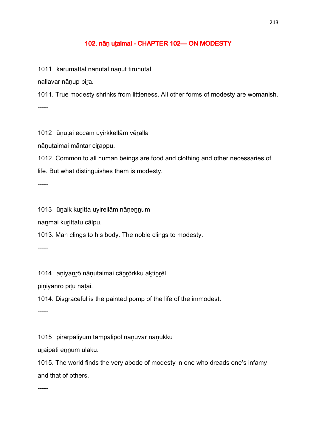### 102. nān utaimai - CHAPTER 102—ON MODESTY

1011 karumattāl nāṇutal nāṇut tirunutal

nallavar nānup pira.

1011. True modesty shrinks from littleness. All other forms of modesty are womanish. -----

1012 ūnutai eccam uyirkkellām vēralla

nānutaimai māntar cirappu.

1012. Common to all human beings are food and clothing and other necessaries of life. But what distinguishes them is modesty.

-----

1013 ūṉaik kuṟitta uyirellām nāṇeṉṉum

naṉmai kuṟittatu cālpu.

1013. Man clings to his body. The noble clings to modesty.

-----

1014 aniyanrō nānutaimai cānrōrkku aktinrēl

piṇiyaṉṟō pīṭu naṭai.

1014. Disgraceful is the painted pomp of the life of the immodest.

-----

1015 piṟarpaḻiyum tampaḻipōl nāṇuvār nāṇukku

uraipati ennum ulaku.

1015. The world finds the very abode of modesty in one who dreads one's infamy and that of others.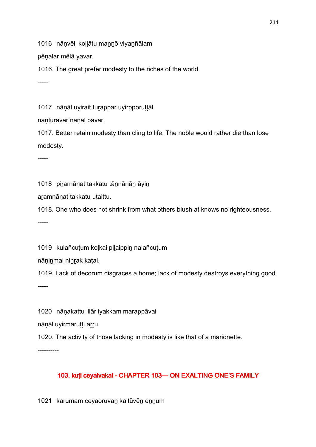1016 nānvēli kollātu mannō viyanñālam

pēṇalar mēlā yavar.

1016. The great prefer modesty to the riches of the world.

-----

1017 nānāl uyirait turappar uyirpporuttāl

nānturavār nānāl pavar.

1017. Better retain modesty than cling to life. The noble would rather die than lose modesty.

-----

1018 pirarnāṇat takkatu tāṇnāṇāṇ āyiṇ

aṟamnāṇat takkatu uṭaittu.

1018. One who does not shrink from what others blush at knows no righteousness. -----

1019 kulañcutum kolkai pilaippin nalañcutum

nāninmai ninrak katai.

1019. Lack of decorum disgraces a home; lack of modesty destroys everything good. -----

1020 nāṇakattu illār iyakkam marappāvai

nānāl uyirmarutti arru.

1020. The activity of those lacking in modesty is like that of a marionette.

----------

## 103. kuți ceyalvakai - CHAPTER 103 CHAPTER 103 CHAPTER DI EXALTING ONE'S FAMILY

1021 karumam ceyaoruvaṉ kaitūvēṉ eṉṉum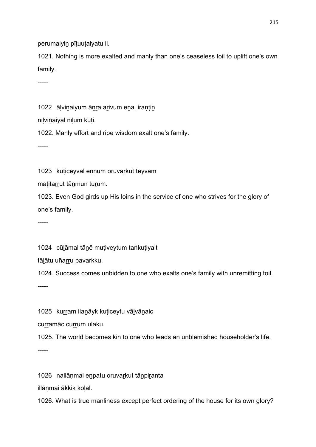perumaiyin pītuutaiyatu il.

1021. Nothing is more exalted and manly than one's ceaseless toil to uplift one's own family.

-----

1022 ālvinaiyum ānra arivum ena irantin

nīlvinaiyāl nīlum kuti.

1022. Manly effort and ripe wisdom exalt one's family.

-----

1023 kuticeyval ennum oruvarkut teyvam

maṭitarrut tānmun turum.

1023. Even God girds up His loins in the service of one who strives for the glory of one's family.

-----

1024 cūlāmal tānē mutiveytum taṅkutiyait

tālātu uñarru pavarkku.

1024. Success comes unbidden to one who exalts one's family with unremitting toil.

-----

1025 kurram ilanāyk kuticeytu vālvānaic

curramāc currum ulaku.

1025. The world becomes kin to one who leads an unblemished householder's life.

-----

1026 nallāņmai enpatu oruvarkut tānpiranta

illāṇmai ākkik koḷal.

1026. What is true manliness except perfect ordering of the house for its own glory?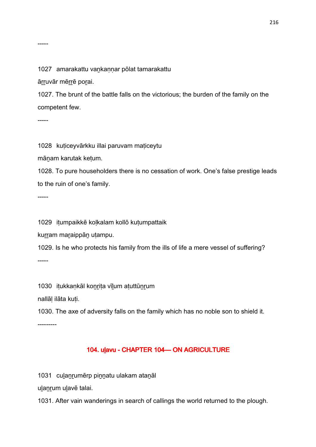1027 amarakattu vankannar pōlat tamarakattu

āṟṟuvār mēṟṟē poṟai.

1027. The brunt of the battle falls on the victorious; the burden of the family on the competent few.

-----

1028 kuticeyvārkku illai paruvam maticeytu

māṉam karutak keṭum.

1028. To pure householders there is no cessation of work. One's false prestige leads to the ruin of one's family.

-----

1029 iṭumpaikkē koḷkalam kollō kuṭumpattaik

kurram maraippān utampu.

1029. Is he who protects his family from the ills of life a mere vessel of suffering? -----

1030 iṭukkaṇkāl koṉṟiṭa vīḻum aṭuttūṉṟum

nallāḷ ilāta kuṭi.

1030. The axe of adversity falls on the family which has no noble son to shield it.

---------

### 104. ulavu - CHAPTER 104 — ON AGRICULTURE

1031 culanrumērp pinnatu ulakam atanāl

ulanrum ulavē talai.

1031. After vain wanderings in search of callings the world returned to the plough.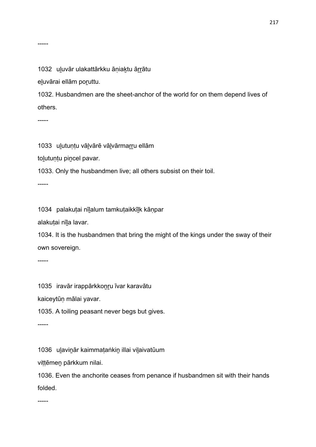1032 uluvār ulakattārkku āniaktu ārrātu

eḻuvārai ellām poṟuttu.

1032. Husbandmen are the sheet-anchor of the world for on them depend lives of others.

-----

1033 uḻutuṇṭu vāḻvārē vāḻvārmaṟṟu ellām

tolutunțu pincel pavar.

1033. Only the husbandmen live; all others subsist on their toil.

-----

1034 palakuṭai nīḻalum tamkuṭaikkīḻk kāṇpar

alakuṭai nīḻa lavar.

1034. It is the husbandmen that bring the might of the kings under the sway of their own sovereign.

-----

1035 iravār irappārkkoṉṟu īvar karavātu

kaiceytūṇ mālai yavar.

1035. A toiling peasant never begs but gives.

-----

1036 uḻaviṉār kaimmaṭaṅkiṉ illai viḻaivatūum

viṭṭēmeṉ pārkkum nilai.

1036. Even the anchorite ceases from penance if husbandmen sit with their hands folded.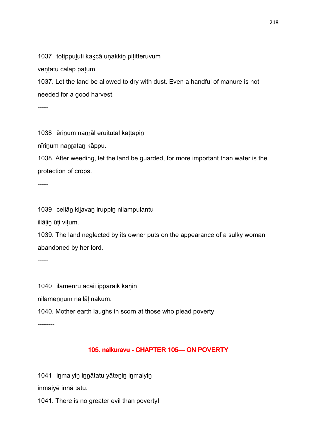1037 totippuluti kakcā unakkin pititteruvum

vēntātu cālap patum.

1037. Let the land be allowed to dry with dust. Even a handful of manure is not needed for a good harvest.

-----

1038 ērinum nanrāl eruitutal kattapin

nīrinum nanratan kāppu.

1038. After weeding, let the land be guarded, for more important than water is the protection of crops.

-----

1039 cellāṉ kiḻavaṉ iruppiṉ nilampulantu

illāḷiṉ ūṭi viṭum.

1039. The land neglected by its owner puts on the appearance of a sulky woman abandoned by her lord.

-----

1040 ilameṉṟu acaii ippāraik kāṇiṉ

nilamennum nallāl nakum.

1040. Mother earth laughs in scorn at those who plead poverty

--------

### 105. nalkuravu - CHAPTER 105-ON POVERTY

1041 inmaiyin innātatu yātenin inmaiyin

iṉmaiyē iṉṉā tatu.

1041. There is no greater evil than poverty!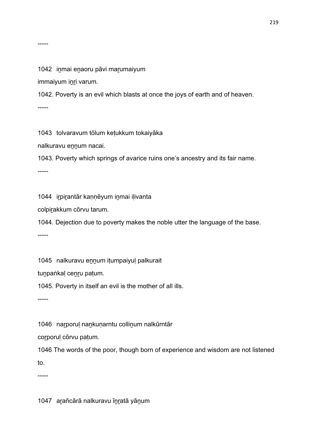#### 1042 inmai enaoru pāvi marumaiyum

immaiyum iṉṟi varum.

1042. Poverty is an evil which blasts at once the joys of earth and of heaven.

-----

1043 tolvaravum tōlum keṭukkum tokaiyāka

nalkuravu ennum nacai.

1043. Poverty which springs of avarice ruins one's ancestry and its fair name.

-----

1044 iṟpiṟantār kaṇṇēyum iṉmai iḷivanta

colpiṟakkum cōrvu tarum.

1044. Dejection due to poverty makes the noble utter the language of the base.

-----

1045 nalkuravu ennum itumpaiyul palkurait

tuṉpaṅkaḷ ceṉṟu paṭum.

1045. Poverty in itself an evil is the mother of all ills.

-----

1046 narporul nankunarntu collinum nalkūrntār

corporul corvu pațum.

1046 The words of the poor, though born of experience and wisdom are not listened to.

-----

1047 aṟañcārā nalkuravu īṉṟatā yāṉum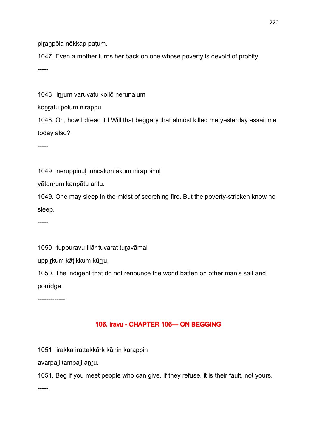piranpōla nōkkap patum.

1047. Even a mother turns her back on one whose poverty is devoid of probity.

-----

1048 inrum varuvatu kollō nerunalum

konratu pōlum nirappu.

1048. Oh, how I dread it I Will that beggary that almost killed me yesterday assail me today also?

-----

1049 neruppinul tuñcalum ākum nirappinul

yātoṉṟum kaṇpāṭu aritu.

1049. One may sleep in the midst of scorching fire. But the poverty-stricken know no sleep.

-----

1050 tuppuravu illār tuvarat turavāmai

uppirkum kāṭikkum kūrru.

1050. The indigent that do not renounce the world batten on other man's salt and porridge.

-------------

## 106. iravu - CHAPTER 106-ON BEGGING

1051 irakka irattakkārk kāṇiṉ karappiṉ

avarpaḻi tampaḻi aṉṟu.

1051. Beg if you meet people who can give. If they refuse, it is their fault, not yours.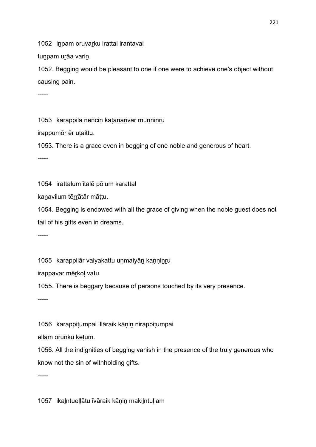1052 inpam oruvarku irattal irantavai

tunpam urāa varin.

1052. Begging would be pleasant to one if one were to achieve one's object without causing pain.

-----

1053 karappilā neñcin katanarivār munninru

irappumōr ēr uṭaittu.

1053. There is a grace even in begging of one noble and generous of heart.

-----

1054 irattalum ītalē pōlum karattal

kaṉavilum tēṟṟātār māṭṭu.

1054. Begging is endowed with all the grace of giving when the noble guest does not fail of his gifts even in dreams.

-----

1055 karappilār vaiyakattu unmaiyān kanninru

irappavar mēṟkoḷ vatu.

1055. There is beggary because of persons touched by its very presence.

-----

1056 karappitumpai illāraik kānin nirappitumpai

ellām oruṅku keṭum.

1056. All the indignities of begging vanish in the presence of the truly generous who know not the sin of withholding gifts.

-----

1057 ikaḻntueḷḷātu īvāraik kāṇiṉ makiḻntuḷḷam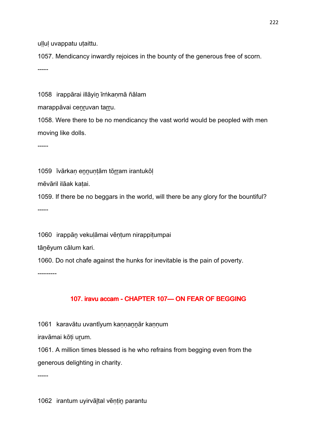ullul uvappatu utaittu.

1057. Mendicancy inwardly rejoices in the bounty of the generous free of scorn.

-----

1058 irappārai illāyiṉ īrṅkaṇmā ñālam

marappāvai cenruvan tarru.

1058. Were there to be no mendicancy the vast world would be peopled with men moving like dolls.

-----

1059 īvārkan ennuntām tōrram irantukōl

mēvāril ilāak kaṭai.

1059. If there be no beggars in the world, will there be any glory for the bountiful? -----

1060 irappāṉ vekuḷāmai vēṇṭum nirappiṭumpai

tānēyum cālum kari.

1060. Do not chafe against the hunks for inevitable is the pain of poverty.

---------

## 107. iravu accam - CHAPTER 107 CON FEAR OF BEGGING

1061 karavātu uvantīyum kannannār kannum

iravāmai kōṭi uṟum.

1061. A million times blessed is he who refrains from begging even from the generous delighting in charity.

-----

1062 irantum uyirvāḻtal vēṇṭiṉ parantu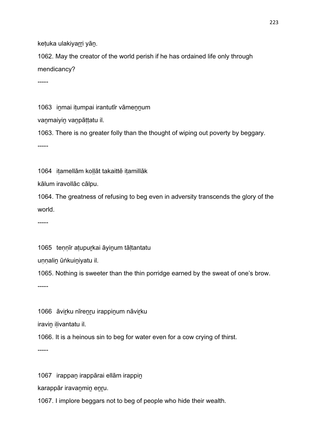ketuka ulakiyarri yān.

1062. May the creator of the world perish if he has ordained life only through mendicancy?

-----

1063 inmai itumpai irantutīr vāmennum

vanmaiyin vanpāttatu il.

1063. There is no greater folly than the thought of wiping out poverty by beggary.

-----

1064 iṭamellām koḷḷāt takaittē iṭamillāk

kālum iravollāc cālpu.

1064. The greatness of refusing to beg even in adversity transcends the glory of the world.

-----

1065 tennīr atupurkai āyinum tāltantatu

unnalin ūṅkuiniyatu il.

1065. Nothing is sweeter than the thin porridge earned by the sweat of one's brow.

-----

1066 āvirku nīrenru irappinum nāvirku

iravin ilivantatu il.

1066. It is a heinous sin to beg for water even for a cow crying of thirst.

-----

1067 irappaṇ irappārai ellām irappiṇ

karappār iravaṉmiṉ eṉṟu.

1067. I implore beggars not to beg of people who hide their wealth.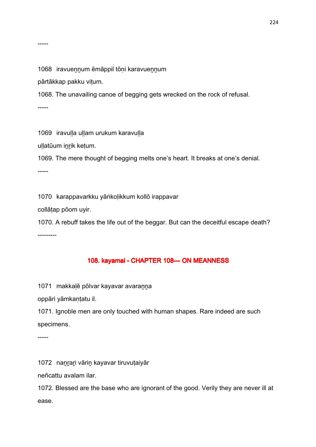1068 iravuennum ēmāppil tōni karavuennum

pārtākkap pakku viṭum.

1068. The unavailing canoe of begging gets wrecked on the rock of refusal.

-----

1069 iravulla ullam urukum karavulla

ullatūum inrik ketum.

1069. The mere thought of begging melts one's heart. It breaks at one's denial.

-----

1070 karappavarkku yāṅkoḷikkum kollō irappavar

collāṭap pōom uyir.

1070. A rebuff takes the life out of the beggar. But can the deceitful escape death? ---------

#### 108. kayamai - CHAPTER 108-ON MEANNESS

1071 makkaḷē pōlvar kayavar avaraṉṉa

oppāri yāmkaṇṭatu il.

1071. Ignoble men are only touched with human shapes. Rare indeed are such specimens.

-----

1072 nanrari vārin kayavar tiruvutaiyār

neñcattu avalam ilar.

1072. Blessed are the base who are ignorant of the good. Verily they are never ill at ease.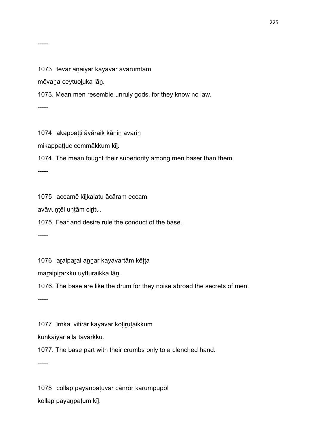#### 1073 tēvar anaiyar kayavar avarumtām

mēvaṉa ceytuoḻuka lāṉ.

1073. Mean men resemble unruly gods, for they know no law.

-----

1074 akappatti āvāraik kānin avarin

mikappaṭṭuc cemmākkum kīḻ.

1074. The mean fought their superiority among men baser than them.

-----

1075 accamē kīḻkaḷatu ācāram eccam

avāvuṇṭēl uṇṭām ciṟitu.

1075. Fear and desire rule the conduct of the base.

-----

1076 araiparai annar kayavartām kētta

maṟaipiṟarkku uytturaikka lāṉ.

1076. The base are like the drum for they noise abroad the secrets of men.

-----

1077 īrṅkai vitirār kayavar koțiruțaikkum

kūṉkaiyar allā tavarkku.

1077. The base part with their crumbs only to a clenched hand.

-----

1078 collap payaṉpaṭuvar cāṉṟōr karumpupōl kollap payaṉpaṭum kīḻ.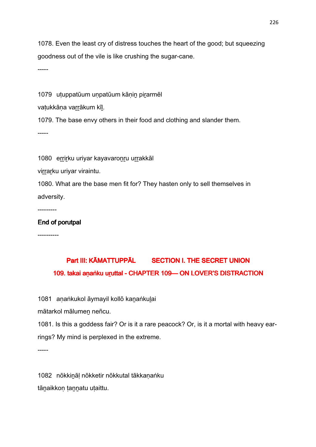1078. Even the least cry of distress touches the heart of the good; but squeezing goodness out of the vile is like crushing the sugar-cane.

-----

1079 utuppatūum unpatūum kānin pirarmēl

vatukkāna varrākum kīl.

1079. The base envy others in their food and clothing and slander them.

-----

1080 errirku uriyar kayavaronru urrakkāl

virrarku uriyar viraintu.

1080. What are the base men fit for? They hasten only to sell themselves in adversity.

---------

#### End of porutpal

----------

# Part III: KĀMATTUPPĀL SECTION I. THE SECRET UNION 109. takai aṇ aṅku uruttal - CHAPTER 109—ON LOVER'S DISTRACTION

1081 anaṅkukol āymayil kollō kanaṅkulai

mātarkol mālumeṉ neñcu.

1081. Is this a goddess fair? Or is it a rare peacock? Or, is it a mortal with heavy earrings? My mind is perplexed in the extreme.

-----

1082 nōkkiṉāḷ nōkketir nōkkutal tākkaṇaṅku tāṇaikkoṇ ṭannatu uṭaittu.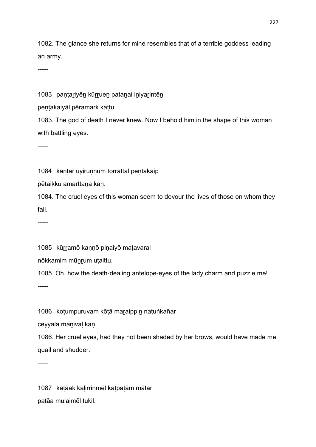1082. The glance she returns for mine resembles that of a terrible goddess leading an army.

-----

1083 paṇṭariyēn kūrruen pataṇai iniyarintēn

pentakaiyāl pēramark kattu.

1083. The god of death I never knew. Now I behold him in the shape of this woman with battling eyes.

-----

1084 kantār uyirunnum tōrrattāl pentakaip

pētaikku amarttaṉa kaṇ.

1084. The cruel eyes of this woman seem to devour the lives of those on whom they fall.

-----

1085 kūrramō kannō pinaiyō matavaral

nōkkamim mūnrum utaittu.

1085. Oh, how the death-dealing antelope-eyes of the lady charm and puzzle me! -----

1086 kotumpuruvam kōtā maraippin natuṅkañar

ceyyala manival kan.

1086. Her cruel eyes, had they not been shaded by her brows, would have made me quail and shudder.

-----

1087 kaṭāak kaḷiṟṟiṉmēl kaṭpaṭām mātar paṭāa mulaimēl tukil.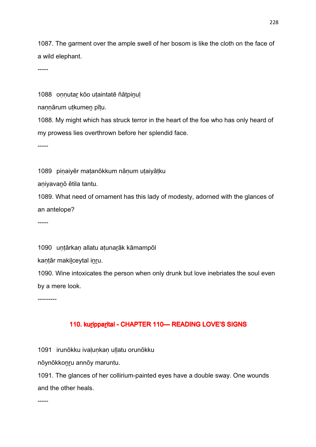1087. The garment over the ample swell of her bosom is like the cloth on the face of a wild elephant.

-----

1088 onnutar kōo utaintatē ñātpinul

nannārum utkumen pītu.

1088. My might which has struck terror in the heart of the foe who has only heard of my prowess lies overthrown before her splendid face.

-----

1089 piṇaiyēr maṭanōkkum nāṇum uṭaiyāṭku

aṇiyavaṉō ētila tantu.

1089. What need of ornament has this lady of modesty, adorned with the glances of an antelope?

-----

1090 untārkan allatu atunarāk kāmampōl

kantār makilceytal inru.

1090. Wine intoxicates the person when only drunk but love inebriates the soul even by a mere look.

---------

### 110. kuripparital - CHAPTER 110 - READING LOVE'S SIGNS

1091 irunōkku ivaḷuṇkaṇ uḷḷatu orunōkku

nōynōkkoṉṟu annōy maruntu.

1091. The glances of her collirium-painted eyes have a double sway. One wounds and the other heals.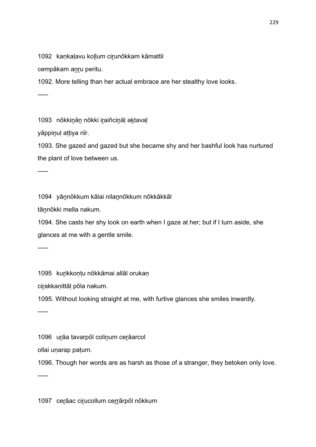1092 kankalavu kollum cirunōkkam kāmattil

cempākam anru peritu.

1092. More telling than her actual embrace are her stealthy love looks.

-----

1093 nōkkinān nōkki iraiñcināl aktaval

yāppinul attiya nīr.

1093. She gazed and gazed but she became shy and her bashful look has nurtured the plant of love between us.

-----

1094 yāṉnōkkum kālai nilaṉnōkkum nōkkākkāl

tāṉnōkki mella nakum.

1094. She casts her shy look on earth when I gaze at her; but if I turn aside, she glances at me with a gentle smile.

-----

1095 kurikkontu nōkkāmai allāl orukan

ciṟakkaṇittāḷ pōla nakum.

1095. Without looking straight at me, with furtive glances she smiles inwardly.

-----

1096 urāa tavarpōl colinum cerāarcol

ollai uṇarap paṭum.

1096. Though her words are as harsh as those of a stranger, they betoken only love.

-----

1097 ceṟāac ciṟucollum ceṟṟārpōl nōkkum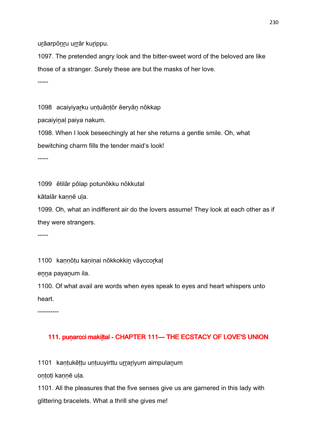urāarpōnru urrār kurippu.

1097. The pretended angry look and the bitter-sweet word of the beloved are like those of a stranger. Surely these are but the masks of her love.

-----

1098 acaiyiyarku untuāntōr ēeryān nōkkap

pacaiyinal paiya nakum.

1098. When I look beseechingly at her she returns a gentle smile. Oh, what

bewitching charm fills the tender maid's look!

-----

1099 ētilār pōlap potunōkku nōkkutal

kātalār kaṇṇē uḷa.

1099. Oh, what an indifferent air do the lovers assume! They look at each other as if they were strangers.

-----

1100 kannōtu kaninai nōkkokkin vāyccorkal

enna payanum ila.

1100. Of what avail are words when eyes speak to eyes and heart whispers unto heart.

----------

### 111. puṇ arcci makiḷtal - CHAPTER 111- THE ECSTACY OF LOVE'S UNION

1101 kaṇṭukēṭṭu uṇṭuuyirttu urrariyum aimpulaṇum

oṇṭoṭi kaṇṇē uḷa.

1101. All the pleasures that the five senses give us are garnered in this lady with glittering bracelets. What a thrill she gives me!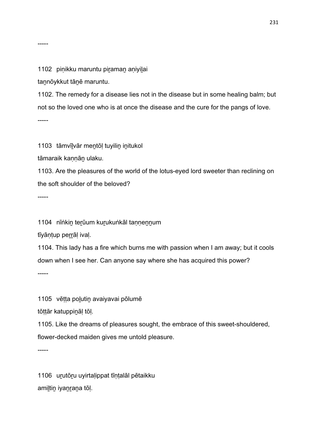#### 1102 pinikku maruntu piraman aniyilai

taṉnōykkut tāṉē maruntu.

1102. The remedy for a disease lies not in the disease but in some healing balm; but not so the loved one who is at once the disease and the cure for the pangs of love. -----

1103 tāmvīḻvār meṉtōḷ tuyiliṉ iṉitukol

tāmaraik kaṇṇāṉ ulaku.

1103. Are the pleasures of the world of the lotus-eyed lord sweeter than reclining on the soft shoulder of the beloved?

-----

-----

1104 nīṅkiṉ teṟūum kuṟukuṅkāl taṇṇeṉṉum

tīyāntup perrāl ival.

1104. This lady has a fire which burns me with passion when I am away; but it cools down when I see her. Can anyone say where she has acquired this power?

-----

1105 vētta polutin avaiyavai pōlumē

tōṭṭār katuppiṉāḷ tōḷ.

1105. Like the dreams of pleasures sought, the embrace of this sweet-shouldered, flower-decked maiden gives me untold pleasure.

-----

1106 uṟutōṟu uyirtaḷippat tīṇṭalāl pētaikku amiltin iyanrana tōl.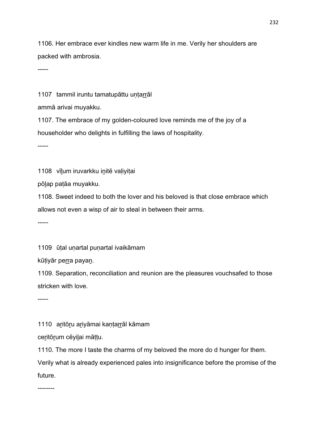1106. Her embrace ever kindles new warm life in me. Verily her shoulders are packed with ambrosia.

-----

1107 tammil iruntu tamatupāttu untarrāl

ammā arivai muyakku.

1107. The embrace of my golden-coloured love reminds me of the joy of a householder who delights in fulfilling the laws of hospitality.

-----

1108 vīlum iruvarkku initē valiyitai

pōḻap paṭāa muyakku.

1108. Sweet indeed to both the lover and his beloved is that close embrace which allows not even a wisp of air to steal in between their arms.

-----

1109 ūtal unartal punartal ivaikāmam

kūtiyār perra payan.

1109. Separation, reconciliation and reunion are the pleasures vouchsafed to those stricken with love.

-----

1110 aritōru ariyāmai kantarrāl kāmam

ceritōrum cēyilai māttu.

1110. The more I taste the charms of my beloved the more do d hunger for them.

Verily what is already experienced pales into insignificance before the promise of the future.

--------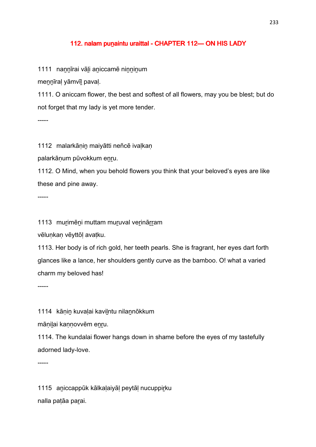#### 112. nalam punaintu uraittal - CHAPTER 112 CN HIS LADY

1111 nannīrai vāli aniccamē ninninum

meṉṉīraḷ yāmvīḻ pavaḷ.

1111. O aniccam flower, the best and softest of all flowers, may you be blest; but do not forget that my lady is yet more tender.

-----

1112 malarkānin maiyātti neñcē ivalkan

palarkāṇum pūvokkum eṉṟu.

1112. O Mind, when you behold flowers you think that your beloved's eyes are like these and pine away.

-----

1113 murimēni muttam muruval verinārram

vēlunkan vēyttōl avatku.

1113. Her body is of rich gold, her teeth pearls. She is fragrant, her eyes dart forth glances like a lance, her shoulders gently curve as the bamboo. O! what a varied charm my beloved has!

-----

1114 kānin kuvalai kavilntu nilannōkkum

mānilai kannovvēm enru.

1114. The kundalai flower hangs down in shame before the eyes of my tastefully adorned lady-love.

-----

1115 aṉiccappūk kālkaḷaiyāḷ peytāḷ nucuppiṟku nalla patāa parai.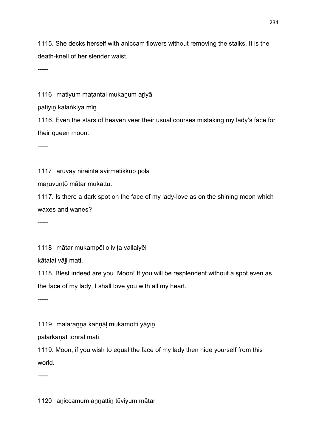1115. She decks herself with aniccam flowers without removing the stalks. It is the death-knell of her slender waist.

-----

1116 matiyum matantai mukanum ariyā

patiyiṉ kalaṅkiya mīṉ.

1116. Even the stars of heaven veer their usual courses mistaking my lady's face for their queen moon.

-----

1117 aṟuvāy niṟainta avirmatikkup pōla

maṟuvuṇṭō mātar mukattu.

1117. Is there a dark spot on the face of my lady-love as on the shining moon which waxes and wanes?

-----

1118 mātar mukampōl olivita vallaiyēl

kātalai vāḻi mati.

1118. Blest indeed are you. Moon! If you will be resplendent without a spot even as the face of my lady, I shall love you with all my heart.

-----

1119 malaranna kannāl mukamotti yāyin

palarkānat tōnral mati.

1119. Moon, if you wish to equal the face of my lady then hide yourself from this world.

-----

1120 aniccamum annattin tūviyum mātar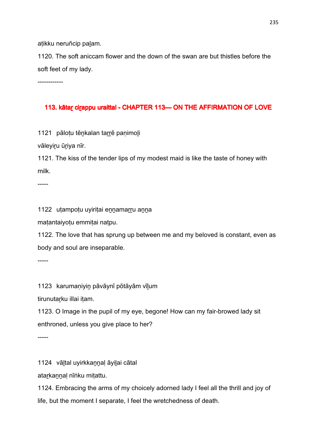atikku neruñcip palam.

1120. The soft aniccam flower and the down of the swan are but thistles before the soft feet of my lady.

------------

### 113. kātar cirappu uraittal - CHAPTER 113—ON THE AFFIRMATION OF LOVE

1121 pālotu tēnkalan tarrē panimoli

vāleyiru ūriya nīr.

1121. The kiss of the tender lips of my modest maid is like the taste of honey with milk.

-----

1122 uṭampoṭu uyiriṭai eṉṉamaṟṟu aṉṉa

maṭantaiyoṭu emmiṭai naṭpu.

1122. The love that has sprung up between me and my beloved is constant, even as body and soul are inseparable.

-----

1123 karumaṇiyiṉ pāvāynī pōtāyām vīḻum

tirunutarku illai itam.

1123. O Image in the pupil of my eye, begone! How can my fair-browed lady sit enthroned, unless you give place to her?

-----

1124 vāḻtal uyirkkaṉṉaḷ āyiḻai cātal

atarkannal nīṅku miṭattu.

1124. Embracing the arms of my choicely adorned lady I feel all the thrill and joy of life, but the moment I separate, I feel the wretchedness of death.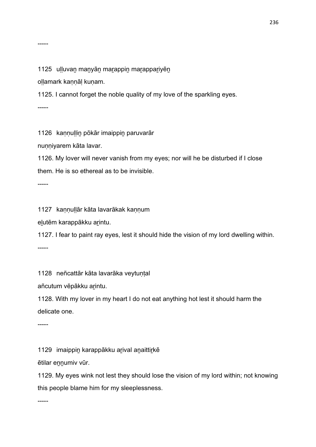#### -----

1125 ulluvan manyān marappin marappariyēn

oḷḷamark kaṇṇāḷ kuṇam.

1125. I cannot forget the noble quality of my love of the sparkling eyes.

-----

1126 kaṇṇuḷḷiṉ pōkār imaippiṉ paruvarār

nunniyarem kāta lavar.

1126. My lover will never vanish from my eyes; nor will he be disturbed if I close them. He is so ethereal as to be invisible.

-----

1127 kaṇṇuḷḷār kāta lavarākak kaṇṇum

eḻutēm karappākku aṟintu.

1127. I fear to paint ray eyes, lest it should hide the vision of my lord dwelling within.

-----

1128 neñcattār kāta lavarāka veytuṇṭal

añcutum vēpākku arintu.

1128. With my lover in my heart I do not eat anything hot lest it should harm the delicate one.

-----

1129 imaippin karappākku arival anaittirkē

ētilar ennumiv vūr.

1129. My eyes wink not lest they should lose the vision of my lord within; not knowing this people blame him for my sleeplessness.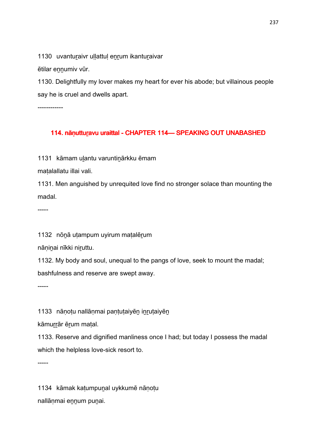1130 uvanturaivr ullattul enrum ikanturaivar

ētilar ennumiv vūr.

1130. Delightfully my lover makes my heart for ever his abode; but villainous people say he is cruel and dwells apart.

------------

### 114. nāṇ utturavu uraittal - CHAPTER 114 - SPEAKING OUT UNABASHED

1131 kāmam uļantu varuntinārkku ēmam

maṭalallatu illai vali.

1131. Men anguished by unrequited love find no stronger solace than mounting the madal.

-----

1132 nōnā utampum uyirum matalērum

nāninai nīkki niruttu.

1132. My body and soul, unequal to the pangs of love, seek to mount the madal; bashfulness and reserve are swept away.

-----

1133 nānotu nallānmai pantutaiyēn inrutaiyēn

kāmurrār ērum matal.

1133. Reserve and dignified manliness once I had; but today I possess the madal which the helpless love-sick resort to.

-----

1134 kāmak kaṭumpuṉal uykkumē nāṇoṭu nallāṇmai eṉṉum puṉai.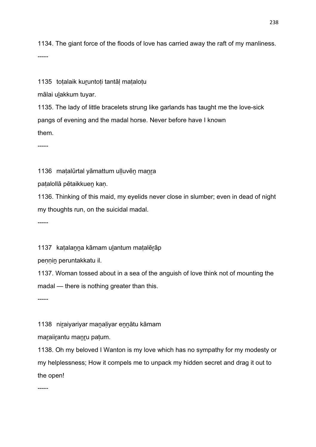1134. The giant force of the floods of love has carried away the raft of my manliness. -----

1135 totalaik kuruntoti tantāl matalotu

mālai uḻakkum tuyar.

1135. The lady of little bracelets strung like garlands has taught me the love-sick pangs of evening and the madal horse. Never before have I known them.

-----

1136 matalūrtal yāmattum ulluvēn manra

paṭalollā pētaikkueṉ kaṇ.

1136. Thinking of this maid, my eyelids never close in slumber; even in dead of night my thoughts run, on the suicidal madal.

-----

1137 katalanna kāmam ulantum matalērāp

pennin peruntakkatu il.

1137. Woman tossed about in a sea of the anguish of love think not of mounting the madal — there is nothing greater than this.

-----

1138 niraiyariyar manaliyar ennātu kāmam

maṟaiiṟantu maṉṟu paṭum.

1138. Oh my beloved I Wanton is my love which has no sympathy for my modesty or my helplessness; How it compels me to unpack my hidden secret and drag it out to the open!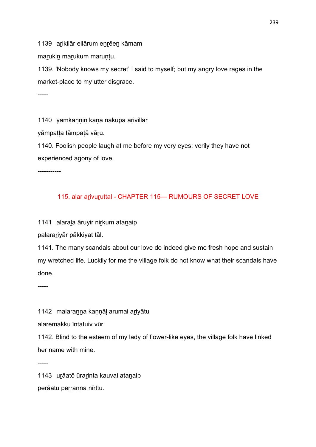1139 arikilār ellārum enrēen kāmam

marukin marukum maruntu.

1139. 'Nobody knows my secret' I said to myself; but my angry love rages in the market-place to my utter disgrace.

-----

1140 yāmkannin kāna nakupa arivillār

yāmpatta tāmpatā vāru.

1140. Foolish people laugh at me before my very eyes; verily they have not experienced agony of love.

-----------

### 115. alar arivuruttal - CHAPTER 115- RUMOURS OF SECRET LOVE

1141 alaraḻa āruyir niṟkum ataṉaip

palaraṟiyār pākkiyat tāl.

1141. The many scandals about our love do indeed give me fresh hope and sustain my wretched life. Luckily for me the village folk do not know what their scandals have done.

-----

1142 malaranna kannāl arumai ariyātu

alaremakku īntatuiv vūr.

1142. Blind to the esteem of my lady of flower-like eyes, the village folk have linked her name with mine.

-----

1143 uṟāatō ūraṟinta kauvai ataṉaip perāatu perranna nīrttu.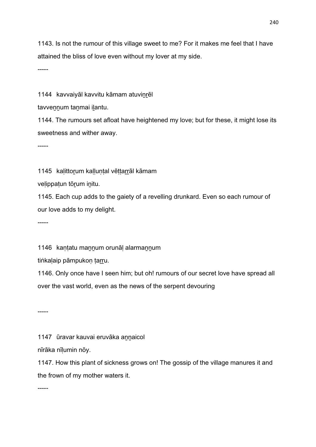1143. Is not the rumour of this village sweet to me? For it makes me feel that I have attained the bliss of love even without my lover at my side.

-----

1144 kavvaiyāl kavvitu kāmam atuvinrēl

tavvennum tanmai ilantu.

1144. The rumours set afloat have heightened my love; but for these, it might lose its sweetness and wither away.

-----

1145 kalittorum kalluntal vēttarrāl kāmam

veḷippaṭun tōṟum iṉitu.

1145. Each cup adds to the gaiety of a revelling drunkard. Even so each rumour of our love adds to my delight.

-----

1146 kantatu mannum orunāl alarmannum

tiṅkalaip pāmpukon tarru.

1146. Only once have I seen him; but oh! rumours of our secret love have spread all over the vast world, even as the news of the serpent devouring

-----

1147 ūravar kauvai eruvāka annaicol

nīrāka nīlumin nōy.

1147. How this plant of sickness grows on! The gossip of the village manures it and the frown of my mother waters it.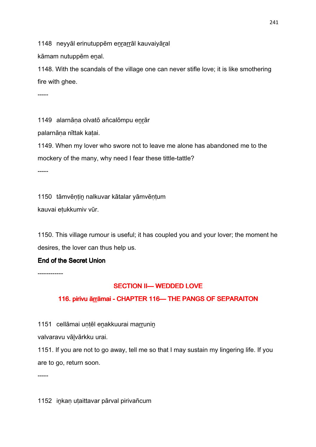1148 neyyāl erinutuppēm enrarrāl kauvaiyāral

kāmam nutuppēm enal.

1148. With the scandals of the village one can never stifle love; it is like smothering fire with ghee.

-----

1149 alarnāṇa olvatō añcalōmpu eṉṟār

palarnāṇa nīttak kaṭai.

1149. When my lover who swore not to leave me alone has abandoned me to the mockery of the many, why need I fear these tittle-tattle?

-----

1150 tāmvēṇṭiṉ nalkuvar kātalar yāmvēṇṭum

kauvai eṭukkumiv vūr.

1150. This village rumour is useful; it has coupled you and your lover; the moment he desires, the lover can thus help us.

### End of the Secret Union

------------

### SECTION II— WEDDED LOVE

### 116. pirivu ārrāmai - CHAPTER 116 CHAPTER 116 CHAPTER PANGS OF SEPARAITON

1151 cellāmai untēl enakkuurai marrunin

valvaravu vālvārkku urai.

1151. If you are not to go away, tell me so that I may sustain my lingering life. If you are to go, return soon.

-----

1152 inkan utaittavar pārval pirivañcum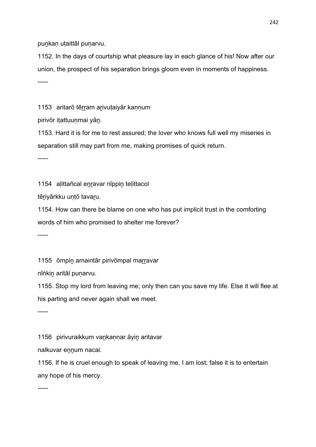punkan utaittāl punarvu.

1152. In the days of courtship what pleasure lay in each glance of his! Now after our union, the prospect of his separation brings gloom even in moments of happiness. -----

1153 aritarō tērram arivutaiyār kannum

pirivōr itattuunmai yān.

1153. Hard it is for me to rest assured; the lover who knows full well my miseries in separation still may part from me, making promises of quick return.

-----

1154 alittañcal enravar nīppin telittacol

tēriyārkku untō tavaru.

1154. How can there be blame on one who has put implicit trust in the comforting words of him who promised to shelter me forever?

-----

1155 ōmpin amaintār pirivōmpal marravar

nīṅkin aritāl punarvu.

1155. Stop my lord from leaving me; only then can you save my life. Else it will flee at his parting and never again shall we meet.

-----

1156 pirivuraikkum vankannar āyin aritavar

nalkuvar ennum nacai.

1156. If he is cruel enough to speak of leaving me, I am lost; false it is to entertain any hope of his mercy.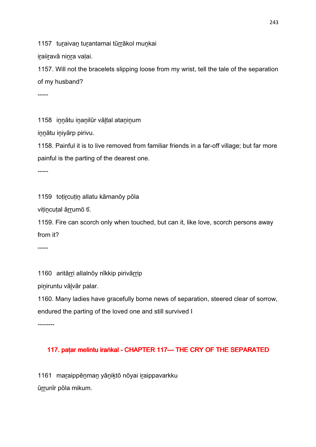1157 turaivan turantamai tūrrākol munkai

iraiiravā ninra valai.

1157. Will not the bracelets slipping loose from my wrist, tell the tale of the separation of my husband?

-----

1158 innātu inanilūr vāltal ataninum

innātu iniyārp pirivu.

1158. Painful it is to live removed from familiar friends in a far-off village; but far more painful is the parting of the dearest one.

-----

1159 toțircuțin allatu kāmanōy pōla

vițincuțal ārrumō tī.

1159. Fire can scorch only when touched, but can it, like love, scorch persons away from it?

-----

1160 aritārri allalnōy nīkkip pirivārrip

piniruntu vālvār palar.

1160. Many ladies have gracefully borne news of separation, steered clear of sorrow, endured the parting of the loved one and still survived I

--------

### 117. paṭar melintu iraṅkal - CHAPTER 117— THE CRY OF THE SEPARATED

1161 maṟaippēṉmaṉ yāṉiḵtō nōyai iṟaippavarkku ūrrunīr pōla mikum.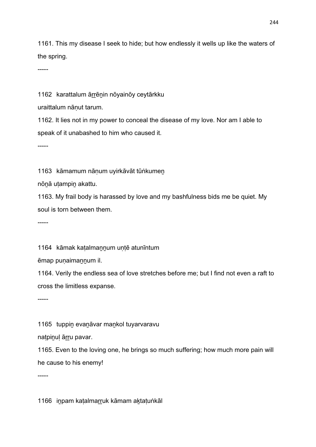1161. This my disease I seek to hide; but how endlessly it wells up like the waters of the spring.

-----

1162 karattalum ārrēnin nōyainōy ceytārkku

uraittalum nāṇut tarum.

1162. It lies not in my power to conceal the disease of my love. Nor am I able to speak of it unabashed to him who caused it.

-----

1163 kāmamum nānum uyirkāvāt tūṅkumen

nōṉā uṭampiṉ akattu.

1163. My frail body is harassed by love and my bashfulness bids me be quiet. My soul is torn between them.

-----

1164 kāmak katalmannum untē atunīntum

ēmap punaimannum il.

1164. Verily the endless sea of love stretches before me; but I find not even a raft to cross the limitless expanse.

-----

1165 tuppin evanāvar mankol tuyarvaravu

natpinul ārru pavar.

1165. Even to the loving one, he brings so much suffering; how much more pain will he cause to his enemy!

-----

1166 inpam katalmarruk kāmam aktatuṅkāl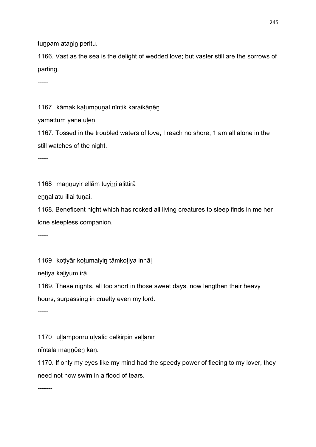tunpam atanin peritu.

1166. Vast as the sea is the delight of wedded love; but vaster still are the sorrows of parting.

-----

1167 kāmak katumpunal nīntik karaikānēn

yāmattum yānē ulēn.

1167. Tossed in the troubled waters of love, I reach no shore; 1 am all alone in the still watches of the night.

-----

1168 mannuyir ellām tuyirri aļittirā

ennallatu illai tunai.

1168. Beneficent night which has rocked all living creatures to sleep finds in me her lone sleepless companion.

-----

1169 kotiyār kotumaiyin tāmkotiya innāl

netiya kaliyum irā.

1169. These nights, all too short in those sweet days, now lengthen their heavy hours, surpassing in cruelty even my lord.

-----

1170 uḷḷampōntu uḷvalic celkirpin veḷḷanīr

nīntala maṉṉōeṉ kaṇ.

1170. If only my eyes like my mind had the speedy power of fleeing to my lover, they need not now swim in a flood of tears.

-------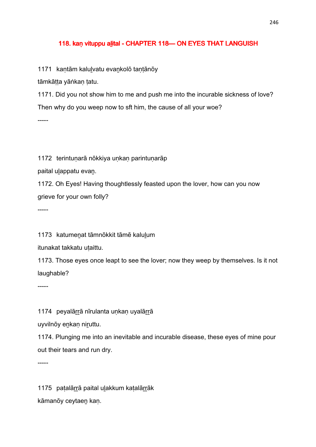#### 118. kan vituppu alital - CHAPTER 118 CHAPTER 118 CHAPTES THAT LANGUISH

1171 kantām kalulvatu evankolō tantānōy

tāmkātta yāṅkan tatu.

1171. Did you not show him to me and push me into the incurable sickness of love? Then why do you weep now to sft him, the cause of all your woe? -----

1172 terintuṇarā nōkkiya uṇkaṇ parintuṇarāp

paital ulappatu evan.

1172. Oh Eyes! Having thoughtlessly feasted upon the lover, how can you now grieve for your own folly?

-----

1173 katumeṉat tāmnōkkit tāmē kaluḻum

itunakat takkatu utaittu.

1173. Those eyes once leapt to see the lover; now they weep by themselves. Is it not laughable?

-----

1174 peyalārrā nīrulanta unkan uyalārrā

uyvilnōy enkan niruttu.

1174. Plunging me into an inevitable and incurable disease, these eyes of mine pour out their tears and run dry.

-----

1175 paṭalārrā paital ulakkum kaṭalārrāk kāmanōy ceytaeṉ kaṇ.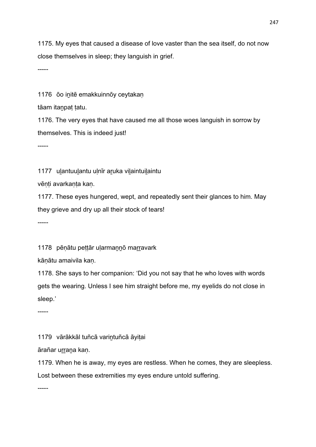1175. My eyes that caused a disease of love vaster than the sea itself, do not now close themselves in sleep; they languish in grief.

-----

1176 ōo initē emakkuinnōy ceytakan

tāam itanpat tatu.

1176. The very eyes that have caused me all those woes languish in sorrow by themselves. This is indeed just!

-----

1177 ulantuulantu ulnīr aruka vilaintuilaintu

vēṇṭi avarkaṇṭa kaṇ.

1177. These eyes hungered, wept, and repeatedly sent their glances to him. May they grieve and dry up all their stock of tears!

-----

1178 pēnātu pettār ularmannō marravark

kāṇātu amaivila kaṇ.

1178. She says to her companion: 'Did you not say that he who loves with words gets the wearing. Unless I see him straight before me, my eyelids do not close in sleep.'

-----

1179 vārākkāl tuñcā varintuñcā āyitai

ārañar urrana kan.

1179. When he is away, my eyes are restless. When he comes, they are sleepless.

Lost between these extremities my eyes endure untold suffering.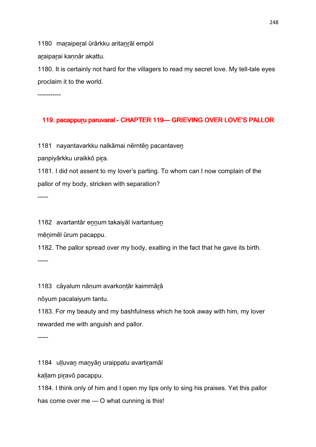1180 maraiperal ūrārkku aritanrāl empōl

araiparai kannār akattu.

1180. It is certainly not hard for the villagers to read my secret love. My tell-tale eyes proclaim it to the world.

-----------

### 119. pacappuru paruvaral - CHAPTER 119 - GRIEVING OVER LOVE'S PALLOR

1181 nayantavarkku nalkāmai nērntēn pacantaven

paṇpiyārkku uraikkō piṟa.

1181. I did not assent to my lover's parting. To whom can I now complain of the pallor of my body, stricken with separation?

-----

1182 avartantār ennum takaiyāl ivartantuen

mēṉimēl ūrum pacappu.

1182. The pallor spread over my body, exalting in the fact that he gave its birth. -----

1183 cāyalum nāṇum avarkoṇṭār kaimmāṟā

nōyum pacalaiyum tantu.

1183. For my beauty and my bashfulness which he took away with him, my lover rewarded me with anguish and pallor.

-----

1184 uḷḷuvaṉ maṉyāṉ uraippatu avartiṟamāl

kaḷḷam piṟavō pacappu.

1184. I think only of him and I open my lips only to sing his praises. Yet this pallor has come over me — O what cunning is this!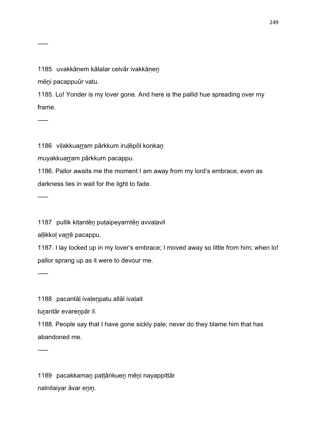#### 1185 uvakkānem kātalar celvār ivakkānen

mēṉi pacappuūr vatu.

1185. Lo! Yonder is my lover gone. And here is the pallid hue spreading over my frame.

-----

1186 viļakkuarram pārkkum iruļēpōl koņkan

muyakkuarram pārkkum pacappu.

1186. Pallor awaits me the moment I am away from my lord's embrace, even as darkness lies in wait for the light to fade.

-----

1187 pullik kiṭantēṉ puṭaipeyarntēṉ avvaḷavil

allikkol varrē pacappu.

1187. I lay locked up in my lover's embrace; I moved away so little from him; when lo! pallor sprang up as it were to devour me.

-----

1188 pacantāl ivalenpatu allāl ivalait

turantār evarenpār il.

1188. People say that I have gone sickly pale; never do they blame him that has abandoned me.

-----

1189 pacakkamaṉ paṭṭāṅkueṉ mēṉi nayappittār nalnilaiyar āvar eṉiṉ.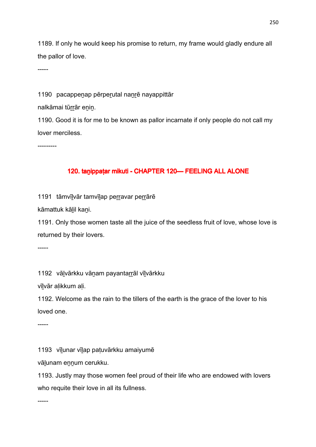1189. If only he would keep his promise to return, my frame would gladly endure all the pallor of love.

-----

1190 pacappenap pērperutal nanrē nayappittār

nalkāmai tūrrār enin.

1190. Good it is for me to be known as pallor incarnate if only people do not call my lover merciless.

---------

### 120. tanippaṭar mikuti - CHAPTER 120 - FEELING ALL ALONE

1191 tāmvīlvār tamvīlap perravar perrārē

kāmattuk kāḻil kaṉi.

1191. Only those women taste all the juice of the seedless fruit of love, whose love is returned by their lovers.

-----

1192 vālvārkku vānam payantarrāl vīlvārkku

vīḻvār aḷikkum aḷi.

1192. Welcome as the rain to the tillers of the earth is the grace of the lover to his loved one.

-----

1193 vīḻunar vīḻap paṭuvārkku amaiyumē

vālunam ennum cerukku.

1193. Justly may those women feel proud of their life who are endowed with lovers who requite their love in all its fullness.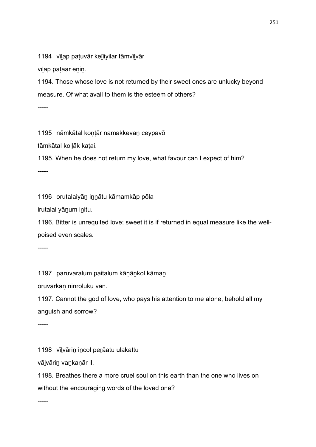1194 vīlap patuvār kelīiyilar tāmvīlvār

vīlap patāar enin.

1194. Those whose love is not returned by their sweet ones are unlucky beyond measure. Of what avail to them is the esteem of others?

-----

1195 nāmkātal kontār namakkevan ceypavō

tāmkātal kollāk katai.

1195. When he does not return my love, what favour can I expect of him?

-----

1196 orutalaiyāṉ iṉṉātu kāmamkāp pōla

irutalai yāṉum iṉitu.

1196. Bitter is unrequited love; sweet it is if returned in equal measure like the wellpoised even scales.

-----

1197 paruvaralum paitalum kānānkol kāman

oruvarkaṇ niṉṟoḻuku vāṉ.

1197. Cannot the god of love, who pays his attention to me alone, behold all my anguish and sorrow?

-----

1198 vīḻvāriṉ iṉcol peṟāatu ulakattu

vāḻvāriṉ vaṉkaṇār il.

1198. Breathes there a more cruel soul on this earth than the one who lives on without the encouraging words of the loved one?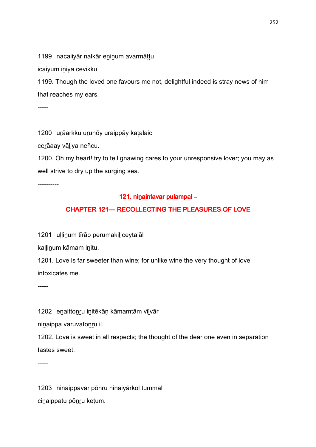1199 nacaiiyār nalkār eṉiṉum avarmāṭṭu

icaiyum iniya cevikku.

1199. Though the loved one favours me not, delightful indeed is stray news of him that reaches my ears.

-----

1200 urāarkku urunōy uraippāy katalaic

cerāaay vāliya neñcu.

1200. Oh my heart! try to tell gnawing cares to your unresponsive lover; you may as well strive to dry up the surging sea.

----------

#### 121. ninaintavar pulampal –

### CHAPTER 121- RECOLLECTING THE PLEASURES OF LOVE

1201 ullinum tīrāp perumakil ceytalāl

kallinum kāmam initu.

1201. Love is far sweeter than wine; for unlike wine the very thought of love intoxicates me.

-----

1202 enaittonru initēkān kāmamtām vīlvār

ninaippa varuvatonru il.

1202. Love is sweet in all respects; the thought of the dear one even in separation tastes sweet.

-----

1203 ninaippavar pōnru ninaiyārkol tummal ciṉaippatu pōṉṟu keṭum.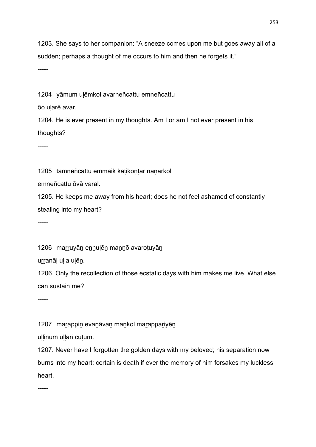1203. She says to her companion: "A sneeze comes upon me but goes away all of a sudden; perhaps a thought of me occurs to him and then he forgets it."

-----

1204 yāmum uḷēmkol avarneñcattu emneñcattu

ōo uḷarē avar.

1204. He is ever present in my thoughts. Am I or am I not ever present in his thoughts?

-----

1205 tamneñcattu emmaik katikontār nānārkol

emneñcattu ōvā varal.

1205. He keeps me away from his heart; does he not feel ashamed of constantly stealing into my heart?

-----

1206 marruyān ennulēn mannō avarotuyān

urranāl ulla ulēn.

1206. Only the recollection of those ecstatic days with him makes me live. What else can sustain me?

-----

1207 marappin evanāvan mankol marappariyēn

uḷḷinum uḷḷañ cuṭum.

1207. Never have I forgotten the golden days with my beloved; his separation now burns into my heart; certain is death if ever the memory of him forsakes my luckless heart.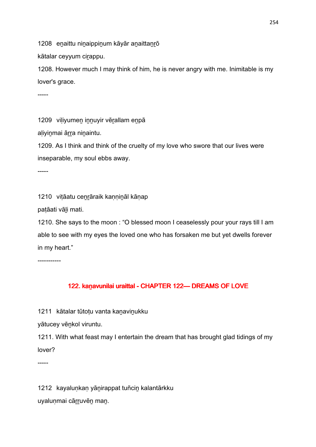1208 enaittu ninaippinum kāyār anaittanrō

kātalar ceyyum cirappu.

1208. However much I may think of him, he is never angry with me. Inimitable is my lover's grace.

-----

1209 viliyumen innuyir vērallam enpā

aliyinmai ārra ninaintu.

1209. As I think and think of the cruelty of my love who swore that our lives were inseparable, my soul ebbs away.

-----

1210 viṭāatu cenrāraik kaṇṇiṇāl kāṇap

paṭāati vāḻi mati.

1210. She says to the moon : "O blessed moon I ceaselessly pour your rays till I am able to see with my eyes the loved one who has forsaken me but yet dwells forever in my heart."

-----------

# 122. kanavunilai uraittal - CHAPTER 122 - DREAMS OF LOVE

1211 kātalar tūtotu vanta kanavinukku

yātucey vēnkol viruntu.

1211. With what feast may I entertain the dream that has brought glad tidings of my lover?

-----

1212 kayaluṇkaṇ yāṉirappat tuñciṉ kalantārkku uyaluṇmai cārruvēn man.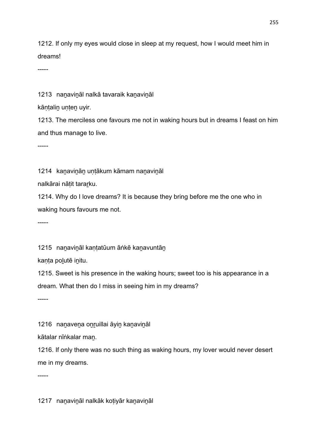1212. If only my eyes would close in sleep at my request, how I would meet him in dreams!

-----

1213 nanavināl nalkā tavaraik kanavināl

kāntalin unten uyir.

1213. The merciless one favours me not in waking hours but in dreams I feast on him and thus manage to live.

-----

1214 kanavinān untākum kāmam nanavināl

nalkārai nāṭit taraṟku.

1214. Why do I love dreams? It is because they bring before me the one who in waking hours favours me not.

-----

1215 nanavināl kantatūum āṅkē kanavuntān

kanta polutē initu.

1215. Sweet is his presence in the waking hours; sweet too is his appearance in a dream. What then do I miss in seeing him in my dreams?

-----

1216 nanavena onruillai āyin kanavināl

kātalar nīṅkalar maṉ.

1216. If only there was no such thing as waking hours, my lover would never desert me in my dreams.

-----

1217 nanavināl nalkāk kotiyār kanavināl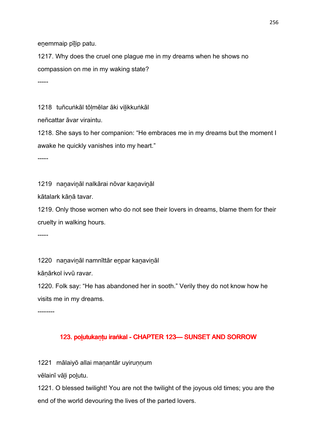enemmaip pīlip patu.

1217. Why does the cruel one plague me in my dreams when he shows no compassion on me in my waking state?

-----

1218 tuñcuṅkāl tōlmēlar āki vilikkuṅkāl

neñcattar āvar viraintu.

1218. She says to her companion: "He embraces me in my dreams but the moment I awake he quickly vanishes into my heart."

-----

1219 naṉaviṉāl nalkārai nōvar kaṉaviṉāl

kātalark kāṇā tavar.

1219. Only those women who do not see their lovers in dreams, blame them for their cruelty in walking hours.

-----

1220 nanavināl namnīttār enpar kanavināl

kāṇārkol ivvū ravar.

1220. Folk say: "He has abandoned her in sooth." Verily they do not know how he visits me in my dreams.

--------

# 123. polutukaṇṭu iraṅkal - CHAPTER 123— SUNSET AND SORROW

1221 mālaiyō allai maṇantār uyiruṇṇum

vēlainī vāḻi poḻutu.

1221. O blessed twilight! You are not the twilight of the joyous old times; you are the end of the world devouring the lives of the parted lovers.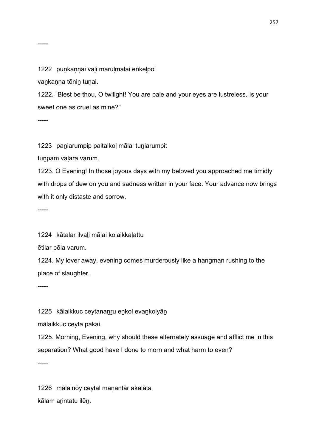1222 punkannai vāli marulmālai eṅkēlpōl

vaṉkaṇṇa tōniṉ tuṇai.

1222. "Blest be thou, O twilight! You are pale and your eyes are lustreless. Is your sweet one as cruel as mine?"

-----

1223 paniarumpip paitalkol mālai tuniarumpit

tunpam valara varum.

1223. O Evening! In those joyous days with my beloved you approached me timidly with drops of dew on you and sadness written in your face. Your advance now brings with it only distaste and sorrow.

-----

1224 kātalar ilvaḻi mālai kolaikkaḷattu

ētilar pōla varum.

1224. My lover away, evening comes murderously like a hangman rushing to the place of slaughter.

-----

1225 kālaikkuc ceytananru enkol evankolyān

mālaikkuc ceyta pakai.

1225. Morning, Evening, why should these alternately assuage and afflict me in this separation? What good have I done to morn and what harm to even?

-----

1226 mālainōy ceytal maṇantār akalāta kālam aṟintatu ilēṉ.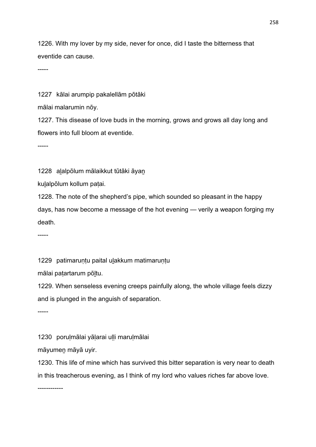1226. With my lover by my side, never for once, did I taste the bitterness that eventide can cause.

-----

1227 kālai arumpip pakalellām pōtāki

mālai malarumin nōy.

1227. This disease of love buds in the morning, grows and grows all day long and flowers into full bloom at eventide.

-----

1228 alalpōlum mālaikkut tūtāki āyan

kuḻalpōlum kollum paṭai.

1228. The note of the shepherd's pipe, which sounded so pleasant in the happy days, has now become a message of the hot evening — verily a weapon forging my death.

-----

1229 patimaruntu paital ulakkum matimaruntu

mālai paṭartarum pōḻtu.

1229. When senseless evening creeps painfully along, the whole village feels dizzy and is plunged in the anguish of separation.

-----

1230 poruḷmālai yāḷarai uḷḷi maruḷmālai

māyumeṉ māyā uyir.

1230. This life of mine which has survived this bitter separation is very near to death in this treacherous evening, as I think of my lord who values riches far above love.

------------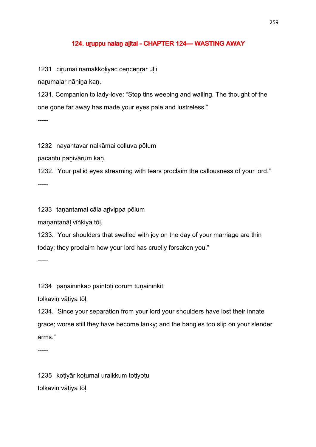#### 124. uruppu nalan alital - CHAPTER 124— WASTING AWAY

1231 cirumai namakkoliyac cēncenrār ulli

narumalar nānina kan.

1231. Companion to lady-love: "Stop tins weeping and wailing. The thought of the one gone far away has made your eyes pale and lustreless."

-----

1232 nayantavar nalkāmai colluva pōlum

pacantu paṉivārum kaṇ.

1232. "Your pallid eyes streaming with tears proclaim the callousness of your lord." -----

1233 taṇantamai cāla aṟivippa pōlum

maṇantanāḷ vīṅkiya tōḷ.

1233. "Your shoulders that swelled with joy on the day of your marriage are thin today; they proclaim how your lord has cruelly forsaken you."

-----

1234 paṇainīṅkap paintoṭi cōrum tuṇainīṅkit

tolkavin vātiya tōl.

1234. "Since your separation from your lord your shoulders have lost their innate grace; worse still they have become lanky; and the bangles too slip on your slender arms."

-----

1235 koṭiyār koṭumai uraikkum toṭiyoṭu tolkaviṉ vāṭiya tōḷ.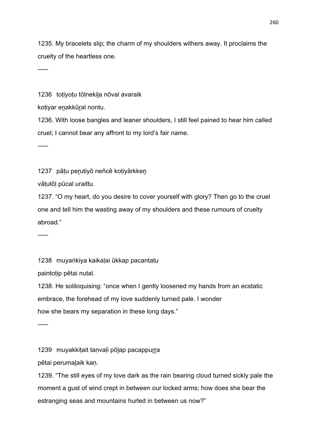1235. My bracelets slip; the charm of my shoulders withers away. It proclaims the cruelty of the heartless one.

-----

1236 toṭiyoṭu tōḷnekiḻa nōval avaraik

kotiyar enakkūral nontu.

1236. With loose bangles and leaner shoulders, I still feel pained to hear him called cruel; I cannot bear any affront to my lord's fair name.

-----

1237 pāṭu per̯utiyō neñcē koṭiyārkken

vāṭutōḷ pūcal uraittu.

1237. "O my heart, do you desire to cover yourself with glory? Then go to the cruel one and tell him the wasting away of my shoulders and these rumours of cruelty abroad."

-----

1238 muyaṅkiya kaikaḷai ūkkap pacantatu

paintotip pētai nutal.

1238. He soliloquising: "once when I gently loosened my hands from an ecstatic embrace, the forehead of my love suddenly turned pale. I wonder how she bears my separation in these long days."

-----

1239 muyakkitait tanvali pōlap pacappurra

pētai perumaḻaik kaṇ.

1239. "The still eyes of my love dark as the rain bearing cloud turned sickly pale the moment a gust of wind crept in between our locked arms; how does she bear the estranging seas and mountains hurled in between us now?"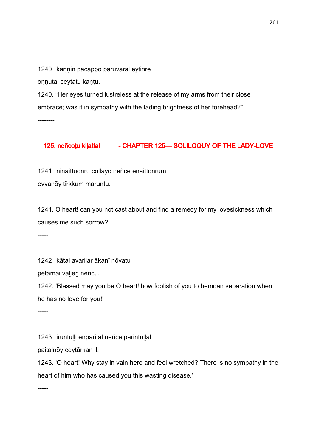-----

1240 kannin pacappō paruvaral eytinrē

oṇṇutal ceytatu kaṇṭu.

1240. "Her eyes turned lustreless at the release of my arms from their close embrace; was it in sympathy with the fading brightness of her forehead?" --------

# 125. neñcoțu kilattal - CHAPTER 125 - SOLILOQUY OF THE LADY-LOVE

1241 ninaittuonru collāyō neñcē enaittonrum evvanōy tīrkkum maruntu.

1241. O heart! can you not cast about and find a remedy for my lovesickness which causes me such sorrow?

-----

1242 kātal avarilar ākanī nōvatu

pētamai vāḻieṉ neñcu.

1242. 'Blessed may you be O heart! how foolish of you to bemoan separation when he has no love for you!'

-----

1243 iruntuḷḷi enparital neñcē parintuḷḷal

paitalnōy ceytārkaṇ il.

1243. 'O heart! Why stay in vain here and feel wretched? There is no sympathy in the heart of him who has caused you this wasting disease.'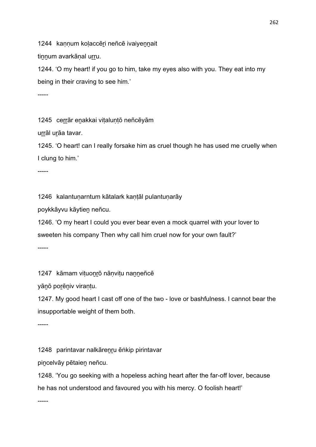1244 kannum kolaccēri neñcē ivaiyennait

tinnum avarkānal urru.

1244. 'O my heart! if you go to him, take my eyes also with you. They eat into my being in their craving to see him.'

-----

1245 cerrār enakkai vitaluntō neñcēyām

urrāl urāa tavar.

1245. 'O heart! can I really forsake him as cruel though he has used me cruelly when I clung to him.'

-----

1246 kalantuṇarntum kātalark kaṇṭāl pulantuṇarāy

poykkāyvu kāytieṉ neñcu.

1246. 'O my heart I could you ever bear even a mock quarrel with your lover to sweeten his company Then why call him cruel now for your own fault?'

-----

1247 kāmam vituonrō nānvitu nanneñcē

yāṉō poṟēṉiv viraṇṭu.

1247. My good heart I cast off one of the two - love or bashfulness. I cannot bear the insupportable weight of them both.

-----

1248 parintavar nalkārenru ēṅkip pirintavar

pincelvāy pētaien neñcu.

1248. 'You go seeking with a hopeless aching heart after the far-off lover, because he has not understood and favoured you with his mercy. O foolish heart!'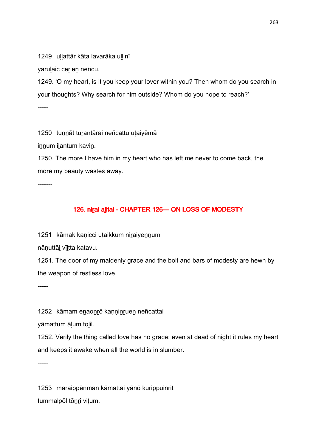1249 ullattār kāta lavarāka ullinī

yārulaic cērien neñcu.

1249. 'O my heart, is it you keep your lover within you? Then whom do you search in your thoughts? Why search for him outside? Whom do you hope to reach?'

-----

1250 tunnāt turantārai neñcattu utaiyēmā

innum ilantum kavin.

1250. The more I have him in my heart who has left me never to come back, the more my beauty wastes away.

-------

# 126. nirূai alital - CHAPTER 126-ON LOSS OF MODESTY

1251 kāmak kanicci utaikkum niraiyennum

nānuttāl vīltta katavu.

1251. The door of my maidenly grace and the bolt and bars of modesty are hewn by the weapon of restless love.

-----

1252 kāmam enaonrō kanninruen neñcattai

yāmattum ālum tolil.

1252. Verily the thing called love has no grace; even at dead of night it rules my heart and keeps it awake when all the world is in slumber.

-----

1253 maṟaippēṉmaṉ kāmattai yāṉō kuṟippuiṉṟit tummalpōl tōṉṟi viṭum.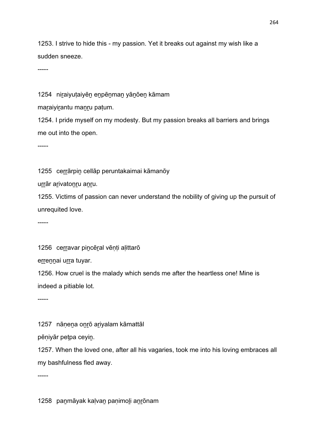1253. I strive to hide this - my passion. Yet it breaks out against my wish like a sudden sneeze.

-----

1254 niraiyutaiyēn enpēnman yānōen kāmam

maraiyirantu manru patum.

1254. I pride myself on my modesty. But my passion breaks all barriers and brings me out into the open.

-----

1255 cerrārpin cellāp peruntakaimai kāmanōy

urrār arivatonru anru.

1255. Victims of passion can never understand the nobility of giving up the pursuit of unrequited love.

-----

1256 cerravar pincēral vēnti alittarō

errennai urra tuyar.

1256. How cruel is the malady which sends me after the heartless one! Mine is indeed a pitiable lot.

-----

1257 nānena onrō ariyalam kāmattāl

pēṇiyār peṭpa ceyiṉ.

1257. When the loved one, after all his vagaries, took me into his loving embraces all my bashfulness fled away.

-----

1258 paṉmāyak kaḷvaṉ paṇimoḻi aṉṟōnam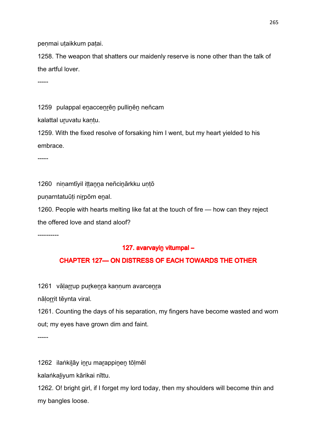penmai utaikkum patai.

1258. The weapon that shatters our maidenly reserve is none other than the talk of the artful lover.

-----

1259 pulappal enaccenrēn pullinēn neñcam

kalattal uruvatu kantu.

1259. With the fixed resolve of forsaking him I went, but my heart yielded to his embrace.

-----

1260 niṇamtīyil iṭṭaṉṉa neñciṉārkku uṇṭō

puṇarntatuūṭi niṟpōm eṉal.

1260. People with hearts melting like fat at the touch of fire — how can they reject the offered love and stand aloof?

----------

#### 127. avarvayin vitumpal –

### CHAPTER 127— ON DISTRESS OF EACH TOWARDS THE OTHER

1261 vāļarrup purkeņra kaņņum avarceņra

nālorrit tēynta viral.

1261. Counting the days of his separation, my fingers have become wasted and worn out; my eyes have grown dim and faint.

-----

1262 ilaṅkilāy inru marappinen tōļmēl

kalaṅkaḻiyum kārikai nīttu.

1262. O! bright girl, if I forget my lord today, then my shoulders will become thin and my bangles loose.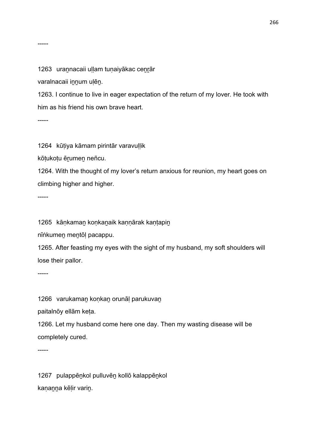#### -----

1263 urannacaii uḷḷam tuṇaiyākac cenrār

varalnacaii iṉṉum uḷēṉ.

1263. I continue to live in eager expectation of the return of my lover. He took with him as his friend his own brave heart.

-----

1264 kūṭiya kāmam pirintār varavuḷḷik

kōṭukoṭu ēṟumeṉ neñcu.

1264. With the thought of my lover's return anxious for reunion, my heart goes on climbing higher and higher.

-----

1265 kāṇkaman koṇkanaik kaṇṇārak kaṇṭapin

nīṅkumeṉ meṉtōḷ pacappu.

1265. After feasting my eyes with the sight of my husband, my soft shoulders will lose their pallor.

-----

1266 varukaman konkan orunāl parukuvan

paitalnōy ellām keṭa.

1266. Let my husband come here one day. Then my wasting disease will be completely cured.

-----

1267 pulappēṉkol pulluvēṉ kollō kalappēṉkol kaṇanna kēḷir varin.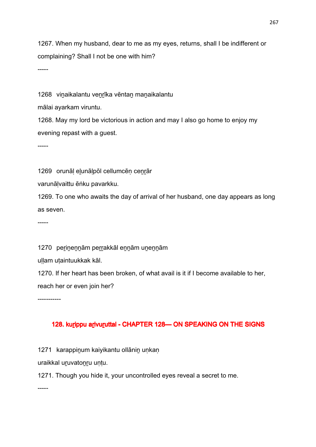1267. When my husband, dear to me as my eyes, returns, shall I be indifferent or complaining? Shall I not be one with him?

-----

1268 vinaikalantu venrīka vēntan manaikalantu

mālai ayarkam viruntu.

1268. May my lord be victorious in action and may I also go home to enjoy my evening repast with a guest.

-----

1269 orunāl elunālpōl cellumcēn cenrār

varunāḷvaittu ēṅku pavarkku.

1269. To one who awaits the day of arrival of her husband, one day appears as long as seven.

-----

1270 perinennām perrakkāl ennām unennām

ullam utaintuukkak kāl.

1270. If her heart has been broken, of what avail is it if I become available to her, reach her or even join her?

-----------

# 128. kurippu arivuruttal - CHAPTER 128-ON SPEAKING ON THE SIGNS

1271 karappiṇum kaiyikantu ollānin unkan

uraikkal uṟuvatoṉṟu uṇṭu.

1271. Though you hide it, your uncontrolled eyes reveal a secret to me.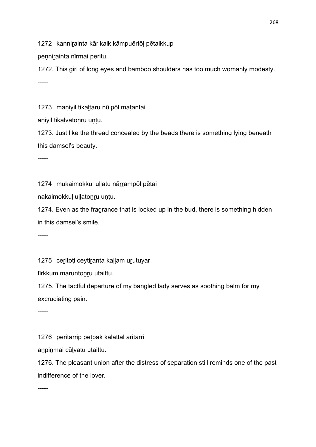1272 kannirainta kārikaik kāmpuērtōl pētaikkup

pennirainta nīrmai peritu.

1272. This girl of long eyes and bamboo shoulders has too much womanly modesty. -----

1273 maṇiyil tikaḻtaru nūlpōl maṭantai

aniyil tikalvatonru untu.

1273. Just like the thread concealed by the beads there is something lying beneath this damsel's beauty.

-----

1274 mukaimokkuļ uļļatu nārrampōl pētai

nakaimokkuļ uļļatonru untu.

1274. Even as the fragrance that is locked up in the bud, there is something hidden in this damsel's smile.

-----

1275 ceritoti ceytiranta kallam urutuyar

tīrkkum maruntonru utaittu.

1275. The tactful departure of my bangled lady serves as soothing balm for my excruciating pain.

-----

1276 peritārrip petpak kalattal aritārri

anpinmai cūlvatu uțaittu.

1276. The pleasant union after the distress of separation still reminds one of the past indifference of the lover.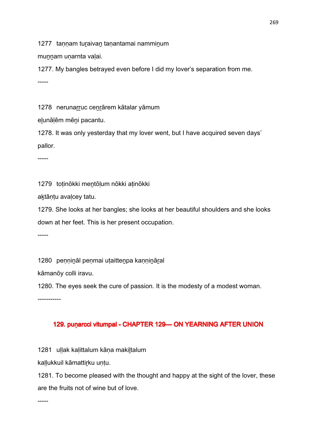1277 tannam turaivan tanantamai namminum

munnam unarnta valai.

1277. My bangles betrayed even before I did my lover's separation from me. -----

1278 nerunarruc cenrārem kātalar yāmum

elunālēm mēni pacantu.

1278. It was only yesterday that my lover went, but I have acquired seven days' pallor.

-----

1279 toṭinōkki meṉtōḷum nōkki aṭinōkki

aḵtāṇṭu avaḷcey tatu.

1279. She looks at her bangles; she looks at her beautiful shoulders and she looks down at her feet. This is her present occupation.

-----

1280 pennināl penmai utaittenpa kannināral

kāmanōy colli iravu.

1280. The eyes seek the cure of passion. It is the modesty of a modest woman.

-----------

# 129. puṇ arcci vitumpal - CHAPTER 129 CHAPTER DN YEARNING AFTER UNION

1281 uḷḷak kaḷittalum kāṇa makiḷtalum

kaḷḷukkuil kāmattiṟku uṇṭu.

1281. To become pleased with the thought and happy at the sight of the lover, these are the fruits not of wine but of love.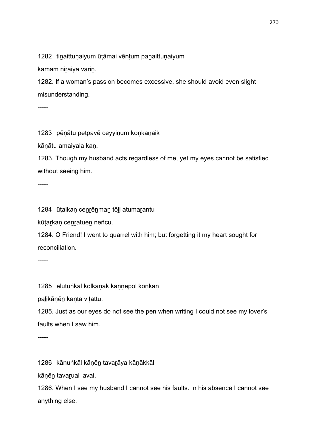1282 tinaittunaiyum ūtāmai vēntum panaittunaiyum

kāmam niraiya varin.

1282. If a woman's passion becomes excessive, she should avoid even slight misunderstanding.

-----

1283 pēnātu petpavē ceyyinum konkanaik

kāṇātu amaiyala kaṇ.

1283. Though my husband acts regardless of me, yet my eyes cannot be satisfied without seeing him.

-----

1284 ūṭalkaṇ ceṉṟēṉmaṉ tōḻi atumaṟantu

kūțarkan cenratuen neñcu.

1284. O Friend! I went to quarrel with him; but forgetting it my heart sought for reconciliation.

-----

1285 eḻutuṅkāl kōlkāṇāk kaṇṇēpōl koṇkaṉ

palikānēn kanta vitattu.

1285. Just as our eyes do not see the pen when writing I could not see my lover's faults when I saw him.

-----

1286 kāṇuṅkāl kāṇēṉ tavaṟāya kāṇākkāl

kāṇēṉ tavaṟual lavai.

1286. When I see my husband I cannot see his faults. In his absence I cannot see anything else.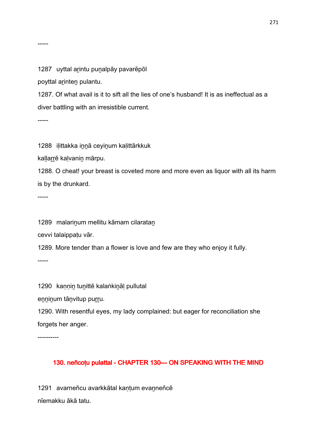#### 1287 uyttal arintu punalpāy pavarēpōl

poyttal arinten pulantu.

1287. Of what avail is it to sift all the lies of one's husband! It is as ineffectual as a diver battling with an irresistible current.

-----

-----

1288 iḷittakka iṉṉā ceyiṉum kaḷittārkkuk

kaļļarrē kaļvanin mārpu.

1288. O cheat! your breast is coveted more and more even as liquor with all its harm is by the drunkard.

-----

1289 malarinum mellitu kāmam cilaratan

cevvi talaippaṭu vār.

1289. More tender than a flower is love and few are they who enjoy it fully.

-----

1290 kaṇṇiṉ tuṉittē kalaṅkiṉāḷ pullutal

enninum tānvitup purru.

1290. With resentful eyes, my lady complained: but eager for reconciliation she forgets her anger.

----------

### 130. neñcoțu pulattal - CHAPTER 130 CHAPTER 130 CHARTEAKING WITH THE MIND

1291 avarneñcu avarkkātal kaṇṭum evaṉneñcē nīemakku ākā tatu.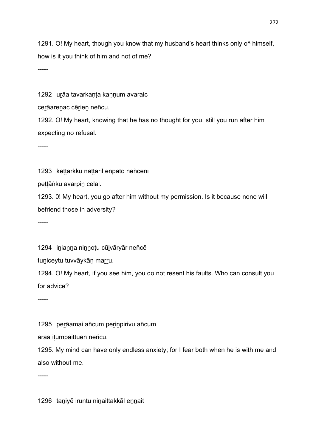1291. O! My heart, though you know that my husband's heart thinks only o^ himself, how is it you think of him and not of me?

-----

1292 urāa tavarkanta kannum avaraic

cerāarenac cērien neñcu.

1292. O! My heart, knowing that he has no thought for you, still you run after him expecting no refusal.

-----

1293 kettārkku nattāril enpatō neñcēnī

peṭṭāṅku avarpiṉ celal.

1293. 0! My heart, you go after him without my permission. Is it because none will befriend those in adversity?

-----

1294 inianna ninnotu cūlvāryār neñcē

tuniceytu tuvvāykān marru.

1294. O! My heart, if you see him, you do not resent his faults. Who can consult you for advice?

-----

1295 perāamai añcum perinpirivu añcum

arāa itumpaittuen neñcu.

1295. My mind can have only endless anxiety; for I fear both when he is with me and also without me.

-----

1296 taniyē iruntu ninaittakkāl ennait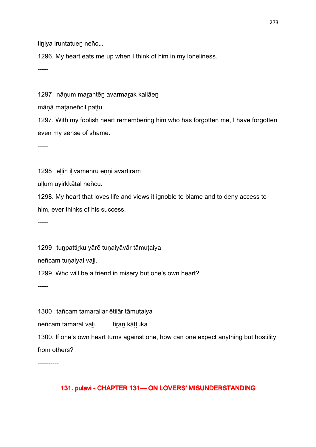tiniya iruntatuen neñcu.

1296. My heart eats me up when I think of him in my loneliness.

-----

1297 nānum marantēn avarmarak kallāen

mānā mataneñcil pattu.

1297. With my foolish heart remembering him who has forgotten me, I have forgotten even my sense of shame.

-----

1298 ellin ilivāmenru enni avartiram

uḷḷum uyirkkātal neñcu.

1298. My heart that loves life and views it ignoble to blame and to deny access to him, ever thinks of his success.

-----

1299 tunpattirku yārē tunaiyāvār tāmutaiya

neñcam tunaiyal vali.

1299. Who will be a friend in misery but one's own heart?

-----

1300 tañcam tamarallar ētilār tāmutaiya neñcam tamaral vali. tiran kāttuka 1300. If one's own heart turns against one, how can one expect anything but hostility from others?

----------

### 131. pulavi - CHAPTER 131- ON LOVERS' MISUNDERSTANDING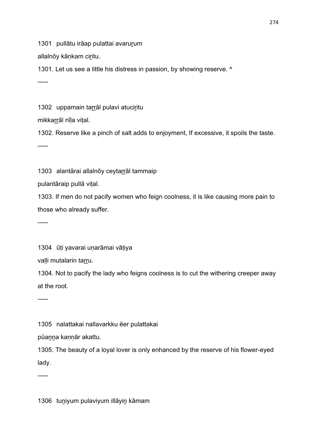1301 pullātu irāap pulattai avarurum

allalnōy kānkam ciritu.

1301. Let us see a little his distress in passion, by showing reserve. ^

-----

1302 uppamain tarrāl pulavi atuciritu

mikkarrāl nīla vital.

1302. Reserve like a pinch of salt adds to enjoyment, If excessive, it spoils the taste. -----

1303 alantārai allalnōy ceytarrāl tammaip

pulantāraip pullā viṭal.

1303. If men do not pacify women who feign coolness, it is like causing more pain to those who already suffer.

-----

1304 ūti yavarai unarāmai vātiya

valli mutalarin tarru.

1304. Not to pacify the lady who feigns coolness is to cut the withering creeper away at the root.

-----

1305 nalattakai nallavarkku ēer pulattakai

pūaṉṉa kaṇṇār akattu.

1305. The beauty of a loyal lover is only enhanced by the reserve of his flower-eyed lady.

-----

1306 tuṉiyum pulaviyum illāyiṉ kāmam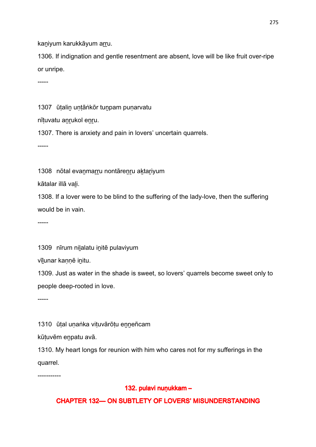kaniyum karukkāyum arru.

1306. If indignation and gentle resentment are absent, love will be like fruit over-ripe or unripe.

-----

1307 ūtalin untāṅkōr tunpam punarvatu

nītuvatu anrukol enru.

1307. There is anxiety and pain in lovers' uncertain quarrels.

-----

1308 nōtal evanmarru nontārenru aktariyum

kātalar illā vaḻi.

1308. If a lover were to be blind to the suffering of the lady-love, then the suffering would be in vain.

-----

1309 nīrum nilalatu initē pulaviyum

vīlunar kannē initu.

1309. Just as water in the shade is sweet, so lovers' quarrels become sweet only to people deep-rooted in love.

-----

1310 ūtal unaṅka vituvārōtu enneñcam

kūṭuvēm eṉpatu avā.

1310. My heart longs for reunion with him who cares not for my sufferings in the quarrel.

-----------

# 132. pulavi nuṇukkam –

# **CHAPTER 132— ON SUBTLETY OF LOVERS' MISUNDERSTANDING**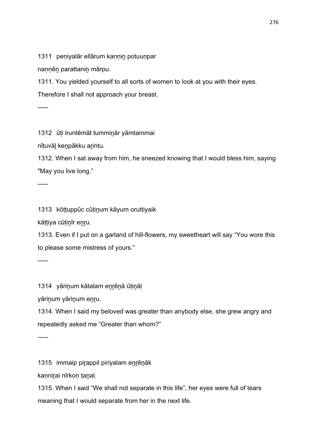1311 peniyalār ellārum kannin potuunpar

nannēn parattanin mārpu.

1311. You yielded yourself to all sorts of women to look at you with their eyes.

Therefore I shall not approach your breast.

-----

1312 ūṭi iruntēmāt tummiṉār yāmtammai

nīṭuvāḻ keṉpākku aṟintu.

1312. When I sat away from him, he sneezed knowing that I would bless him, saying "May you live long."

-----

1313 kōṭṭuppūc cūṭiṉum kāyum oruttiyaik

kāṭṭiya cūṭiṉīr eṉṟu.

1313. Even if I put on a garland of hill-flowers, my sweetheart will say "You wore this to please some mistress of yours."

-----

1314 yāriṉum kātalam eṉṟēṉā ūṭiṉāḷ

yārinum yārinum enru.

1314. When I said my beloved was greater than anybody else, she grew angry and repeatedly asked me "Greater than whom?"

-----

1315 immaip pirappil piriyalam enrēnāk

kaṇniṟai nīrkoṇ ṭaṉaḷ.

1315. When I said "We shall not separate in this life", her eyes were full of tears meaning that I would separate from her in the next life.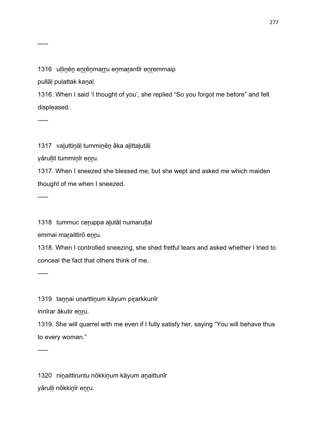1316 ullinēn enrēnmarru enmarantīr enremmaip

pullāḷ pulattak kaṉaḷ.

1316. When I said 'I thought of you', she replied "So you forgot me before" and felt displeased.

-----

1317 vaḻuttiṉāḷ tummiṉēṉ āka aḻittaḻutāḷ

yāruḷḷit tummiṉīr eṉṟu.

1317. When I sneezed she blessed me; but she wept and asked me which maiden thought of me when I sneezed.

-----

1318 tummuc ceṟuppa aḻutāḷ numaruḷḷal

emmai maraittirō enru.

1318. When I controlled sneezing, she shed fretful tears and asked whether I tried to conceal the fact that others think of me.

-----

1319 tannai unarttinum kāyum pirarkkunīr

innīrar ākutir enru.

1319. She will quarrel with me even if I fully satisfy her, saying "You will behave thus to every woman."

-----

1320 niṉaittiruntu nōkkiṉum kāyum aṉaittunīr yāruḷḷi nōkkiṉīr eṉṟu.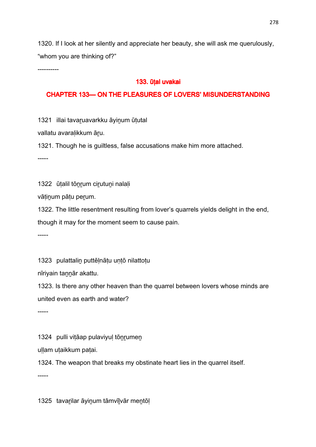1320. If I look at her silently and appreciate her beauty, she will ask me querulously, "whom you are thinking of?"

----------

#### 133. ūtal uvakai

#### CHAPTER 133-ON THE PLEASURES OF LOVERS' MISUNDERSTANDING

1321 illai tavaruavarkku āyinum ūtutal

vallatu avaralikkum āru.

1321. Though he is guiltless, false accusations make him more attached.

-----

1322 ūṭalil tōṉṟum ciṟutuṉi nalaḷi

vāṭiṉum pāṭu peṟum.

1322. The little resentment resulting from lover's quarrels yields delight in the end,

though it may for the moment seem to cause pain.

-----

1323 pulattalin puttēlnātu untō nilattotu

nīriyain tannār akattu.

1323. Is there any other heaven than the quarrel between lovers whose minds are united even as earth and water?

-----

1324 pulli viṭāap pulaviyuḷ tōnrumen

ullam utaikkum patai.

1324. The weapon that breaks my obstinate heart lies in the quarrel itself.

-----

1325 tavarilar āyinum tāmvīlvār mentōl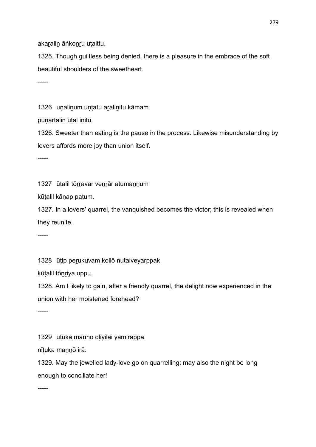akaralin āṅkonru utaittu.

1325. Though guiltless being denied, there is a pleasure in the embrace of the soft beautiful shoulders of the sweetheart.

-----

1326 unalinum untatu aralinitu kāmam

punartalin ūtal initu.

1326. Sweeter than eating is the pause in the process. Likewise misunderstanding by lovers affords more joy than union itself.

-----

1327 ūṭalil tōrravar venrār atumannum

kūṭalil kāṇap paṭum.

1327. In a lovers' quarrel, the vanquished becomes the victor; this is revealed when they reunite.

-----

1328 ūṭip peṟukuvam kollō nutalveyarppak

kūṭalil tōṉṟiya uppu.

1328. Am I likely to gain, after a friendly quarrel, the delight now experienced in the union with her moistened forehead?

-----

1329 ūṭuka maṉṉō oḷiyiḻai yāmirappa

nīṭuka maṉṉō irā.

1329. May the jewelled lady-love go on quarrelling; may also the night be long enough to conciliate her!